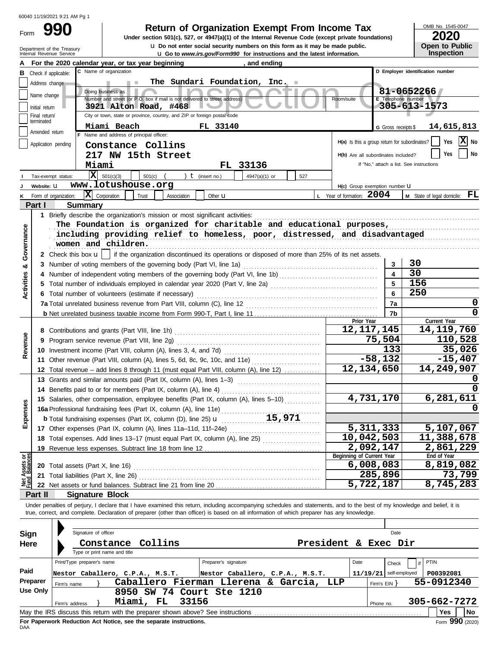# Form

Department of the Treasury<br>Internal Revenue Service

# **990 2020 Return of Organization Exempt From Income Tax**

**u** Go to *www.irs.gov/Form990* for instructions and the latest information. **u** Do not enter social security numbers on this form as it may be made public. **Under section 501(c), 527, or 4947(a)(1) of the Internal Revenue Code (except private foundations)** OMB No. 1545-0047

| ZUZU                  |
|-----------------------|
| <b>Open to Public</b> |
| <b>Inspection</b>     |

|                                |                                 | For the 2020 calendar year, or tax year beginning<br>, and ending                                                                                                                                                                           |                                                                                                                                                                                                                                                                                                                                                                                                                                                             |                                               |                          |                                          |
|--------------------------------|---------------------------------|---------------------------------------------------------------------------------------------------------------------------------------------------------------------------------------------------------------------------------------------|-------------------------------------------------------------------------------------------------------------------------------------------------------------------------------------------------------------------------------------------------------------------------------------------------------------------------------------------------------------------------------------------------------------------------------------------------------------|-----------------------------------------------|--------------------------|------------------------------------------|
| в                              |                                 | C Name of organization<br>Check if applicable:                                                                                                                                                                                              |                                                                                                                                                                                                                                                                                                                                                                                                                                                             |                                               |                          | D Employer identification number         |
|                                | Address change                  | The Sundari Foundation, Inc.                                                                                                                                                                                                                |                                                                                                                                                                                                                                                                                                                                                                                                                                                             |                                               |                          |                                          |
|                                | Name change                     | Doing business as                                                                                                                                                                                                                           |                                                                                                                                                                                                                                                                                                                                                                                                                                                             |                                               |                          | 81-0652266                               |
|                                |                                 | Number and street (or P.O. box if mail is not delivered to street address)<br>3921 Alton Road, #468                                                                                                                                         |                                                                                                                                                                                                                                                                                                                                                                                                                                                             | Room/suite                                    | E Telephone number       | 305-613-1573                             |
|                                | Initial return<br>Final return/ | City or town, state or province, country, and ZIP or foreign postal code                                                                                                                                                                    |                                                                                                                                                                                                                                                                                                                                                                                                                                                             |                                               |                          |                                          |
|                                | terminated                      | Miami Beach<br>FL 33140                                                                                                                                                                                                                     |                                                                                                                                                                                                                                                                                                                                                                                                                                                             |                                               |                          | 14,615,813                               |
|                                | Amended return                  | F Name and address of principal officer:                                                                                                                                                                                                    |                                                                                                                                                                                                                                                                                                                                                                                                                                                             |                                               | G Gross receipts \$      |                                          |
|                                |                                 | Application pending<br>Constance Collins                                                                                                                                                                                                    |                                                                                                                                                                                                                                                                                                                                                                                                                                                             | H(a) Is this a group return for subordinates? |                          | lxl<br>Yes<br>  No                       |
|                                |                                 | 217 NW 15th Street                                                                                                                                                                                                                          |                                                                                                                                                                                                                                                                                                                                                                                                                                                             | H(b) Are all subordinates included?           |                          | No<br>Yes                                |
|                                |                                 | Miami<br>FL 33136                                                                                                                                                                                                                           |                                                                                                                                                                                                                                                                                                                                                                                                                                                             |                                               |                          | If "No," attach a list. See instructions |
|                                |                                 | $\overline{\mathbf{X}}$ 501(c)(3)<br>$501(c)$ (<br>) $t$ (insert no.)<br>Tax-exempt status:<br>4947(a)(1) or                                                                                                                                | 527                                                                                                                                                                                                                                                                                                                                                                                                                                                         |                                               |                          |                                          |
|                                | Website: U                      | www.lotushouse.org                                                                                                                                                                                                                          |                                                                                                                                                                                                                                                                                                                                                                                                                                                             | H(c) Group exemption number U                 |                          |                                          |
|                                |                                 | X <br>Corporation<br>Other <b>u</b><br>Form of organization:<br>Trust<br>Association                                                                                                                                                        |                                                                                                                                                                                                                                                                                                                                                                                                                                                             | L Year of formation: 2004                     |                          | M State of legal domicile: FL            |
|                                | Part I                          | <b>Summary</b>                                                                                                                                                                                                                              |                                                                                                                                                                                                                                                                                                                                                                                                                                                             |                                               |                          |                                          |
|                                |                                 | 1 Briefly describe the organization's mission or most significant activities:                                                                                                                                                               |                                                                                                                                                                                                                                                                                                                                                                                                                                                             |                                               |                          |                                          |
|                                |                                 | The Foundation is organized for charitable and educational purposes,                                                                                                                                                                        |                                                                                                                                                                                                                                                                                                                                                                                                                                                             |                                               |                          |                                          |
|                                |                                 | including providing relief to homeless, poor, distressed, and disadvantaged                                                                                                                                                                 |                                                                                                                                                                                                                                                                                                                                                                                                                                                             |                                               |                          |                                          |
| Governance                     |                                 | women and children.                                                                                                                                                                                                                         |                                                                                                                                                                                                                                                                                                                                                                                                                                                             |                                               |                          |                                          |
|                                |                                 | 2 Check this box $\mathbf{u}$   if the organization discontinued its operations or disposed of more than 25% of its net assets.                                                                                                             |                                                                                                                                                                                                                                                                                                                                                                                                                                                             |                                               |                          |                                          |
| ಯ                              |                                 | 3 Number of voting members of the governing body (Part VI, line 1a)                                                                                                                                                                         |                                                                                                                                                                                                                                                                                                                                                                                                                                                             |                                               | 3                        | 30                                       |
|                                |                                 | 4 Number of independent voting members of the governing body (Part VI, line 1b)<br>1. Number of independent voting members of the governing body (Part VI, line 1b)                                                                         |                                                                                                                                                                                                                                                                                                                                                                                                                                                             |                                               | $\blacktriangle$         | 30                                       |
| <b>Activities</b>              |                                 |                                                                                                                                                                                                                                             |                                                                                                                                                                                                                                                                                                                                                                                                                                                             |                                               | 5                        | 156                                      |
|                                |                                 | 6 Total number of volunteers (estimate if necessary)                                                                                                                                                                                        |                                                                                                                                                                                                                                                                                                                                                                                                                                                             |                                               | 6                        | 250                                      |
|                                |                                 | 7a Total unrelated business revenue from Part VIII, column (C), line 12                                                                                                                                                                     |                                                                                                                                                                                                                                                                                                                                                                                                                                                             |                                               | 7a                       | 0                                        |
|                                |                                 |                                                                                                                                                                                                                                             |                                                                                                                                                                                                                                                                                                                                                                                                                                                             |                                               | 7b                       | 0                                        |
|                                |                                 |                                                                                                                                                                                                                                             |                                                                                                                                                                                                                                                                                                                                                                                                                                                             | Prior Year                                    |                          | Current Year                             |
|                                |                                 |                                                                                                                                                                                                                                             |                                                                                                                                                                                                                                                                                                                                                                                                                                                             | 12, 117, 145                                  |                          | 14, 119, 760                             |
| Revenue                        |                                 | 9 Program service revenue (Part VIII, line 2g)                                                                                                                                                                                              | 75,504                                                                                                                                                                                                                                                                                                                                                                                                                                                      | 110,528                                       |                          |                                          |
|                                |                                 |                                                                                                                                                                                                                                             |                                                                                                                                                                                                                                                                                                                                                                                                                                                             |                                               | 133                      | 35,026                                   |
|                                |                                 | 11 Other revenue (Part VIII, column (A), lines 5, 6d, 8c, 9c, 10c, and 11e)                                                                                                                                                                 |                                                                                                                                                                                                                                                                                                                                                                                                                                                             |                                               | $-58,132$                | $-15,407$                                |
|                                |                                 | 12 Total revenue - add lines 8 through 11 (must equal Part VIII, column (A), line 12)                                                                                                                                                       |                                                                                                                                                                                                                                                                                                                                                                                                                                                             | 12, 134, 650                                  |                          | 14,249,907                               |
|                                |                                 | 13 Grants and similar amounts paid (Part IX, column (A), lines 1-3)                                                                                                                                                                         |                                                                                                                                                                                                                                                                                                                                                                                                                                                             |                                               |                          |                                          |
|                                |                                 | 14 Benefits paid to or for members (Part IX, column (A), line 4)                                                                                                                                                                            |                                                                                                                                                                                                                                                                                                                                                                                                                                                             |                                               |                          |                                          |
|                                |                                 | 15 Salaries, other compensation, employee benefits (Part IX, column (A), lines 5-10)<br>15 Salaries, outer componenting fees (Part IX, column (A), line 11e)<br>16a Professional fundraising fees (Part IX, column (A), line 25) 11 15, 971 |                                                                                                                                                                                                                                                                                                                                                                                                                                                             | 4,731,170                                     |                          | 6,281,611                                |
| xpenses                        |                                 |                                                                                                                                                                                                                                             |                                                                                                                                                                                                                                                                                                                                                                                                                                                             |                                               |                          |                                          |
| ш                              |                                 |                                                                                                                                                                                                                                             |                                                                                                                                                                                                                                                                                                                                                                                                                                                             |                                               |                          |                                          |
|                                |                                 | 17 Other expenses (Part IX, column (A), lines 11a-11d, 11f-24e)                                                                                                                                                                             |                                                                                                                                                                                                                                                                                                                                                                                                                                                             | 5, 311, 333<br>10,042,503                     |                          | 5,107,067<br>11,388,678                  |
|                                |                                 | 18 Total expenses. Add lines 13-17 (must equal Part IX, column (A), line 25)<br>19 Revenue less expenses. Subtract line 18 from line 12                                                                                                     |                                                                                                                                                                                                                                                                                                                                                                                                                                                             | 2,092,147                                     |                          | 2,861,229                                |
|                                |                                 |                                                                                                                                                                                                                                             |                                                                                                                                                                                                                                                                                                                                                                                                                                                             | Beginning of Current Year                     |                          | End of Year                              |
|                                |                                 | 20 Total assets (Part X, line 16)                                                                                                                                                                                                           |                                                                                                                                                                                                                                                                                                                                                                                                                                                             | 6,008,083                                     |                          | 8,819,082                                |
|                                |                                 | 21 Total liabilities (Part X, line 26)                                                                                                                                                                                                      |                                                                                                                                                                                                                                                                                                                                                                                                                                                             |                                               | 285,896                  | 73,799                                   |
| Net Assets or<br>Fund Balances |                                 | 22 Net assets or fund balances. Subtract line 21 from line 20                                                                                                                                                                               |                                                                                                                                                                                                                                                                                                                                                                                                                                                             | 5,722,187                                     |                          | 8,745,283                                |
|                                | Part II                         | <b>Signature Block</b>                                                                                                                                                                                                                      |                                                                                                                                                                                                                                                                                                                                                                                                                                                             |                                               |                          |                                          |
|                                |                                 | Under penalties of perjury, I declare that I have examined this return, including accompanying schedules and statements, and to the best of my knowledge and belief, it is                                                                  |                                                                                                                                                                                                                                                                                                                                                                                                                                                             |                                               |                          |                                          |
|                                |                                 | true, correct, and complete. Declaration of preparer (other than officer) is based on all information of which preparer has any knowledge.                                                                                                  |                                                                                                                                                                                                                                                                                                                                                                                                                                                             |                                               |                          |                                          |
|                                |                                 |                                                                                                                                                                                                                                             |                                                                                                                                                                                                                                                                                                                                                                                                                                                             |                                               |                          |                                          |
| <b>Sign</b>                    |                                 | Signature of officer                                                                                                                                                                                                                        |                                                                                                                                                                                                                                                                                                                                                                                                                                                             |                                               | Date                     |                                          |
| Here                           |                                 | Collins<br>Constance                                                                                                                                                                                                                        |                                                                                                                                                                                                                                                                                                                                                                                                                                                             | President & Exec Dir                          |                          |                                          |
|                                |                                 | Type or print name and title                                                                                                                                                                                                                |                                                                                                                                                                                                                                                                                                                                                                                                                                                             |                                               |                          |                                          |
|                                |                                 | Print/Type preparer's name<br>Preparer's signature                                                                                                                                                                                          |                                                                                                                                                                                                                                                                                                                                                                                                                                                             | Date                                          | Check                    | PTIN<br>if                               |
| Paid                           |                                 | Nestor Caballero, C.P.A., M.S.T.<br>Nestor Caballero, C.P.A., M.S.T.                                                                                                                                                                        |                                                                                                                                                                                                                                                                                                                                                                                                                                                             |                                               | $11/19/21$ self-employed | P00392081                                |
|                                | Preparer                        | Caballero Fierman Llerena & Garcia,<br>Firm's name                                                                                                                                                                                          |                                                                                                                                                                                                                                                                                                                                                                                                                                                             | LLP                                           | Firm's $EIN$ }           | 55-0912340                               |
|                                | <b>Use Only</b>                 | 8950 SW 74 Court Ste 1210                                                                                                                                                                                                                   |                                                                                                                                                                                                                                                                                                                                                                                                                                                             |                                               |                          |                                          |
|                                |                                 | 33156<br>Miami, FL<br>Firm's address                                                                                                                                                                                                        | $\mathcal{L}(\mathcal{L}(\mathcal{L}(\mathcal{L}(\mathcal{L}(\mathcal{L}(\mathcal{L}(\mathcal{L}(\mathcal{L}(\mathcal{L}(\mathcal{L}(\mathcal{L}(\mathcal{L}(\mathcal{L}(\mathcal{L}(\mathcal{L}(\mathcal{L}(\mathcal{L}(\mathcal{L}(\mathcal{L}(\mathcal{L}(\mathcal{L}(\mathcal{L}(\mathcal{L}(\mathcal{L}(\mathcal{L}(\mathcal{L}(\mathcal{L}(\mathcal{L}(\mathcal{L}(\mathcal{L}(\mathcal{L}(\mathcal{L}(\mathcal{L}(\mathcal{L}(\mathcal{L}(\mathcal{$ |                                               | Phone no.                | 305-662-7272                             |
|                                |                                 |                                                                                                                                                                                                                                             |                                                                                                                                                                                                                                                                                                                                                                                                                                                             |                                               |                          | Yes<br>  No                              |

| Sign<br>Here                 | Signature of officer<br>Collins<br>Constance<br>Type or print name and title                                                                                                                     | President & Exec Dir                                                                                                        |                      | Date                                                                 |
|------------------------------|--------------------------------------------------------------------------------------------------------------------------------------------------------------------------------------------------|-----------------------------------------------------------------------------------------------------------------------------|----------------------|----------------------------------------------------------------------|
| Paid<br>Preparer<br>Use Only | Print/Type preparer's name<br>Nestor Caballero, C.P.A., M.S.T.<br>Firm's name<br>8950                                                                                                            | Preparer's signature<br>Nestor Caballero, C.P.A., M.S.T.<br>Caballero Fierman Llerena & Garcia, LLP<br>SW 74 Court Ste 1210 | Date<br>Firm's $EIN$ | PTIN<br>Check<br>P00392081<br>$11/19/21$ self-employed<br>55-0912340 |
| DAA                          | Miami,<br>33156<br>FL<br>Firm's address<br>May the IRS discuss this return with the preparer shown above? See instructions<br>For Paperwork Reduction Act Notice, see the separate instructions. |                                                                                                                             | Phone no.            | $305 - 662 - 7272$<br>l No<br><b>Yes</b><br>Form 990 (2020)          |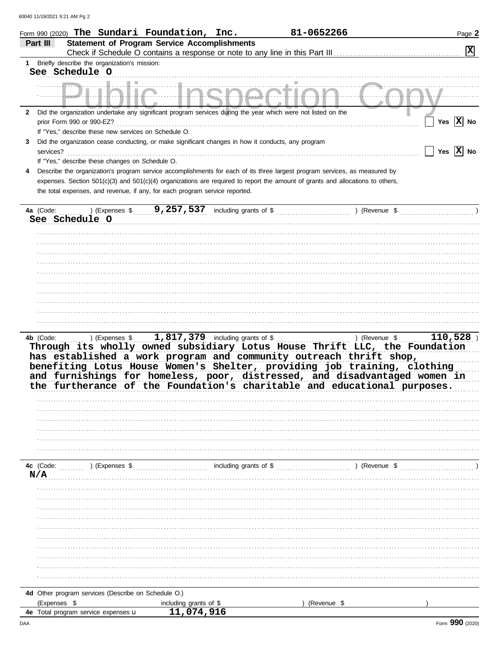|   |                                                            | Form 990 (2020) The Sundari Foundation, Inc.                                                                   | 81-0652266                                                                                                                     | Page 2                              |
|---|------------------------------------------------------------|----------------------------------------------------------------------------------------------------------------|--------------------------------------------------------------------------------------------------------------------------------|-------------------------------------|
|   | Part III                                                   | <b>Statement of Program Service Accomplishments</b>                                                            |                                                                                                                                |                                     |
|   |                                                            |                                                                                                                |                                                                                                                                | $ \mathbf{x} $                      |
|   | 1 Briefly describe the organization's mission:             |                                                                                                                |                                                                                                                                |                                     |
|   | See Schedule O                                             |                                                                                                                |                                                                                                                                |                                     |
|   |                                                            |                                                                                                                |                                                                                                                                |                                     |
|   |                                                            |                                                                                                                |                                                                                                                                |                                     |
|   |                                                            |                                                                                                                |                                                                                                                                |                                     |
|   |                                                            | 2 Did the organization undertake any significant program services during the year which were not listed on the |                                                                                                                                |                                     |
|   | prior Form 990 or 990-EZ?                                  |                                                                                                                |                                                                                                                                | Yes $ X $ No                        |
|   |                                                            | If "Yes," describe these new services on Schedule O.                                                           |                                                                                                                                |                                     |
| 3 |                                                            | Did the organization cease conducting, or make significant changes in how it conducts, any program             |                                                                                                                                |                                     |
|   | services?                                                  |                                                                                                                |                                                                                                                                | Yes $\overline{X}$ No               |
|   | If "Yes," describe these changes on Schedule O.            |                                                                                                                |                                                                                                                                |                                     |
| 4 |                                                            |                                                                                                                | Describe the organization's program service accomplishments for each of its three largest program services, as measured by     |                                     |
|   |                                                            |                                                                                                                | expenses. Section 501(c)(3) and 501(c)(4) organizations are required to report the amount of grants and allocations to others, |                                     |
|   |                                                            | the total expenses, and revenue, if any, for each program service reported.                                    |                                                                                                                                |                                     |
|   |                                                            |                                                                                                                |                                                                                                                                |                                     |
|   | 4a (Code:                                                  |                                                                                                                | ) (Expenses $\sqrt[3]{257,537}$ including grants of $\sqrt[3]{257,537}$ including grants of $\sqrt[3]{257,537}$                |                                     |
|   |                                                            |                                                                                                                |                                                                                                                                |                                     |
|   | See Schedule O                                             |                                                                                                                |                                                                                                                                |                                     |
|   |                                                            |                                                                                                                |                                                                                                                                |                                     |
|   |                                                            |                                                                                                                |                                                                                                                                |                                     |
|   |                                                            |                                                                                                                |                                                                                                                                |                                     |
|   |                                                            |                                                                                                                |                                                                                                                                |                                     |
|   |                                                            |                                                                                                                |                                                                                                                                |                                     |
|   |                                                            |                                                                                                                |                                                                                                                                |                                     |
|   |                                                            |                                                                                                                |                                                                                                                                |                                     |
|   |                                                            |                                                                                                                |                                                                                                                                |                                     |
|   |                                                            |                                                                                                                |                                                                                                                                |                                     |
|   |                                                            |                                                                                                                |                                                                                                                                |                                     |
|   |                                                            |                                                                                                                |                                                                                                                                |                                     |
|   |                                                            |                                                                                                                |                                                                                                                                |                                     |
|   | 4b (Code:                                                  | ) (Expenses $\frac{1}{817}$ , 817, 379 including grants of $\frac{1}{8}$                                       |                                                                                                                                | 110,528<br>) (Revenue $\frac{1}{2}$ |
|   |                                                            |                                                                                                                | Through its wholly owned subsidiary Lotus House Thrift LLC, the Foundation                                                     |                                     |
|   |                                                            |                                                                                                                | has established a work program and community outreach thrift shop,                                                             |                                     |
|   |                                                            |                                                                                                                | benefiting Lotus House Women's Shelter, providing job training, clothing                                                       |                                     |
|   |                                                            |                                                                                                                | and furnishings for homeless, poor, distressed, and disadvantaged women in                                                     |                                     |
|   |                                                            |                                                                                                                | the furtherance of the Foundation's charitable and educational purposes.                                                       |                                     |
|   |                                                            |                                                                                                                |                                                                                                                                |                                     |
|   |                                                            |                                                                                                                |                                                                                                                                |                                     |
|   |                                                            |                                                                                                                |                                                                                                                                |                                     |
|   |                                                            |                                                                                                                |                                                                                                                                |                                     |
|   |                                                            |                                                                                                                |                                                                                                                                |                                     |
|   |                                                            |                                                                                                                |                                                                                                                                |                                     |
|   |                                                            |                                                                                                                |                                                                                                                                |                                     |
|   |                                                            |                                                                                                                |                                                                                                                                |                                     |
|   | N/A                                                        |                                                                                                                |                                                                                                                                |                                     |
|   |                                                            |                                                                                                                |                                                                                                                                |                                     |
|   |                                                            |                                                                                                                |                                                                                                                                |                                     |
|   |                                                            |                                                                                                                |                                                                                                                                |                                     |
|   |                                                            |                                                                                                                |                                                                                                                                |                                     |
|   |                                                            |                                                                                                                |                                                                                                                                |                                     |
|   |                                                            |                                                                                                                |                                                                                                                                |                                     |
|   |                                                            |                                                                                                                |                                                                                                                                |                                     |
|   |                                                            |                                                                                                                |                                                                                                                                |                                     |
|   |                                                            |                                                                                                                |                                                                                                                                |                                     |
|   |                                                            |                                                                                                                |                                                                                                                                |                                     |
|   |                                                            |                                                                                                                |                                                                                                                                |                                     |
|   |                                                            |                                                                                                                |                                                                                                                                |                                     |
|   | 4d Other program services (Describe on Schedule O.)        |                                                                                                                |                                                                                                                                |                                     |
|   | (Expenses \$<br>4e Total program service expenses <b>u</b> | including grants of \$<br>11,074,916                                                                           | (Revenue \$                                                                                                                    |                                     |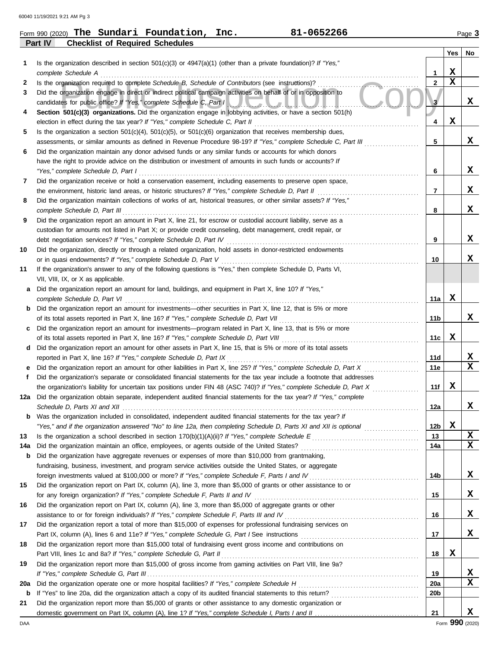|     | Part IV<br><b>Checklist of Required Schedules</b>                                                                       |              |             |             |
|-----|-------------------------------------------------------------------------------------------------------------------------|--------------|-------------|-------------|
|     |                                                                                                                         |              | Yes         | No          |
| 1   | Is the organization described in section $501(c)(3)$ or $4947(a)(1)$ (other than a private foundation)? If "Yes,"       |              |             |             |
|     | complete Schedule A                                                                                                     | 1            | X           |             |
| 2   | Is the organization required to complete Schedule B, Schedule of Contributors (see instructions)?                       | $\mathbf{2}$ | $\mathbf x$ |             |
| 3   | Did the organization engage in direct or indirect political campaign activities on behalf of or in opposition to        |              |             |             |
|     | candidates for public office? If "Yes," complete Schedule C, Part I<br>AUADI I                                          | $\mathbf{3}$ |             | x           |
| 4   | Section 501(c)(3) organizations. Did the organization engage in lobbying activities, or have a section 501(h)           |              |             |             |
|     | election in effect during the tax year? If "Yes," complete Schedule C, Part II                                          | 4            | X           |             |
| 5   | Is the organization a section $501(c)(4)$ , $501(c)(5)$ , or $501(c)(6)$ organization that receives membership dues,    |              |             |             |
|     | assessments, or similar amounts as defined in Revenue Procedure 98-19? If "Yes," complete Schedule C, Part III          | 5            |             | x           |
| 6   | Did the organization maintain any donor advised funds or any similar funds or accounts for which donors                 |              |             |             |
|     | have the right to provide advice on the distribution or investment of amounts in such funds or accounts? If             |              |             |             |
|     | "Yes," complete Schedule D, Part I                                                                                      | 6            |             | X           |
| 7   | Did the organization receive or hold a conservation easement, including easements to preserve open space,               |              |             |             |
|     | the environment, historic land areas, or historic structures? If "Yes," complete Schedule D, Part II                    | 7            |             | X           |
| 8   | Did the organization maintain collections of works of art, historical treasures, or other similar assets? If "Yes,"     |              |             |             |
|     | complete Schedule D, Part III                                                                                           | 8            |             | X           |
| 9   | Did the organization report an amount in Part X, line 21, for escrow or custodial account liability, serve as a         |              |             |             |
|     | custodian for amounts not listed in Part X; or provide credit counseling, debt management, credit repair, or            |              |             |             |
|     | debt negotiation services? If "Yes," complete Schedule D, Part IV                                                       | 9            |             | X           |
| 10  | Did the organization, directly or through a related organization, hold assets in donor-restricted endowments            |              |             |             |
|     | or in quasi endowments? If "Yes," complete Schedule D, Part V                                                           | 10           |             | x           |
| 11  | If the organization's answer to any of the following questions is "Yes," then complete Schedule D, Parts VI,            |              |             |             |
|     | VII, VIII, IX, or X as applicable.                                                                                      |              |             |             |
| а   | Did the organization report an amount for land, buildings, and equipment in Part X, line 10? If "Yes,"                  |              |             |             |
|     | complete Schedule D, Part VI                                                                                            | 11a          | x           |             |
| b   | Did the organization report an amount for investments—other securities in Part X, line 12, that is 5% or more           |              |             |             |
|     | of its total assets reported in Part X, line 16? If "Yes," complete Schedule D, Part VII                                | 11b          |             | x           |
| c   | Did the organization report an amount for investments—program related in Part X, line 13, that is 5% or more            |              |             |             |
|     | of its total assets reported in Part X, line 16? If "Yes," complete Schedule D, Part VIII                               | 11c          | x           |             |
| d   | Did the organization report an amount for other assets in Part X, line 15, that is 5% or more of its total assets       |              |             |             |
|     | reported in Part X, line 16? If "Yes," complete Schedule D, Part IX                                                     | 11d          |             | X           |
| е   | Did the organization report an amount for other liabilities in Part X, line 25? If "Yes," complete Schedule D, Part X   | 11e          |             | $\mathbf x$ |
| f   | Did the organization's separate or consolidated financial statements for the tax year include a footnote that addresses |              |             |             |
|     | the organization's liability for uncertain tax positions under FIN 48 (ASC 740)? If "Yes," complete Schedule D, Part X  | 11f          | X           |             |
| 12a | Did the organization obtain separate, independent audited financial statements for the tax year? If "Yes," complete     |              |             |             |
|     | Schedule D. Parts XI and XII                                                                                            | 12a          |             | х           |
| b   | Was the organization included in consolidated, independent audited financial statements for the tax year? If            |              |             |             |
|     | "Yes," and if the organization answered "No" to line 12a, then completing Schedule D, Parts XI and XII is optional      | 12b          | X           |             |
|     |                                                                                                                         | 13           |             | X           |
| 13  |                                                                                                                         |              |             | X           |
| 14a | Did the organization maintain an office, employees, or agents outside of the United States?                             | 14a          |             |             |
| b   | Did the organization have aggregate revenues or expenses of more than \$10,000 from grantmaking,                        |              |             |             |
|     | fundraising, business, investment, and program service activities outside the United States, or aggregate               |              |             |             |
|     | foreign investments valued at \$100,000 or more? If "Yes," complete Schedule F, Parts I and IV                          | 14b          |             | X           |
| 15  | Did the organization report on Part IX, column (A), line 3, more than \$5,000 of grants or other assistance to or       |              |             |             |
|     | for any foreign organization? If "Yes," complete Schedule F, Parts II and IV                                            | 15           |             | X           |
| 16  | Did the organization report on Part IX, column (A), line 3, more than \$5,000 of aggregate grants or other              |              |             |             |
|     | assistance to or for foreign individuals? If "Yes," complete Schedule F, Parts III and IV                               | 16           |             | X           |
| 17  | Did the organization report a total of more than \$15,000 of expenses for professional fundraising services on          |              |             |             |
|     |                                                                                                                         | 17           |             | X           |
| 18  | Did the organization report more than \$15,000 total of fundraising event gross income and contributions on             |              |             |             |
|     | Part VIII, lines 1c and 8a? If "Yes," complete Schedule G, Part II                                                      | 18           | x           |             |
| 19  | Did the organization report more than \$15,000 of gross income from gaming activities on Part VIII, line 9a?            |              |             |             |
|     |                                                                                                                         | 19           |             | X           |
| 20a |                                                                                                                         | 20a          |             | X           |
| b   |                                                                                                                         | 20b          |             |             |
| 21  | Did the organization report more than \$5,000 of grants or other assistance to any domestic organization or             |              |             |             |
|     |                                                                                                                         | 21           |             | x           |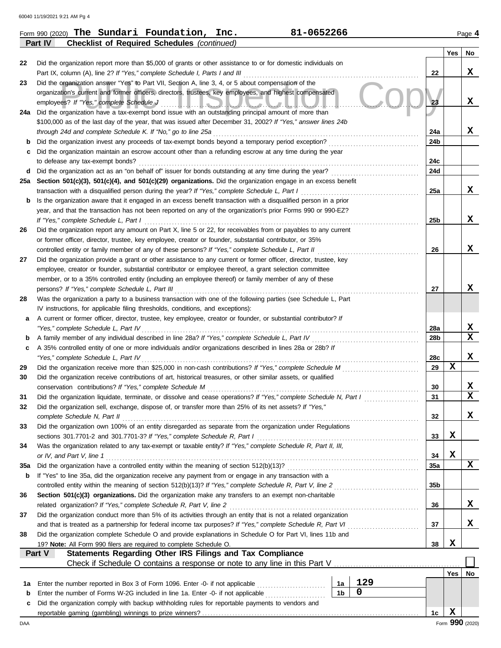|     | Part IV<br><b>Checklist of Required Schedules (continued)</b>                                                                                                                                                        |                |     |                 |
|-----|----------------------------------------------------------------------------------------------------------------------------------------------------------------------------------------------------------------------|----------------|-----|-----------------|
|     |                                                                                                                                                                                                                      |                | Yes | No              |
| 22  | Did the organization report more than \$5,000 of grants or other assistance to or for domestic individuals on                                                                                                        |                |     |                 |
|     | Part IX, column (A), line 2? If "Yes," complete Schedule I, Parts I and III                                                                                                                                          | 22             |     | x               |
| 23  | Did the organization answer "Yes" to Part VII, Section A, line 3, 4, or 5 about compensation of the                                                                                                                  |                |     |                 |
|     | organization's current and former officers, directors, trustees, key employees, and highest compensated                                                                                                              |                |     | х               |
|     | employees? If "Yes," complete Schedule J<br><b>I.I. J. J. J. J. J. J. J.</b>                                                                                                                                         | 23             |     |                 |
| 24a | Did the organization have a tax-exempt bond issue with an outstanding principal amount of more than<br>\$100,000 as of the last day of the year, that was issued after December 31, 2002? If "Yes," answer lines 24b |                |     |                 |
|     | through 24d and complete Schedule K. If "No," go to line 25a                                                                                                                                                         | 24a            |     | X               |
| b   | Did the organization invest any proceeds of tax-exempt bonds beyond a temporary period exception?                                                                                                                    | 24b            |     |                 |
| с   | Did the organization maintain an escrow account other than a refunding escrow at any time during the year                                                                                                            |                |     |                 |
|     | to defease any tax-exempt bonds?                                                                                                                                                                                     | 24c            |     |                 |
| d   | Did the organization act as an "on behalf of" issuer for bonds outstanding at any time during the year?                                                                                                              | 24d            |     |                 |
| 25a | Section 501(c)(3), 501(c)(4), and 501(c)(29) organizations. Did the organization engage in an excess benefit                                                                                                         |                |     |                 |
|     | transaction with a disqualified person during the year? If "Yes," complete Schedule L, Part I                                                                                                                        | 25a            |     | X               |
| b   | Is the organization aware that it engaged in an excess benefit transaction with a disqualified person in a prior                                                                                                     |                |     |                 |
|     | year, and that the transaction has not been reported on any of the organization's prior Forms 990 or 990-EZ?                                                                                                         |                |     |                 |
|     | If "Yes," complete Schedule L, Part I                                                                                                                                                                                | 25b            |     | x               |
| 26  | Did the organization report any amount on Part X, line 5 or 22, for receivables from or payables to any current                                                                                                      |                |     |                 |
|     | or former officer, director, trustee, key employee, creator or founder, substantial contributor, or 35%                                                                                                              |                |     |                 |
|     | controlled entity or family member of any of these persons? If "Yes," complete Schedule L, Part II                                                                                                                   | 26             |     | x               |
| 27  | Did the organization provide a grant or other assistance to any current or former officer, director, trustee, key                                                                                                    |                |     |                 |
|     | employee, creator or founder, substantial contributor or employee thereof, a grant selection committee                                                                                                               |                |     |                 |
|     | member, or to a 35% controlled entity (including an employee thereof) or family member of any of these                                                                                                               |                |     |                 |
|     | persons? If "Yes," complete Schedule L, Part III                                                                                                                                                                     | 27             |     | х               |
| 28  | Was the organization a party to a business transaction with one of the following parties (see Schedule L, Part                                                                                                       |                |     |                 |
|     | IV instructions, for applicable filing thresholds, conditions, and exceptions):<br>A current or former officer, director, trustee, key employee, creator or founder, or substantial contributor? If                  |                |     |                 |
| а   | "Yes," complete Schedule L, Part IV                                                                                                                                                                                  | 28a            |     | x               |
| b   | A family member of any individual described in line 28a? If "Yes," complete Schedule L, Part IV                                                                                                                      | 28b            |     | X               |
| c   | A 35% controlled entity of one or more individuals and/or organizations described in lines 28a or 28b? If                                                                                                            |                |     |                 |
|     | "Yes," complete Schedule L, Part IV                                                                                                                                                                                  | 28c            |     | х               |
| 29  |                                                                                                                                                                                                                      | 29             | х   |                 |
| 30  | Did the organization receive contributions of art, historical treasures, or other similar assets, or qualified                                                                                                       |                |     |                 |
|     | conservation contributions? If "Yes," complete Schedule M                                                                                                                                                            | 30             |     | x               |
| 31  | Did the organization liquidate, terminate, or dissolve and cease operations? If "Yes," complete Schedule N, Part I                                                                                                   | 31             |     | X               |
| 32  | Did the organization sell, exchange, dispose of, or transfer more than 25% of its net assets? If "Yes,"                                                                                                              |                |     |                 |
|     | complete Schedule N, Part II                                                                                                                                                                                         | 32             |     | X               |
| 33  | Did the organization own 100% of an entity disregarded as separate from the organization under Regulations                                                                                                           |                |     |                 |
|     | sections 301.7701-2 and 301.7701-3? If "Yes," complete Schedule R, Part I                                                                                                                                            | 33             | X   |                 |
| 34  | Was the organization related to any tax-exempt or taxable entity? If "Yes," complete Schedule R, Part II, III,                                                                                                       |                |     |                 |
|     | or IV, and Part V, line 1                                                                                                                                                                                            | 34             | X   |                 |
| 35a |                                                                                                                                                                                                                      | <b>35a</b>     |     | x               |
| b   | If "Yes" to line 35a, did the organization receive any payment from or engage in any transaction with a                                                                                                              |                |     |                 |
|     | controlled entity within the meaning of section 512(b)(13)? If "Yes," complete Schedule R, Part V, line 2                                                                                                            | 35b            |     |                 |
| 36  | Section 501(c)(3) organizations. Did the organization make any transfers to an exempt non-charitable                                                                                                                 | 36             |     | x               |
| 37  | related organization? If "Yes," complete Schedule R, Part V, line 2<br>Did the organization conduct more than 5% of its activities through an entity that is not a related organization                              |                |     |                 |
|     | and that is treated as a partnership for federal income tax purposes? If "Yes," complete Schedule R, Part VI                                                                                                         | 37             |     | X               |
| 38  | Did the organization complete Schedule O and provide explanations in Schedule O for Part VI, lines 11b and                                                                                                           |                |     |                 |
|     | 19? Note: All Form 990 filers are required to complete Schedule O.                                                                                                                                                   | 38             | X   |                 |
|     | Statements Regarding Other IRS Filings and Tax Compliance<br>Part V                                                                                                                                                  |                |     |                 |
|     |                                                                                                                                                                                                                      |                |     |                 |
|     |                                                                                                                                                                                                                      |                | Yes | No              |
| 1а  | 129<br>Enter the number reported in Box 3 of Form 1096. Enter -0- if not applicable<br>1а                                                                                                                            |                |     |                 |
| b   | 0<br>1 <sub>b</sub><br>Enter the number of Forms W-2G included in line 1a. Enter -0- if not applicable                                                                                                               |                |     |                 |
| c   | Did the organization comply with backup withholding rules for reportable payments to vendors and                                                                                                                     |                |     |                 |
|     |                                                                                                                                                                                                                      | 1 <sub>c</sub> | X   |                 |
| DAA |                                                                                                                                                                                                                      |                |     | Form 990 (2020) |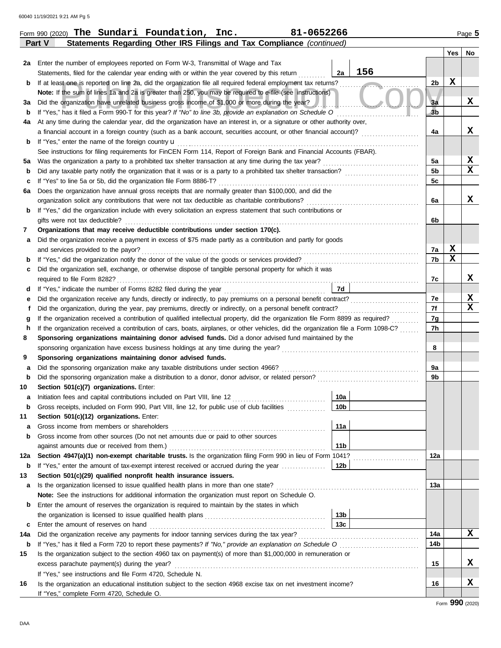|        | Statements Regarding Other IRS Filings and Tax Compliance (continued)<br>Part V                                                                                                                             |                 |  |                |     |    |  |  |  |  |  |  |  |
|--------|-------------------------------------------------------------------------------------------------------------------------------------------------------------------------------------------------------------|-----------------|--|----------------|-----|----|--|--|--|--|--|--|--|
|        |                                                                                                                                                                                                             |                 |  |                | Yes | No |  |  |  |  |  |  |  |
| 2a     | Enter the number of employees reported on Form W-3, Transmittal of Wage and Tax                                                                                                                             |                 |  |                |     |    |  |  |  |  |  |  |  |
|        | 156<br>2a<br>Statements, filed for the calendar year ending with or within the year covered by this return                                                                                                  |                 |  |                |     |    |  |  |  |  |  |  |  |
| b      | If at least one is reported on line 2a, did the organization file all required federal employment tax returns?                                                                                              |                 |  |                |     |    |  |  |  |  |  |  |  |
|        | Note: If the sum of lines 1a and 2a is greater than 250, you may be required to e-file (see instructions)                                                                                                   |                 |  |                |     |    |  |  |  |  |  |  |  |
| за     | Did the organization have unrelated business gross income of \$1,000 or more during the year?                                                                                                               |                 |  | 3a             |     | X  |  |  |  |  |  |  |  |
| b      | If "Yes," has it filed a Form 990-T for this year? If "No" to line 3b, provide an explanation on Schedule O                                                                                                 |                 |  | 3b             |     |    |  |  |  |  |  |  |  |
| 4a     | At any time during the calendar year, did the organization have an interest in, or a signature or other authority over,                                                                                     |                 |  |                |     |    |  |  |  |  |  |  |  |
|        | a financial account in a foreign country (such as a bank account, securities account, or other financial account)?                                                                                          |                 |  | 4a             |     | X  |  |  |  |  |  |  |  |
| b      | If "Yes," enter the name of the foreign country <b>u</b>                                                                                                                                                    |                 |  |                |     |    |  |  |  |  |  |  |  |
|        | See instructions for filing requirements for FinCEN Form 114, Report of Foreign Bank and Financial Accounts (FBAR).                                                                                         |                 |  |                |     |    |  |  |  |  |  |  |  |
| 5a     | Was the organization a party to a prohibited tax shelter transaction at any time during the tax year?                                                                                                       |                 |  | 5a             |     | X  |  |  |  |  |  |  |  |
| b      |                                                                                                                                                                                                             |                 |  | 5 <sub>b</sub> |     | X  |  |  |  |  |  |  |  |
| c      | If "Yes" to line 5a or 5b, did the organization file Form 8886-T?                                                                                                                                           |                 |  | 5c             |     |    |  |  |  |  |  |  |  |
| 6а     | Does the organization have annual gross receipts that are normally greater than \$100,000, and did the                                                                                                      |                 |  |                |     |    |  |  |  |  |  |  |  |
|        | organization solicit any contributions that were not tax deductible as charitable contributions?                                                                                                            |                 |  | 6a             |     | X  |  |  |  |  |  |  |  |
| b      | If "Yes," did the organization include with every solicitation an express statement that such contributions or                                                                                              |                 |  |                |     |    |  |  |  |  |  |  |  |
|        | gifts were not tax deductible?                                                                                                                                                                              |                 |  | 6b             |     |    |  |  |  |  |  |  |  |
| 7      | Organizations that may receive deductible contributions under section 170(c).                                                                                                                               |                 |  |                |     |    |  |  |  |  |  |  |  |
| а      | Did the organization receive a payment in excess of \$75 made partly as a contribution and partly for goods                                                                                                 |                 |  |                | X   |    |  |  |  |  |  |  |  |
|        | and services provided to the payor?                                                                                                                                                                         |                 |  | 7а<br>7b       | х   |    |  |  |  |  |  |  |  |
| b<br>c | If "Yes," did the organization notify the donor of the value of the goods or services provided?<br>Did the organization sell, exchange, or otherwise dispose of tangible personal property for which it was |                 |  |                |     |    |  |  |  |  |  |  |  |
|        | required to file Form 8282?                                                                                                                                                                                 |                 |  | 7с             |     | X  |  |  |  |  |  |  |  |
| d      |                                                                                                                                                                                                             | 7d              |  |                |     |    |  |  |  |  |  |  |  |
| е      |                                                                                                                                                                                                             |                 |  | 7e             |     | х  |  |  |  |  |  |  |  |
| f      | Did the organization, during the year, pay premiums, directly or indirectly, on a personal benefit contract?                                                                                                |                 |  | 7f             |     | X  |  |  |  |  |  |  |  |
| g      | If the organization received a contribution of qualified intellectual property, did the organization file Form 8899 as required?                                                                            |                 |  | 7g             |     |    |  |  |  |  |  |  |  |
| h      | If the organization received a contribution of cars, boats, airplanes, or other vehicles, did the organization file a Form 1098-C?                                                                          |                 |  | 7h             |     |    |  |  |  |  |  |  |  |
| 8      | Sponsoring organizations maintaining donor advised funds. Did a donor advised fund maintained by the                                                                                                        |                 |  |                |     |    |  |  |  |  |  |  |  |
|        | sponsoring organization have excess business holdings at any time during the year?                                                                                                                          |                 |  | 8              |     |    |  |  |  |  |  |  |  |
| 9      | Sponsoring organizations maintaining donor advised funds.                                                                                                                                                   |                 |  |                |     |    |  |  |  |  |  |  |  |
| а      | Did the sponsoring organization make any taxable distributions under section 4966?                                                                                                                          |                 |  | 9a             |     |    |  |  |  |  |  |  |  |
| b      |                                                                                                                                                                                                             |                 |  | 9b             |     |    |  |  |  |  |  |  |  |
| 10     | Section 501(c)(7) organizations. Enter:                                                                                                                                                                     |                 |  |                |     |    |  |  |  |  |  |  |  |
| а      |                                                                                                                                                                                                             | 10a             |  |                |     |    |  |  |  |  |  |  |  |
|        | Gross receipts, included on Form 990, Part VIII, line 12, for public use of club facilities                                                                                                                 | 10 <sub>b</sub> |  |                |     |    |  |  |  |  |  |  |  |
| 11     | Section 501(c)(12) organizations. Enter:                                                                                                                                                                    |                 |  |                |     |    |  |  |  |  |  |  |  |
| а      | Gross income from members or shareholders                                                                                                                                                                   | 11a             |  |                |     |    |  |  |  |  |  |  |  |
| b      | Gross income from other sources (Do not net amounts due or paid to other sources                                                                                                                            |                 |  |                |     |    |  |  |  |  |  |  |  |
|        |                                                                                                                                                                                                             | 11 <sub>b</sub> |  |                |     |    |  |  |  |  |  |  |  |
| 12a    | Section 4947(a)(1) non-exempt charitable trusts. Is the organization filing Form 990 in lieu of Form 1041?                                                                                                  |                 |  | 12a            |     |    |  |  |  |  |  |  |  |
| b      | If "Yes," enter the amount of tax-exempt interest received or accrued during the year <i>conservances</i>                                                                                                   | 12b             |  |                |     |    |  |  |  |  |  |  |  |
| 13     | Section 501(c)(29) qualified nonprofit health insurance issuers.                                                                                                                                            |                 |  |                |     |    |  |  |  |  |  |  |  |
| а      | Is the organization licensed to issue qualified health plans in more than one state?                                                                                                                        |                 |  | 13а            |     |    |  |  |  |  |  |  |  |
|        | Note: See the instructions for additional information the organization must report on Schedule O.                                                                                                           |                 |  |                |     |    |  |  |  |  |  |  |  |
| b      | Enter the amount of reserves the organization is required to maintain by the states in which                                                                                                                |                 |  |                |     |    |  |  |  |  |  |  |  |
|        |                                                                                                                                                                                                             | 13 <sub>b</sub> |  |                |     |    |  |  |  |  |  |  |  |
| c      | Enter the amount of reserves on hand                                                                                                                                                                        | 13 <sub>c</sub> |  |                |     |    |  |  |  |  |  |  |  |
| 14a    | Did the organization receive any payments for indoor tanning services during the tax year?                                                                                                                  |                 |  | 14a            |     | x  |  |  |  |  |  |  |  |
| b      |                                                                                                                                                                                                             |                 |  | 14b            |     |    |  |  |  |  |  |  |  |
| 15     | Is the organization subject to the section 4960 tax on payment(s) of more than \$1,000,000 in remuneration or                                                                                               |                 |  |                |     |    |  |  |  |  |  |  |  |
|        | excess parachute payment(s) during the year?                                                                                                                                                                |                 |  | 15             |     | x  |  |  |  |  |  |  |  |
|        | If "Yes," see instructions and file Form 4720, Schedule N.                                                                                                                                                  |                 |  |                |     |    |  |  |  |  |  |  |  |
| 16     | Is the organization an educational institution subject to the section 4968 excise tax on net investment income?                                                                                             |                 |  | 16             |     | X  |  |  |  |  |  |  |  |
|        | If "Yes," complete Form 4720, Schedule O.                                                                                                                                                                   |                 |  |                |     |    |  |  |  |  |  |  |  |

Form 990 (2020) Page **5 The Sundari Foundation, Inc. 81-0652266**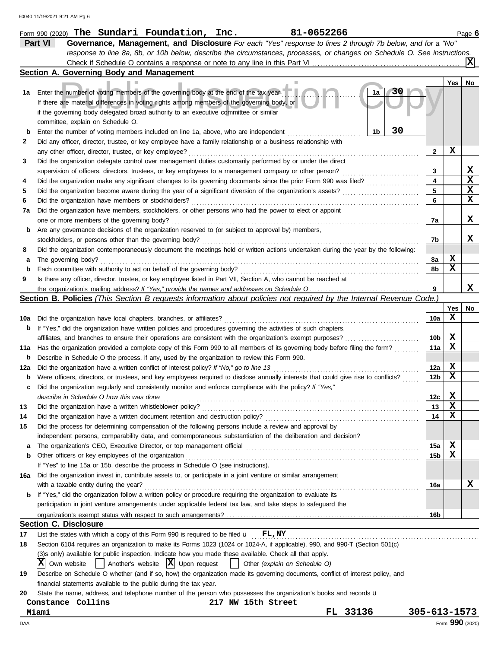|             | 81-0652266<br>Form 990 (2020) The Sundari Foundation, Inc.                                                                                            |              |            | Page 6          |
|-------------|-------------------------------------------------------------------------------------------------------------------------------------------------------|--------------|------------|-----------------|
|             | Part VI<br>Governance, Management, and Disclosure For each "Yes" response to lines 2 through 7b below, and for a "No"                                 |              |            |                 |
|             | response to line 8a, 8b, or 10b below, describe the circumstances, processes, or changes on Schedule O. See instructions.                             |              |            |                 |
|             |                                                                                                                                                       |              |            |                 |
|             | Section A. Governing Body and Management                                                                                                              |              |            |                 |
|             |                                                                                                                                                       |              | Yes        | No              |
| 1а          | Enter the number of voting members of the governing body at the end of the tax year<br>1a                                                             |              |            |                 |
|             | If there are material differences in voting rights among members of the governing body, or                                                            |              |            |                 |
|             | if the governing body delegated broad authority to an executive committee or similar                                                                  |              |            |                 |
|             | committee, explain on Schedule O.                                                                                                                     |              |            |                 |
| b           | 30<br>1b<br>Enter the number of voting members included on line 1a, above, who are independent                                                        |              |            |                 |
| 2           | Did any officer, director, trustee, or key employee have a family relationship or a business relationship with                                        |              |            |                 |
|             | any other officer, director, trustee, or key employee?                                                                                                | 2            | х          |                 |
| 3           | Did the organization delegate control over management duties customarily performed by or under the direct                                             |              |            |                 |
|             | supervision of officers, directors, trustees, or key employees to a management company or other person?                                               | 3            |            | x               |
| 4           | Did the organization make any significant changes to its governing documents since the prior Form 990 was filed?                                      | 4            |            | x               |
| 5           | Did the organization become aware during the year of a significant diversion of the organization's assets?                                            | 5            |            | $\mathbf x$     |
| 6           | Did the organization have members or stockholders?                                                                                                    | 6            |            | x               |
| 7a          | Did the organization have members, stockholders, or other persons who had the power to elect or appoint                                               |              |            |                 |
|             | one or more members of the governing body?                                                                                                            | 7a           |            | x               |
| b           | Are any governance decisions of the organization reserved to (or subject to approval by) members,                                                     |              |            |                 |
|             | stockholders, or persons other than the governing body?                                                                                               | 7b           |            | X.              |
| 8           | Did the organization contemporaneously document the meetings held or written actions undertaken during the year by the following:                     |              |            |                 |
| а           | The governing body?                                                                                                                                   | 8а           | X          |                 |
| b           | Each committee with authority to act on behalf of the governing body?                                                                                 | 8b           | X          |                 |
| 9           | Is there any officer, director, trustee, or key employee listed in Part VII, Section A, who cannot be reached at                                      |              |            |                 |
|             |                                                                                                                                                       | 9            |            | x               |
|             | <b>Section B. Policies</b> (This Section B requests information about policies not required by the Internal Revenue Code.)                            |              |            |                 |
|             |                                                                                                                                                       |              | <b>Yes</b> | No              |
| 10a         | Did the organization have local chapters, branches, or affiliates?                                                                                    | 10a          | х          |                 |
| b           | If "Yes," did the organization have written policies and procedures governing the activities of such chapters,                                        |              |            |                 |
|             | affiliates, and branches to ensure their operations are consistent with the organization's exempt purposes?                                           | 10b          | X          |                 |
| 11a         | Has the organization provided a complete copy of this Form 990 to all members of its governing body before filing the form?                           | 11a          | X          |                 |
|             | Describe in Schedule O the process, if any, used by the organization to review this Form 990.                                                         |              |            |                 |
| b           | Did the organization have a written conflict of interest policy? If "No," go to line 13                                                               | 12a          | X          |                 |
| 12a         | Were officers, directors, or trustees, and key employees required to disclose annually interests that could give rise to conflicts?                   | 12b          | х          |                 |
| $\mathbf b$ |                                                                                                                                                       |              |            |                 |
| c           | Did the organization regularly and consistently monitor and enforce compliance with the policy? If "Yes,"<br>describe in Schedule O how this was done |              | X          |                 |
|             |                                                                                                                                                       | 12с          | X          |                 |
| 13          | Did the organization have a written whistleblower policy?                                                                                             | 13           | х          |                 |
| 14          | Did the organization have a written document retention and destruction policy?                                                                        | 14           |            |                 |
| 15          | Did the process for determining compensation of the following persons include a review and approval by                                                |              |            |                 |
|             | independent persons, comparability data, and contemporaneous substantiation of the deliberation and decision?                                         |              |            |                 |
| a           |                                                                                                                                                       | 15a          | X          |                 |
| b           | Other officers or key employees of the organization                                                                                                   | 15b          | х          |                 |
|             | If "Yes" to line 15a or 15b, describe the process in Schedule O (see instructions).                                                                   |              |            |                 |
| 16a         | Did the organization invest in, contribute assets to, or participate in a joint venture or similar arrangement                                        |              |            |                 |
|             | with a taxable entity during the year?                                                                                                                | 16a          |            | x               |
| b           | If "Yes," did the organization follow a written policy or procedure requiring the organization to evaluate its                                        |              |            |                 |
|             | participation in joint venture arrangements under applicable federal tax law, and take steps to safeguard the                                         |              |            |                 |
|             |                                                                                                                                                       | 16b          |            |                 |
|             | <b>Section C. Disclosure</b>                                                                                                                          |              |            |                 |
| 17          | List the states with which a copy of this Form 990 is required to be filed $\mathbf{u}$ FL, NY                                                        |              |            |                 |
| 18          | Section 6104 requires an organization to make its Forms 1023 (1024 or 1024-A, if applicable), 990, and 990-T (Section 501(c)                          |              |            |                 |
|             | (3)s only) available for public inspection. Indicate how you made these available. Check all that apply.                                              |              |            |                 |
|             | x <br>Another's website $ \mathbf{X} $ Upon request<br>Own website<br>Other (explain on Schedule O)                                                   |              |            |                 |
| 19          | Describe on Schedule O whether (and if so, how) the organization made its governing documents, conflict of interest policy, and                       |              |            |                 |
|             | financial statements available to the public during the tax year.                                                                                     |              |            |                 |
| 20          | State the name, address, and telephone number of the person who possesses the organization's books and records u                                      |              |            |                 |
|             | Constance Collins<br>217 NW 15th Street                                                                                                               |              |            |                 |
|             | FL 33136<br>Miami                                                                                                                                     | 305-613-1573 |            |                 |
| DAA         |                                                                                                                                                       |              |            | Form 990 (2020) |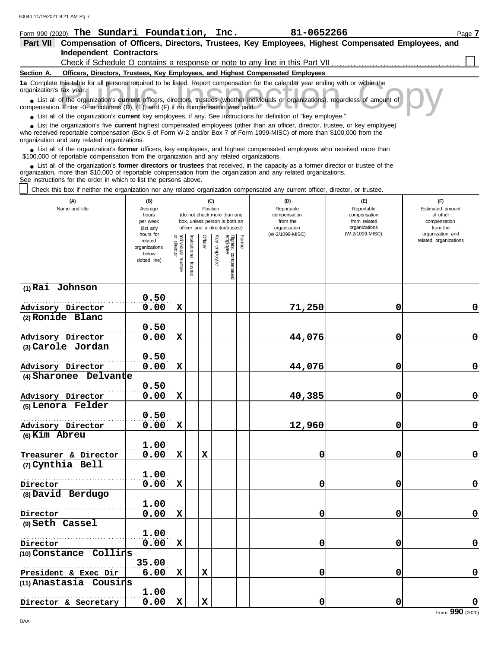|                          |                                             | Form 990 (2020) The Sundari Foundation, Inc.                                                                                                                                                                                                                     | 81-0652266 | Page 7 |
|--------------------------|---------------------------------------------|------------------------------------------------------------------------------------------------------------------------------------------------------------------------------------------------------------------------------------------------------------------|------------|--------|
| <b>Part VII</b>          |                                             | Compensation of Officers, Directors, Trustees, Key Employees, Highest Compensated Employees, and                                                                                                                                                                 |            |        |
|                          | <b>Independent Contractors</b>              |                                                                                                                                                                                                                                                                  |            |        |
|                          |                                             | Check if Schedule O contains a response or note to any line in this Part VII                                                                                                                                                                                     |            |        |
| Section A.               |                                             | Officers, Directors, Trustees, Key Employees, and Highest Compensated Employees                                                                                                                                                                                  |            |        |
|                          |                                             | 1a Complete this table for all persons required to be listed. Report compensation for the calendar year ending with or within the                                                                                                                                |            |        |
| organization's tax year. |                                             | List all of the organization's <b>current</b> officers, directors, trustees (whether individuals or organizations), regardless of amount of<br>compensation. Enter -0- in columns (D), (E), and (F) if no compensation was paid.                                 |            |        |
|                          |                                             | • List all of the organization's current key employees, if any. See instructions for definition of "key employee."                                                                                                                                               |            |        |
|                          | organization and any related organizations. | List the organization's five <b>current</b> highest compensated employees (other than an officer, director, trustee, or key employee)<br>who received reportable compensation (Box 5 of Form W-2 and/or Box 7 of Form 1099-MISC) of more than \$100,000 from the |            |        |
|                          |                                             | • List all of the organization's former officers, key employees, and highest compensated employees who received more than<br>\$100,000 of reportable compensation from the organization and any related organizations.                                           |            |        |
|                          |                                             | • List all of the organization's former directors or trustees that received, in the capacity as a former director or trustee of the                                                                                                                              |            |        |

● List all of the organization's **former directors or trustees** that received, in the capacity as a former director organization, more than \$10,000 of reportable compensation from the organization and any related organiza See instructions for the order in which to list the persons above.

 $\overline{\phantom{0}}$ Check this box if neither the organization nor any related organization compensated any current officer, director, or trustee.

| (A)<br>Name and title                      | (B)<br>Average<br>hours<br>per week<br>(list any<br>hours for |                                   | (C)<br>Position<br>(do not check more than one<br>box, unless person is both an<br>officer and a director/trustee) |             |              |                                           | (D)<br>Reportable<br>compensation<br>from the<br>organization<br>(W-2/1099-MISC) | (E)<br>Reportable<br>compensation<br>from related<br>organizations<br>(W-2/1099-MISC) | (F)<br>Estimated amount<br>of other<br>compensation<br>from the<br>organization and |
|--------------------------------------------|---------------------------------------------------------------|-----------------------------------|--------------------------------------------------------------------------------------------------------------------|-------------|--------------|-------------------------------------------|----------------------------------------------------------------------------------|---------------------------------------------------------------------------------------|-------------------------------------------------------------------------------------|
|                                            | related<br>organizations<br>below<br>dotted line)             | Individual trustee<br>or director | Institutional trustee                                                                                              | Officer     | Key employee | Highest compensated<br>employee<br>Former |                                                                                  |                                                                                       | related organizations                                                               |
| $(1)$ Rai Johnson                          |                                                               |                                   |                                                                                                                    |             |              |                                           |                                                                                  |                                                                                       |                                                                                     |
|                                            | 0.50                                                          |                                   |                                                                                                                    |             |              |                                           |                                                                                  |                                                                                       |                                                                                     |
| Advisory Director                          | 0.00                                                          | $\mathbf x$                       |                                                                                                                    |             |              |                                           | 71,250                                                                           | 0                                                                                     | $\mathbf 0$                                                                         |
| (2) Ronide Blanc                           |                                                               |                                   |                                                                                                                    |             |              |                                           |                                                                                  |                                                                                       |                                                                                     |
| .                                          | 0.50                                                          |                                   |                                                                                                                    |             |              |                                           |                                                                                  |                                                                                       | $\pmb{0}$                                                                           |
| Advisory Director                          | 0.00                                                          | X                                 |                                                                                                                    |             |              |                                           | 44,076                                                                           | 0                                                                                     |                                                                                     |
| (3) Carole Jordan                          | 0.50                                                          |                                   |                                                                                                                    |             |              |                                           |                                                                                  |                                                                                       |                                                                                     |
|                                            | 0.00                                                          | $\mathbf x$                       |                                                                                                                    |             |              |                                           | 44,076                                                                           | 0                                                                                     | $\pmb{0}$                                                                           |
| Advisory Director<br>(4) Sharonee Delvante |                                                               |                                   |                                                                                                                    |             |              |                                           |                                                                                  |                                                                                       |                                                                                     |
|                                            | 0.50                                                          |                                   |                                                                                                                    |             |              |                                           |                                                                                  |                                                                                       |                                                                                     |
| Advisory Director                          | 0.00                                                          | $\mathbf x$                       |                                                                                                                    |             |              |                                           | 40,385                                                                           | 0                                                                                     | $\mathbf 0$                                                                         |
| (5) Lenora Felder                          |                                                               |                                   |                                                                                                                    |             |              |                                           |                                                                                  |                                                                                       |                                                                                     |
|                                            | 0.50                                                          |                                   |                                                                                                                    |             |              |                                           |                                                                                  |                                                                                       |                                                                                     |
| Advisory Director                          | 0.00                                                          | $\mathbf x$                       |                                                                                                                    |             |              |                                           | 12,960                                                                           | 0                                                                                     | $\pmb{0}$                                                                           |
| (6) Kim Abreu                              |                                                               |                                   |                                                                                                                    |             |              |                                           |                                                                                  |                                                                                       |                                                                                     |
|                                            | 1.00                                                          |                                   |                                                                                                                    |             |              |                                           |                                                                                  |                                                                                       |                                                                                     |
| Treasurer & Director                       | 0.00                                                          | $\mathbf x$                       |                                                                                                                    | $\mathbf x$ |              |                                           | 0                                                                                | 0                                                                                     | 0                                                                                   |
| (7) Cynthia Bell                           |                                                               |                                   |                                                                                                                    |             |              |                                           |                                                                                  |                                                                                       |                                                                                     |
|                                            | 1.00                                                          |                                   |                                                                                                                    |             |              |                                           |                                                                                  |                                                                                       |                                                                                     |
| Director                                   | 0.00                                                          | $\mathbf x$                       |                                                                                                                    |             |              |                                           | 0                                                                                | 0                                                                                     | $\pmb{0}$                                                                           |
| (8) David Berdugo                          |                                                               |                                   |                                                                                                                    |             |              |                                           |                                                                                  |                                                                                       |                                                                                     |
|                                            | 1.00                                                          |                                   |                                                                                                                    |             |              |                                           |                                                                                  |                                                                                       |                                                                                     |
| Director                                   | 0.00                                                          | X                                 |                                                                                                                    |             |              |                                           | 0                                                                                | 0                                                                                     | 0                                                                                   |
| (9) Seth Cassel                            |                                                               |                                   |                                                                                                                    |             |              |                                           |                                                                                  |                                                                                       |                                                                                     |
|                                            | 1.00                                                          |                                   |                                                                                                                    |             |              |                                           |                                                                                  |                                                                                       |                                                                                     |
| Director                                   | 0.00                                                          | $\mathbf x$                       |                                                                                                                    |             |              |                                           | 0                                                                                | 0                                                                                     | 0                                                                                   |
| (10) Constance Collins                     |                                                               |                                   |                                                                                                                    |             |              |                                           |                                                                                  |                                                                                       |                                                                                     |
|                                            | 35.00                                                         |                                   |                                                                                                                    |             |              |                                           |                                                                                  |                                                                                       |                                                                                     |
| President & Exec Dir                       | 6.00                                                          | X                                 |                                                                                                                    | $\mathbf x$ |              |                                           | 0                                                                                | 0                                                                                     | $\pmb{0}$                                                                           |
| $(11)$ Anastasia Cousins                   |                                                               |                                   |                                                                                                                    |             |              |                                           |                                                                                  |                                                                                       |                                                                                     |
|                                            | 1.00                                                          |                                   |                                                                                                                    |             |              |                                           |                                                                                  |                                                                                       |                                                                                     |
| Director & Secretary                       | 0.00                                                          | $\mathbf x$                       |                                                                                                                    | $\mathbf x$ |              |                                           | 0                                                                                | 0                                                                                     | $\pmb{0}$                                                                           |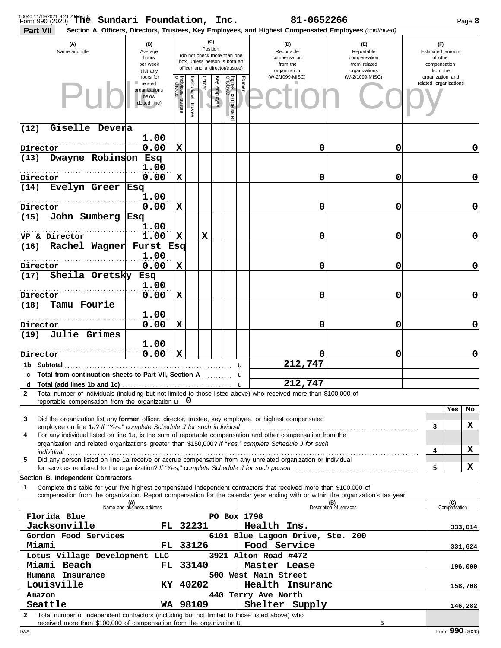| 60040 11/19/2021 9:21 AM-Pg &<br>Form 990 (2020) The                                                                                                                                                                           | Sundari Foundation, Inc.         |                                   |                       |          |          |                                                                  |              | 81-0652266                                      |                                |  |                              | Page 8              |
|--------------------------------------------------------------------------------------------------------------------------------------------------------------------------------------------------------------------------------|----------------------------------|-----------------------------------|-----------------------|----------|----------|------------------------------------------------------------------|--------------|-------------------------------------------------|--------------------------------|--|------------------------------|---------------------|
| Section A. Officers, Directors, Trustees, Key Employees, and Highest Compensated Employees (continued)<br>Part VII                                                                                                             |                                  |                                   |                       |          |          |                                                                  |              |                                                 |                                |  |                              |                     |
| (A)                                                                                                                                                                                                                            | (B)                              |                                   |                       | Position | (C)      |                                                                  |              | (D)                                             | (E)                            |  | (F)                          |                     |
| Name and title                                                                                                                                                                                                                 | Average<br>hours                 |                                   |                       |          |          | (do not check more than one                                      |              | Reportable<br>compensation                      | Reportable<br>compensation     |  | Estimated amount<br>of other |                     |
|                                                                                                                                                                                                                                | per week<br>(list any            |                                   |                       |          |          | box, unless person is both an<br>officer and a director/trustee) |              | from the<br>organization                        | from related<br>organizations  |  | compensation<br>from the     |                     |
|                                                                                                                                                                                                                                | hours for                        |                                   |                       |          | Ķey      |                                                                  |              | (W-2/1099-MISC)                                 | (W-2/1099-MISC)                |  | organization and             |                     |
|                                                                                                                                                                                                                                | related<br>organizations         | Individual trustee<br>or director |                       | Officer  |          |                                                                  | Former       |                                                 |                                |  | related organizations        |                     |
|                                                                                                                                                                                                                                | below<br>dotted line)            |                                   |                       |          | enployee |                                                                  |              |                                                 |                                |  |                              |                     |
|                                                                                                                                                                                                                                |                                  |                                   | Institutional trustee |          |          | Highest compensated<br>employee                                  |              |                                                 |                                |  |                              |                     |
|                                                                                                                                                                                                                                |                                  |                                   |                       |          |          |                                                                  |              |                                                 |                                |  |                              |                     |
| Giselle Devera<br>(12)                                                                                                                                                                                                         |                                  |                                   |                       |          |          |                                                                  |              |                                                 |                                |  |                              |                     |
| Director                                                                                                                                                                                                                       | 1.00<br>0.00                     | $\mathbf x$                       |                       |          |          |                                                                  |              | 0                                               | 0                              |  |                              | 0                   |
| Dwayne Robinson<br>(13)                                                                                                                                                                                                        | Esq                              |                                   |                       |          |          |                                                                  |              |                                                 |                                |  |                              |                     |
|                                                                                                                                                                                                                                | 1.00                             |                                   |                       |          |          |                                                                  |              |                                                 |                                |  |                              |                     |
| Director                                                                                                                                                                                                                       | 0.00                             | X                                 |                       |          |          |                                                                  |              | 0                                               | 0                              |  |                              | 0                   |
| Evelyn Greer<br>(14)                                                                                                                                                                                                           | Esq                              |                                   |                       |          |          |                                                                  |              |                                                 |                                |  |                              |                     |
|                                                                                                                                                                                                                                | 1.00                             |                                   |                       |          |          |                                                                  |              |                                                 |                                |  |                              |                     |
| Director                                                                                                                                                                                                                       | 0.00                             | X                                 |                       |          |          |                                                                  |              | 0                                               | 0                              |  |                              | 0                   |
| John Sumberg<br>(15)                                                                                                                                                                                                           | Esq                              |                                   |                       |          |          |                                                                  |              |                                                 |                                |  |                              |                     |
| VP & Director                                                                                                                                                                                                                  | 1.00<br>1.00                     | X                                 |                       | X        |          |                                                                  |              | 0                                               | 0                              |  |                              | 0                   |
| Rachel Wagner<br>(16)                                                                                                                                                                                                          | Furst                            | Esq                               |                       |          |          |                                                                  |              |                                                 |                                |  |                              |                     |
|                                                                                                                                                                                                                                | 1.00                             |                                   |                       |          |          |                                                                  |              |                                                 |                                |  |                              |                     |
| Director                                                                                                                                                                                                                       | 0.00                             | X                                 |                       |          |          |                                                                  |              | 0                                               | 0                              |  |                              | 0                   |
| Sheila Oretsky<br>(17)                                                                                                                                                                                                         | Esq                              |                                   |                       |          |          |                                                                  |              |                                                 |                                |  |                              |                     |
|                                                                                                                                                                                                                                | 1.00                             |                                   |                       |          |          |                                                                  |              |                                                 |                                |  |                              |                     |
| Director                                                                                                                                                                                                                       | 0.00                             | X                                 |                       |          |          |                                                                  |              | 0                                               | 0                              |  |                              | 0                   |
| (18)<br>Tamu Fourie                                                                                                                                                                                                            |                                  |                                   |                       |          |          |                                                                  |              |                                                 |                                |  |                              |                     |
|                                                                                                                                                                                                                                | 1.00                             |                                   |                       |          |          |                                                                  |              |                                                 |                                |  |                              |                     |
| Director<br>Julie Grimes<br>(19)                                                                                                                                                                                               | 0.00                             | х                                 |                       |          |          |                                                                  |              | 0                                               | 0                              |  |                              | 0                   |
|                                                                                                                                                                                                                                | 1.00                             |                                   |                       |          |          |                                                                  |              |                                                 |                                |  |                              |                     |
| Director                                                                                                                                                                                                                       | 0.00                             | $\mathbf x$                       |                       |          |          |                                                                  |              |                                                 | 0                              |  |                              | 0                   |
| 1b Subtotal                                                                                                                                                                                                                    |                                  |                                   |                       |          |          |                                                                  | u            | 212,747                                         |                                |  |                              |                     |
| c Total from continuation sheets to Part VII, Section A <i>miniming</i>                                                                                                                                                        |                                  |                                   |                       |          |          |                                                                  | u            |                                                 |                                |  |                              |                     |
| d                                                                                                                                                                                                                              |                                  |                                   |                       |          |          |                                                                  | $\mathbf{u}$ | 212,747                                         |                                |  |                              |                     |
| Total number of individuals (including but not limited to those listed above) who received more than \$100,000 of<br>$\mathbf{2}$<br>reportable compensation from the organization $\mathbf{u} \cdot \mathbf{0}$               |                                  |                                   |                       |          |          |                                                                  |              |                                                 |                                |  |                              |                     |
|                                                                                                                                                                                                                                |                                  |                                   |                       |          |          |                                                                  |              |                                                 |                                |  |                              | Yes<br>No           |
| Did the organization list any former officer, director, trustee, key employee, or highest compensated<br>3                                                                                                                     |                                  |                                   |                       |          |          |                                                                  |              |                                                 |                                |  |                              |                     |
| For any individual listed on line 1a, is the sum of reportable compensation and other compensation from the<br>4                                                                                                               |                                  |                                   |                       |          |          |                                                                  |              |                                                 |                                |  | 3                            | X.                  |
| organization and related organizations greater than \$150,000? If "Yes," complete Schedule J for such                                                                                                                          |                                  |                                   |                       |          |          |                                                                  |              |                                                 |                                |  |                              |                     |
| individual with a construction of the construction of the construction of the construction of the construction of the construction of the construction of the construction of the construction of the construction of the cons |                                  |                                   |                       |          |          |                                                                  |              |                                                 |                                |  | 4                            | X.                  |
| Did any person listed on line 1a receive or accrue compensation from any unrelated organization or individual<br>5                                                                                                             |                                  |                                   |                       |          |          |                                                                  |              |                                                 |                                |  | 5                            | x                   |
| Section B. Independent Contractors                                                                                                                                                                                             |                                  |                                   |                       |          |          |                                                                  |              |                                                 |                                |  |                              |                     |
| Complete this table for your five highest compensated independent contractors that received more than \$100,000 of<br>1                                                                                                        |                                  |                                   |                       |          |          |                                                                  |              |                                                 |                                |  |                              |                     |
| compensation from the organization. Report compensation for the calendar year ending with or within the organization's tax year.                                                                                               |                                  |                                   |                       |          |          |                                                                  |              |                                                 |                                |  |                              |                     |
|                                                                                                                                                                                                                                | (A)<br>Name and business address |                                   |                       |          |          |                                                                  |              |                                                 | (B)<br>Description of services |  |                              | (C)<br>Compensation |
| Florida Blue                                                                                                                                                                                                                   |                                  |                                   |                       |          |          | PO Box 1798                                                      |              |                                                 |                                |  |                              |                     |
| Jacksonville<br>Gordon Food Services                                                                                                                                                                                           |                                  |                                   | FL 32231              |          |          |                                                                  |              | Health Ins.<br>6101 Blue Lagoon Drive, Ste. 200 |                                |  |                              | 333,014             |
| Miami                                                                                                                                                                                                                          |                                  |                                   | FL 33126              |          |          |                                                                  |              | Food Service                                    |                                |  |                              |                     |
| Lotus Village Development LLC                                                                                                                                                                                                  |                                  |                                   |                       |          |          |                                                                  |              | 3921 Alton Road #472                            |                                |  |                              | 331,624             |
| Miami Beach                                                                                                                                                                                                                    |                                  |                                   | FL 33140              |          |          |                                                                  |              | Master Lease                                    |                                |  |                              | 196,000             |
| Humana Insurance                                                                                                                                                                                                               |                                  |                                   |                       |          |          |                                                                  |              | 500 West Main Street                            |                                |  |                              |                     |
| Louisville                                                                                                                                                                                                                     | KY                               |                                   | 40202                 |          |          |                                                                  |              | Health Insuranc                                 |                                |  |                              | 158,708             |
| Amazon                                                                                                                                                                                                                         |                                  |                                   |                       |          |          |                                                                  |              | 440 Terry Ave North                             |                                |  |                              |                     |
| Seattle                                                                                                                                                                                                                        |                                  |                                   | WA 98109              |          |          |                                                                  |              | Shelter Supply                                  |                                |  |                              | 146,282             |
| Total number of independent contractors (including but not limited to those listed above) who<br>2<br>received more than \$100,000 of compensation from the organization u                                                     |                                  |                                   |                       |          |          |                                                                  |              |                                                 |                                |  |                              |                     |
|                                                                                                                                                                                                                                |                                  |                                   |                       |          |          |                                                                  |              |                                                 |                                |  |                              | ഹ                   |

| DAA | Form 990 (2020) |  |  |  |  |  |
|-----|-----------------|--|--|--|--|--|
|-----|-----------------|--|--|--|--|--|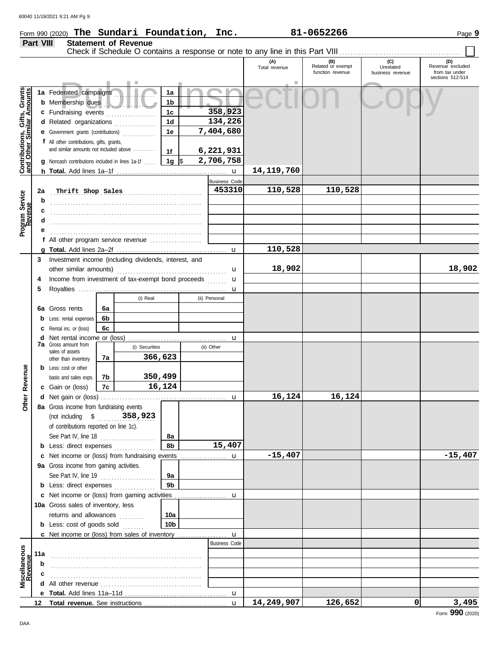#### Form 990 (2020) Page **9 The Sundari Foundation, Inc. 81-0652266 Part VIII Statement of Revenue** Check if Schedule O contains a response or note to any line in this Part VIII . . . . . . . . . . . . . . . . . . . . . . . . . . . . . . . . . . . . . . . . . . . . (D)<br>Revenue excluded<br>from tax under<br>sections 512-514 **(A) (B) (C) (D)** Total revenue Related or exempt Unrelated Revenue excluded function revenue business revenue from tax under Public Inspection Copy ts, Grants **1a 1a** Federated campaigns . . . . . . . . . . . . . . . **1b b** Membership dues . . . . . . . . . . . . . . . . . . . **358,923 1c c** Fundraising events . . . . . . . . . . . . . . . . **134,226 d** Related organizations **..............**.. **1d**

|                                                                  |     | 1a Federated campaigns                                                              |    |                | 1a              |  |                      |            |         |   |              |
|------------------------------------------------------------------|-----|-------------------------------------------------------------------------------------|----|----------------|-----------------|--|----------------------|------------|---------|---|--------------|
|                                                                  |     | <b>b</b> Membership dues                                                            |    |                | 1b              |  |                      |            |         |   |              |
|                                                                  |     | c Fundraising events                                                                |    |                | 1c              |  | 358,923              |            |         |   |              |
|                                                                  |     | d Related organizations                                                             |    |                | 1 <sub>d</sub>  |  | 134,226              |            |         |   |              |
|                                                                  |     | e Government grants (contributions)                                                 |    |                | 1e              |  | 7,404,680            |            |         |   |              |
| <b>Contributions, Gifts, Grants</b><br>and Other Similar Amounts |     | f All other contributions, gifts, grants,<br>and similar amounts not included above |    |                | 1f              |  | 6,221,931            |            |         |   |              |
|                                                                  |     | <b>g</b> Noncash contributions included in lines 1a-1f                              |    |                | 1g $\sqrt{3}$   |  | 2,706,758            |            |         |   |              |
|                                                                  |     |                                                                                     |    |                |                 |  | $\mathbf{u}$         | 14,119,760 |         |   |              |
|                                                                  |     |                                                                                     |    |                |                 |  | <b>Business Code</b> |            |         |   |              |
|                                                                  | 2a  | Thrift Shop Sales                                                                   |    |                |                 |  | 453310               | 110,528    | 110,528 |   |              |
|                                                                  | b   |                                                                                     |    |                |                 |  |                      |            |         |   |              |
|                                                                  |     |                                                                                     |    |                |                 |  |                      |            |         |   |              |
|                                                                  | d   |                                                                                     |    |                |                 |  |                      |            |         |   |              |
| Program Service<br>Revenue                                       |     |                                                                                     |    |                |                 |  |                      |            |         |   |              |
|                                                                  |     | f All other program service revenue                                                 |    |                |                 |  |                      |            |         |   |              |
|                                                                  |     |                                                                                     |    |                |                 |  |                      | 110,528    |         |   |              |
|                                                                  | 3   | Investment income (including dividends, interest, and                               |    |                |                 |  |                      |            |         |   |              |
|                                                                  |     | other similar amounts)                                                              |    |                |                 |  | $\mathbf u$          | 18,902     |         |   | 18,902       |
|                                                                  | 4   | Income from investment of tax-exempt bond proceeds                                  |    |                |                 |  | u                    |            |         |   |              |
|                                                                  | 5   |                                                                                     |    |                |                 |  | u                    |            |         |   |              |
|                                                                  |     |                                                                                     |    | (i) Real       |                 |  | (ii) Personal        |            |         |   |              |
|                                                                  |     | 6a Gross rents                                                                      | 6а |                |                 |  |                      |            |         |   |              |
|                                                                  |     | <b>b</b> Less: rental expenses                                                      | 6b |                |                 |  |                      |            |         |   |              |
|                                                                  | c   | Rental inc. or (loss)                                                               | 6с |                |                 |  |                      |            |         |   |              |
|                                                                  | d   | Net rental income or (loss)                                                         |    |                |                 |  | u                    |            |         |   |              |
|                                                                  |     | <b>7a</b> Gross amount from                                                         |    | (i) Securities |                 |  | (ii) Other           |            |         |   |              |
|                                                                  |     | sales of assets<br>other than inventory                                             | 7a | 366,623        |                 |  |                      |            |         |   |              |
|                                                                  |     | <b>b</b> Less: cost or other                                                        |    |                |                 |  |                      |            |         |   |              |
|                                                                  |     | basis and sales exps.                                                               | 7b | 350,499        |                 |  |                      |            |         |   |              |
| Revenue                                                          |     | <b>c</b> Gain or (loss)                                                             | 7c |                | 16,124          |  |                      |            |         |   |              |
|                                                                  |     |                                                                                     |    |                |                 |  |                      | 16,124     | 16,124  |   |              |
| Other                                                            |     | 8a Gross income from fundraising events                                             |    |                |                 |  |                      |            |         |   |              |
|                                                                  |     | (not including \$                                                                   |    | 358,923        |                 |  |                      |            |         |   |              |
|                                                                  |     | of contributions reported on line 1c).                                              |    |                |                 |  |                      |            |         |   |              |
|                                                                  |     | See Part IV, line 18                                                                |    | .              | 8а              |  |                      |            |         |   |              |
|                                                                  |     | <b>b</b> Less: direct expenses                                                      |    |                | 8b              |  | 15,407               |            |         |   |              |
|                                                                  |     | c Net income or (loss) from fundraising events                                      |    |                |                 |  |                      | -15,407    |         |   | $-15,407$    |
|                                                                  |     | 9a Gross income from gaming activities.                                             |    |                |                 |  |                      |            |         |   |              |
|                                                                  |     | See Part IV, line 19                                                                |    | .              | 9a              |  |                      |            |         |   |              |
|                                                                  |     | <b>b</b> Less: direct expenses                                                      |    |                | 9 <sub>b</sub>  |  |                      |            |         |   |              |
|                                                                  |     |                                                                                     |    |                |                 |  |                      |            |         |   |              |
|                                                                  |     | 10a Gross sales of inventory, less                                                  |    |                |                 |  |                      |            |         |   |              |
|                                                                  |     | returns and allowances                                                              |    | .              | 10a             |  |                      |            |         |   |              |
|                                                                  |     | <b>b</b> Less: cost of goods sold                                                   |    |                | 10 <sub>b</sub> |  |                      |            |         |   |              |
|                                                                  |     |                                                                                     |    |                |                 |  |                      |            |         |   |              |
|                                                                  |     |                                                                                     |    |                |                 |  | <b>Business Code</b> |            |         |   |              |
|                                                                  | 11a |                                                                                     |    |                |                 |  |                      |            |         |   |              |
| Miscellaneous<br>Revenue                                         | b   |                                                                                     |    |                |                 |  |                      |            |         |   |              |
|                                                                  |     |                                                                                     |    |                |                 |  |                      |            |         |   |              |
|                                                                  | d   |                                                                                     |    |                |                 |  |                      |            |         |   |              |
|                                                                  |     |                                                                                     |    |                |                 |  |                      |            |         | 0 |              |
|                                                                  | 12  |                                                                                     |    |                |                 |  |                      | 14,249,907 | 126,652 |   | 3,495<br>QQQ |

DAA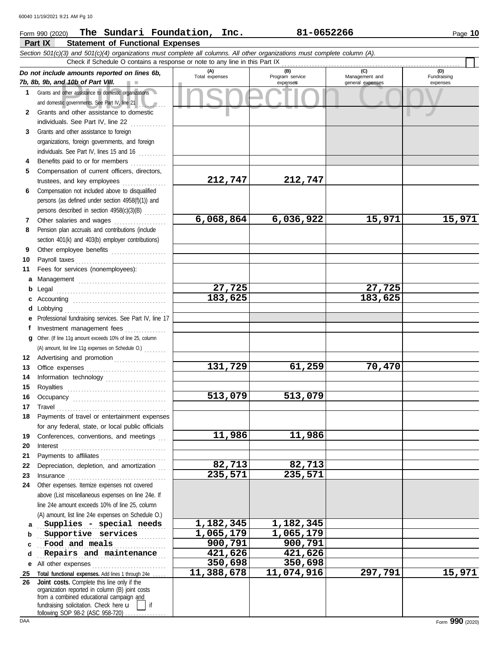#### nd 10b of Part VIII. expenses expenses expenses expenses expenses expenses expenses expenses expenses expenses expenses expenses expenses expenses expenses expenses expenses expenses expenses expenses expenses expenses exp **Part IX Statement of Functional Expenses** Form 990 (2020) Page **10 The Sundari Foundation, Inc. 81-0652266** *Section 501(c)(3) and 501(c)(4) organizations must complete all columns. All other organizations must complete column (A). Do not include amounts reported on lines 6b, 7b, 8b, 9b, and 10b of Part VIII.* **1 2 3 4 5** Grants and other assistance to domestic organizations and domestic governments. See Part IV, line 21 . . . . . . . . . . Grants and other assistance to domestic individuals. See Part IV, line  $22$  ............. Grants and other assistance to foreign organizations, foreign governments, and foreign individuals. See Part IV, lines 15 and 16  $\ldots$ Benefits paid to or for members ............. Compensation of current officers, directors, **(A) (B) (C) (D)** Total expenses Program service Management and expenses general expenses Check if Schedule O contains a response or note to any line in this Part IX . . . . . . . . . . . . . . . . . . . . . . . . . . . . . . . . . . . . . . . . . . . . . . . . . . . . . . . . . . . . . . . . . 60040 11/19/2021 9:21 AM Pg 10

|    | <b>UNIVERSITY ORIGINAL CONTROL</b>                                                             |            |                        |         |        |
|----|------------------------------------------------------------------------------------------------|------------|------------------------|---------|--------|
|    | and domestic governments. See Part IV, line 21                                                 |            |                        |         |        |
| 2  | Grants and other assistance to domestic                                                        |            |                        |         |        |
|    | individuals. See Part IV, line 22                                                              |            |                        |         |        |
| 3  | Grants and other assistance to foreign                                                         |            |                        |         |        |
|    | organizations, foreign governments, and foreign                                                |            |                        |         |        |
|    | individuals. See Part IV, lines 15 and 16                                                      |            |                        |         |        |
| 4  | Benefits paid to or for members                                                                |            |                        |         |        |
| 5  | Compensation of current officers, directors,                                                   |            |                        |         |        |
|    | trustees, and key employees                                                                    | 212,747    | 212,747                |         |        |
| 6  | Compensation not included above to disqualified                                                |            |                        |         |        |
|    | persons (as defined under section 4958(f)(1)) and                                              |            |                        |         |        |
|    | persons described in section 4958(c)(3)(B)                                                     |            |                        |         |        |
| 7  | Other salaries and wages                                                                       | 6,068,864  | 6,036,922              | 15,971  | 15,971 |
| 8  | Pension plan accruals and contributions (include                                               |            |                        |         |        |
|    | section 401(k) and 403(b) employer contributions)                                              |            |                        |         |        |
| 9  | Other employee benefits                                                                        |            |                        |         |        |
| 10 |                                                                                                |            |                        |         |        |
| 11 | Fees for services (nonemployees):                                                              |            |                        |         |        |
| a  |                                                                                                |            |                        |         |        |
| b  |                                                                                                | 27,725     |                        | 27,725  |        |
| c  |                                                                                                | 183,625    |                        | 183,625 |        |
| d  | Lobbying                                                                                       |            |                        |         |        |
| е  | Professional fundraising services. See Part IV, line 17                                        |            |                        |         |        |
| f  | Investment management fees                                                                     |            |                        |         |        |
| a  | Other. (If line 11g amount exceeds 10% of line 25, column                                      |            |                        |         |        |
|    | (A) amount, list line 11g expenses on Schedule O.)                                             |            |                        |         |        |
| 12 | Advertising and promotion                                                                      |            |                        |         |        |
| 13 |                                                                                                | 131,729    | 61,259                 | 70,470  |        |
| 14 | Information technology                                                                         |            |                        |         |        |
| 15 |                                                                                                |            |                        |         |        |
| 16 |                                                                                                | 513,079    | 513,079                |         |        |
| 17 | Travel                                                                                         |            |                        |         |        |
| 18 | Payments of travel or entertainment expenses                                                   |            |                        |         |        |
|    | for any federal, state, or local public officials                                              |            |                        |         |        |
| 19 | Conferences, conventions, and meetings                                                         | 11,986     | 11,986                 |         |        |
| 20 | Interest                                                                                       |            |                        |         |        |
| 21 | Payments to affiliates                                                                         |            |                        |         |        |
| 22 | Depreciation, depletion, and amortization                                                      | 82,713     | 82,713                 |         |        |
| 23 | Insurance                                                                                      | 235,571    | 235,571                |         |        |
| 24 | Other expenses. Itemize expenses not covered                                                   |            |                        |         |        |
|    | above (List miscellaneous expenses on line 24e. If                                             |            |                        |         |        |
|    | line 24e amount exceeds 10% of line 25, column                                                 |            |                        |         |        |
|    | (A) amount, list line 24e expenses on Schedule O.)                                             |            |                        |         |        |
| a  | Supplies - special needs                                                                       | 1,182,345  | 1,182,345              |         |        |
| b  | Supportive services                                                                            | 1,065,179  | $\overline{1,}065,179$ |         |        |
| c  | Food and meals                                                                                 | 900,791    | 900,791                |         |        |
| d  | Repairs and maintenance                                                                        | 421,626    | 421,626                |         |        |
| е  | All other expenses                                                                             | 350,698    | 350,698                |         |        |
| 25 | Total functional expenses. Add lines 1 through 24e                                             | 11,388,678 | 11,074,916             | 297,791 | 15,971 |
| 26 | Joint costs. Complete this line only if the<br>organization reported in column (B) joint costs |            |                        |         |        |
|    | from a combined educational campaign and                                                       |            |                        |         |        |
|    | fundraising solicitation. Check here u                                                         |            |                        |         |        |

following SOP 98-2 (ASC 958-720) . . . . . . . . . . . . .

(D)<br>Fundraising expenses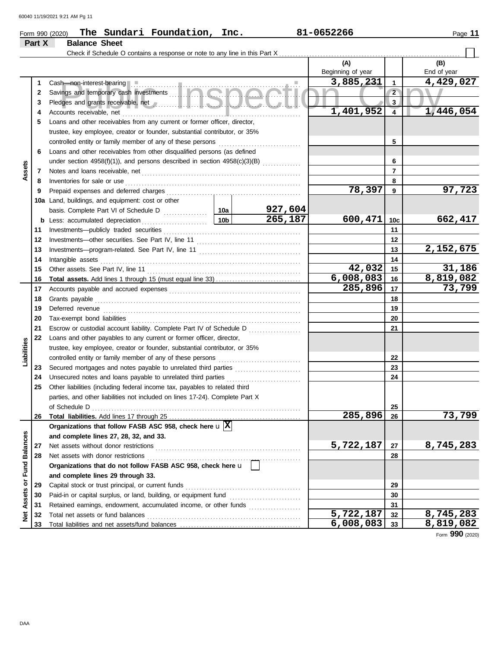**Part X Balance Sheet**

#### Form 990 (2020) The Sundari Foundation, Inc.  $81-0652266$  Page 11 **The Sundari Foundation, Inc. 81-0652266**

| 81-0652266 |  |
|------------|--|
|------------|--|

|                      |    | Check if Schedule O contains a response or note to any line in this Part X                                                                                                                                                          |                 |           |                   |              |             |
|----------------------|----|-------------------------------------------------------------------------------------------------------------------------------------------------------------------------------------------------------------------------------------|-----------------|-----------|-------------------|--------------|-------------|
|                      |    |                                                                                                                                                                                                                                     |                 |           | (A)               |              | (B)         |
|                      |    |                                                                                                                                                                                                                                     |                 |           | Beginning of year |              | End of year |
|                      | 1  |                                                                                                                                                                                                                                     |                 |           | 3,885,231         | $\mathbf{1}$ | 4,429,027   |
|                      | 2  |                                                                                                                                                                                                                                     |                 |           |                   | $2 -$        |             |
|                      | 3  | Pledges and grants receivable, net www.com.com/second-community/second-community/second-community/second-community/second-community/second-community/second-community/second-community/second-community/second-community/secon      |                 |           |                   | 3            |             |
|                      | 4  | Accounts receivable, net                                                                                                                                                                                                            |                 |           | 1,401,952         | 4            | 1,446,054   |
|                      | 5  | Loans and other receivables from any current or former officer, director,                                                                                                                                                           |                 |           |                   |              |             |
|                      |    | trustee, key employee, creator or founder, substantial contributor, or 35%                                                                                                                                                          |                 |           |                   |              |             |
|                      |    | controlled entity or family member of any of these persons                                                                                                                                                                          |                 |           |                   | 5            |             |
|                      | 6  | Loans and other receivables from other disqualified persons (as defined                                                                                                                                                             |                 |           |                   |              |             |
|                      |    | under section 4958(f)(1)), and persons described in section 4958(c)(3)(B)                                                                                                                                                           |                 |           |                   | 6            |             |
| Assets               | 7  | Notes and loans receivable, net <b>constructs</b> and in the loan of the loan of the loan of the loan of the loan of the loan of the loan of the loan of the loan of the loan of the loan of the loan of the loan of the loan of th | 7               |           |                   |              |             |
|                      | 8  | Inventories for sale or use                                                                                                                                                                                                         |                 |           |                   | 8            |             |
|                      | 9  |                                                                                                                                                                                                                                     |                 |           | 78,397            | 9            | 97,723      |
|                      |    | 10a Land, buildings, and equipment: cost or other                                                                                                                                                                                   |                 |           |                   |              |             |
|                      |    | basis. Complete Part VI of Schedule D                                                                                                                                                                                               | 10a             | 927,604   |                   |              |             |
|                      |    | <b>b</b> Less: accumulated depreciation                                                                                                                                                                                             | 10 <sub>b</sub> | 265,187   | 600,471           | 10c          | 662,417     |
|                      | 11 |                                                                                                                                                                                                                                     |                 |           |                   | 11           |             |
|                      | 12 |                                                                                                                                                                                                                                     | 12              |           |                   |              |             |
|                      | 13 |                                                                                                                                                                                                                                     | 13              | 2,152,675 |                   |              |             |
|                      | 14 | Intangible assets                                                                                                                                                                                                                   |                 |           |                   | 14           |             |
|                      | 15 |                                                                                                                                                                                                                                     |                 |           | 42,032            | 15           | 31,186      |
|                      | 16 |                                                                                                                                                                                                                                     |                 |           | 6,008,083         | 16           | 8,819,082   |
|                      | 17 |                                                                                                                                                                                                                                     |                 |           | 285,896           | 17           | 73,799      |
|                      | 18 | Grants payable                                                                                                                                                                                                                      |                 |           |                   | 18           |             |
|                      | 19 | Deferred revenue                                                                                                                                                                                                                    |                 |           |                   | 19           |             |
|                      | 20 | Tax-exempt bond liabilities                                                                                                                                                                                                         |                 | 20        |                   |              |             |
|                      | 21 | Escrow or custodial account liability. Complete Part IV of Schedule D                                                                                                                                                               |                 | 21        |                   |              |             |
|                      | 22 | Loans and other payables to any current or former officer, director,                                                                                                                                                                |                 |           |                   |              |             |
| Liabilities          |    | trustee, key employee, creator or founder, substantial contributor, or 35%                                                                                                                                                          |                 |           |                   |              |             |
|                      |    | controlled entity or family member of any of these persons                                                                                                                                                                          |                 |           |                   | 22           |             |
|                      | 23 | Secured mortgages and notes payable to unrelated third parties                                                                                                                                                                      |                 |           |                   | 23           |             |
|                      | 24 | Unsecured notes and loans payable to unrelated third parties                                                                                                                                                                        |                 |           |                   | 24           |             |
|                      | 25 | Other liabilities (including federal income tax, payables to related third                                                                                                                                                          |                 |           |                   |              |             |
|                      |    | parties, and other liabilities not included on lines 17-24). Complete Part X                                                                                                                                                        |                 |           |                   |              |             |
|                      |    |                                                                                                                                                                                                                                     |                 |           |                   | 25           |             |
|                      | 26 |                                                                                                                                                                                                                                     |                 |           | 285,896           | 26           | 73,799      |
|                      |    | Organizations that follow FASB ASC 958, check here $\mathbf{u} \times$                                                                                                                                                              |                 |           |                   |              |             |
|                      |    | and complete lines 27, 28, 32, and 33.                                                                                                                                                                                              |                 |           |                   |              |             |
|                      | 27 | Net assets without donor restrictions                                                                                                                                                                                               |                 |           | 5,722,187         | 27           | 8,745,283   |
|                      | 28 | Net assets with donor restrictions                                                                                                                                                                                                  |                 |           |                   | 28           |             |
| <b>Fund Balances</b> |    | Organizations that do not follow FASB ASC 958, check here u                                                                                                                                                                         |                 |           |                   |              |             |
|                      |    | and complete lines 29 through 33.                                                                                                                                                                                                   |                 |           |                   |              |             |
| ŏ                    | 29 | Capital stock or trust principal, or current funds                                                                                                                                                                                  |                 |           |                   | 29           |             |
|                      | 30 |                                                                                                                                                                                                                                     |                 |           |                   | 30           |             |
| Assets               | 31 | Retained earnings, endowment, accumulated income, or other funds                                                                                                                                                                    |                 |           |                   | 31           |             |
| $\tilde{\mathbf{z}}$ | 32 | Total net assets or fund balances                                                                                                                                                                                                   |                 |           | 5,722,187         | 32           | 8,745,283   |
|                      | 33 |                                                                                                                                                                                                                                     |                 |           | 6,008,083         | 33           | 8,819,082   |

Form **990** (2020)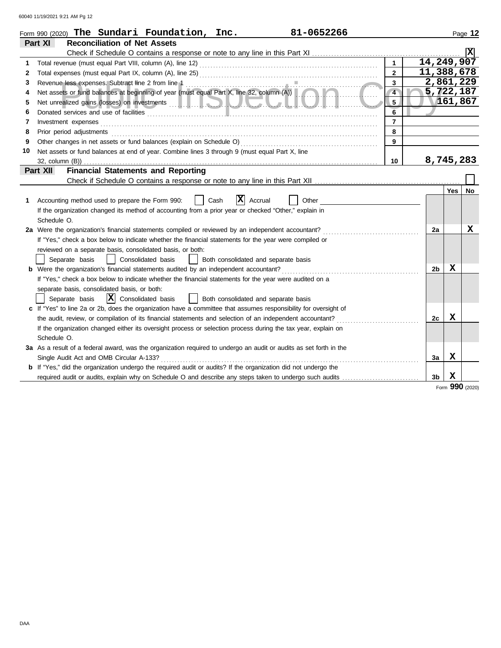|    | 81-0652266<br>Form 990 (2020) The Sundari Foundation, Inc.                                                                                                                                                                     |                |                |            | Page 12 |  |
|----|--------------------------------------------------------------------------------------------------------------------------------------------------------------------------------------------------------------------------------|----------------|----------------|------------|---------|--|
|    | Part XI<br><b>Reconciliation of Net Assets</b>                                                                                                                                                                                 |                |                |            |         |  |
|    |                                                                                                                                                                                                                                |                |                |            | lxl     |  |
| 1  |                                                                                                                                                                                                                                | $\mathbf{1}$   | 14,249,907     |            |         |  |
| 2  |                                                                                                                                                                                                                                | $\overline{2}$ | 11,388,678     |            |         |  |
| 3  | Revenue less expenses. Subtract line 2 from line 1                                                                                                                                                                             | $\overline{3}$ | 2,861,229      |            |         |  |
| 4  | Net assets or fund balances at beginning of year (must equal Part X, line 32, column (A))                                                                                                                                      | $\overline{4}$ | 5,722,187      |            |         |  |
| 5  | Net unrealized gains (losses) on investments which is a control of the control of the control of the control of the control of the control of the control of the control of the control of the control of the control of the c | 5              |                | 161,867    |         |  |
| 6  |                                                                                                                                                                                                                                | 6              |                |            |         |  |
| 7  | Investment expenses                                                                                                                                                                                                            | $\overline{7}$ |                |            |         |  |
| 8  | Prior period adjustments                                                                                                                                                                                                       | 8              |                |            |         |  |
| 9  |                                                                                                                                                                                                                                | 9              |                |            |         |  |
| 10 | Net assets or fund balances at end of year. Combine lines 3 through 9 (must equal Part X, line                                                                                                                                 |                |                |            |         |  |
|    | 32, column (B))                                                                                                                                                                                                                | 10             | 8,745,283      |            |         |  |
|    | Part XII<br><b>Financial Statements and Reporting</b>                                                                                                                                                                          |                |                |            |         |  |
|    |                                                                                                                                                                                                                                |                |                |            |         |  |
|    |                                                                                                                                                                                                                                |                |                | <b>Yes</b> | No      |  |
| 1  | $ \mathbf{X} $ Accrual<br>Accounting method used to prepare the Form 990:<br>Cash<br>Other                                                                                                                                     |                |                |            |         |  |
|    | If the organization changed its method of accounting from a prior year or checked "Other," explain in                                                                                                                          |                |                |            |         |  |
|    | Schedule O.                                                                                                                                                                                                                    |                |                |            |         |  |
|    | 2a Were the organization's financial statements compiled or reviewed by an independent accountant?                                                                                                                             |                | 2a             |            | x       |  |
|    | If "Yes," check a box below to indicate whether the financial statements for the year were compiled or                                                                                                                         |                |                |            |         |  |
|    | reviewed on a separate basis, consolidated basis, or both:                                                                                                                                                                     |                |                |            |         |  |
|    | Separate basis<br>Consolidated basis<br>Both consolidated and separate basis                                                                                                                                                   |                |                |            |         |  |
|    |                                                                                                                                                                                                                                |                | 2 <sub>b</sub> | x          |         |  |
|    | If "Yes," check a box below to indicate whether the financial statements for the year were audited on a                                                                                                                        |                |                |            |         |  |
|    | separate basis, consolidated basis, or both:                                                                                                                                                                                   |                |                |            |         |  |
|    | $ \mathbf{X} $ Consolidated basis<br>Separate basis<br>Both consolidated and separate basis                                                                                                                                    |                |                |            |         |  |
|    | c If "Yes" to line 2a or 2b, does the organization have a committee that assumes responsibility for oversight of                                                                                                               |                |                |            |         |  |
|    | the audit, review, or compilation of its financial statements and selection of an independent accountant?                                                                                                                      |                | 2c             | x          |         |  |
|    | If the organization changed either its oversight process or selection process during the tax year, explain on                                                                                                                  |                |                |            |         |  |
|    | Schedule O.                                                                                                                                                                                                                    |                |                |            |         |  |
|    | 3a As a result of a federal award, was the organization required to undergo an audit or audits as set forth in the                                                                                                             |                |                |            |         |  |
|    | Single Audit Act and OMB Circular A-133?                                                                                                                                                                                       |                | За             | х          |         |  |
|    | <b>b</b> If "Yes," did the organization undergo the required audit or audits? If the organization did not undergo the                                                                                                          |                |                |            |         |  |
|    |                                                                                                                                                                                                                                |                | 3b             | х          |         |  |

Form **990** (2020)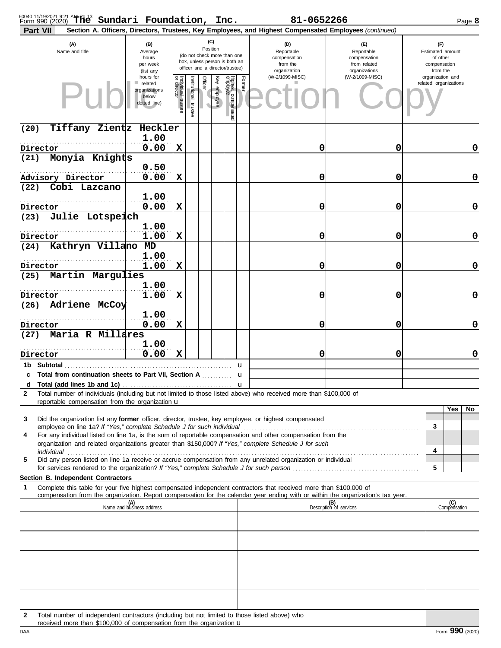| 60040 11/19/2021 9:21 AM Pg 13<br>Form 990 (2020) The Sundari Foundation, Inc.                                                                                                                                                                                                                                                                       |                                                                |                                   |                       |                 |              |                                                                                                 |        | 81-0652266<br>Section A. Officers, Directors, Trustees, Key Employees, and Highest Compensated Employees (continued) |                                                                    |   |                                                                 | Page 8 |
|------------------------------------------------------------------------------------------------------------------------------------------------------------------------------------------------------------------------------------------------------------------------------------------------------------------------------------------------------|----------------------------------------------------------------|-----------------------------------|-----------------------|-----------------|--------------|-------------------------------------------------------------------------------------------------|--------|----------------------------------------------------------------------------------------------------------------------|--------------------------------------------------------------------|---|-----------------------------------------------------------------|--------|
| Part VII<br>(A)<br>Name and title                                                                                                                                                                                                                                                                                                                    | (B)<br>Average<br>hours<br>per week<br>(list any               |                                   |                       | (C)<br>Position |              | (do not check more than one<br>box, unless person is both an<br>officer and a director/trustee) |        | (D)<br>Reportable<br>compensation<br>from the<br>organization                                                        | (E)<br>Reportable<br>compensation<br>from related<br>organizations |   | (F)<br>Estimated amount<br>of other<br>compensation<br>from the |        |
|                                                                                                                                                                                                                                                                                                                                                      | hours for<br>related<br>organizations<br>below<br>dotted line) | Individual trustee<br>or director | Institutional trustee | Officer         | Key employee | Highest compensated<br>employee                                                                 | Former | (W-2/1099-MISC)                                                                                                      | (W-2/1099-MISC)                                                    |   | organization and<br>related organizations                       |        |
| Tiffany Zientz<br>(20)                                                                                                                                                                                                                                                                                                                               | Heckler<br>1.00                                                |                                   |                       |                 |              |                                                                                                 |        |                                                                                                                      |                                                                    |   |                                                                 |        |
| Director                                                                                                                                                                                                                                                                                                                                             | 0.00                                                           | х                                 |                       |                 |              |                                                                                                 |        | 0                                                                                                                    | 0                                                                  |   |                                                                 | 0      |
| Monyia Knights<br>(21)                                                                                                                                                                                                                                                                                                                               |                                                                |                                   |                       |                 |              |                                                                                                 |        |                                                                                                                      |                                                                    |   |                                                                 |        |
| Advisory Director                                                                                                                                                                                                                                                                                                                                    | 0.50<br>0.00                                                   | x                                 |                       |                 |              |                                                                                                 |        | 0                                                                                                                    | 0                                                                  |   |                                                                 | 0      |
| Cobi Lazcano<br>(22)                                                                                                                                                                                                                                                                                                                                 |                                                                |                                   |                       |                 |              |                                                                                                 |        |                                                                                                                      |                                                                    |   |                                                                 |        |
| Director                                                                                                                                                                                                                                                                                                                                             | 1.00<br>0.00                                                   | х                                 |                       |                 |              |                                                                                                 |        | 0                                                                                                                    | 0                                                                  |   |                                                                 | 0      |
| Julie Lotspeich<br>(23)                                                                                                                                                                                                                                                                                                                              |                                                                |                                   |                       |                 |              |                                                                                                 |        |                                                                                                                      |                                                                    |   |                                                                 |        |
| Director                                                                                                                                                                                                                                                                                                                                             | 1.00<br>1.00                                                   | x                                 |                       |                 |              |                                                                                                 |        | 0                                                                                                                    | 0                                                                  |   |                                                                 | 0      |
| Kathryn Villano<br>(24)                                                                                                                                                                                                                                                                                                                              | MD                                                             |                                   |                       |                 |              |                                                                                                 |        |                                                                                                                      |                                                                    |   |                                                                 |        |
|                                                                                                                                                                                                                                                                                                                                                      | 1.00<br>1.00                                                   |                                   |                       |                 |              |                                                                                                 |        | 0                                                                                                                    | 0                                                                  |   |                                                                 | 0      |
| Director<br>Martin Margulies<br>(25)                                                                                                                                                                                                                                                                                                                 |                                                                | х                                 |                       |                 |              |                                                                                                 |        |                                                                                                                      |                                                                    |   |                                                                 |        |
|                                                                                                                                                                                                                                                                                                                                                      | 1.00                                                           |                                   |                       |                 |              |                                                                                                 |        |                                                                                                                      |                                                                    |   |                                                                 |        |
| Director<br>Adriene McCoy<br>(26)                                                                                                                                                                                                                                                                                                                    | 1.00                                                           | x                                 |                       |                 |              |                                                                                                 |        | 0                                                                                                                    | 0                                                                  |   |                                                                 | 0      |
|                                                                                                                                                                                                                                                                                                                                                      | 1.00                                                           |                                   |                       |                 |              |                                                                                                 |        |                                                                                                                      |                                                                    |   |                                                                 |        |
| Director<br>Maria R Millares<br>(27)                                                                                                                                                                                                                                                                                                                 | 0.00                                                           | x                                 |                       |                 |              |                                                                                                 |        | 0                                                                                                                    | 0                                                                  |   |                                                                 | 0      |
|                                                                                                                                                                                                                                                                                                                                                      | 1.00                                                           |                                   |                       |                 |              |                                                                                                 |        |                                                                                                                      |                                                                    |   |                                                                 |        |
| Director<br>1b Subtotal                                                                                                                                                                                                                                                                                                                              | 0.00                                                           | X                                 |                       |                 |              |                                                                                                 |        | 0                                                                                                                    | 0                                                                  |   |                                                                 | 0      |
| c Total from continuation sheets to Part VII, Section A                                                                                                                                                                                                                                                                                              |                                                                |                                   |                       |                 |              | u<br>u                                                                                          |        |                                                                                                                      |                                                                    |   |                                                                 |        |
| d                                                                                                                                                                                                                                                                                                                                                    |                                                                |                                   |                       |                 |              | u                                                                                               |        |                                                                                                                      |                                                                    |   |                                                                 |        |
| Total number of individuals (including but not limited to those listed above) who received more than \$100,000 of<br>2<br>reportable compensation from the organization u                                                                                                                                                                            |                                                                |                                   |                       |                 |              |                                                                                                 |        |                                                                                                                      |                                                                    |   |                                                                 |        |
| Did the organization list any former officer, director, trustee, key employee, or highest compensated<br>3                                                                                                                                                                                                                                           |                                                                |                                   |                       |                 |              |                                                                                                 |        |                                                                                                                      |                                                                    |   | Yes                                                             | No     |
| For any individual listed on line 1a, is the sum of reportable compensation and other compensation from the<br>4                                                                                                                                                                                                                                     |                                                                |                                   |                       |                 |              |                                                                                                 |        |                                                                                                                      |                                                                    | 3 |                                                                 |        |
| organization and related organizations greater than \$150,000? If "Yes," complete Schedule J for such                                                                                                                                                                                                                                                |                                                                |                                   |                       |                 |              |                                                                                                 |        |                                                                                                                      |                                                                    |   |                                                                 |        |
| individual with a construction of the construction of the construction of the construction of the construction of the construction of the construction of the construction of the construction of the construction of the cons<br>Did any person listed on line 1a receive or accrue compensation from any unrelated organization or individual<br>5 |                                                                |                                   |                       |                 |              |                                                                                                 |        |                                                                                                                      |                                                                    | 4 |                                                                 |        |
| Section B. Independent Contractors                                                                                                                                                                                                                                                                                                                   |                                                                |                                   |                       |                 |              |                                                                                                 |        |                                                                                                                      |                                                                    | 5 |                                                                 |        |
| Complete this table for your five highest compensated independent contractors that received more than \$100,000 of<br>1                                                                                                                                                                                                                              |                                                                |                                   |                       |                 |              |                                                                                                 |        |                                                                                                                      |                                                                    |   |                                                                 |        |
| compensation from the organization. Report compensation for the calendar year ending with or within the organization's tax year.                                                                                                                                                                                                                     | (A)<br>Name and business address                               |                                   |                       |                 |              |                                                                                                 |        |                                                                                                                      | (B)<br>Description of services                                     |   | (C)<br>Compensation                                             |        |
|                                                                                                                                                                                                                                                                                                                                                      |                                                                |                                   |                       |                 |              |                                                                                                 |        |                                                                                                                      |                                                                    |   |                                                                 |        |
|                                                                                                                                                                                                                                                                                                                                                      |                                                                |                                   |                       |                 |              |                                                                                                 |        |                                                                                                                      |                                                                    |   |                                                                 |        |
|                                                                                                                                                                                                                                                                                                                                                      |                                                                |                                   |                       |                 |              |                                                                                                 |        |                                                                                                                      |                                                                    |   |                                                                 |        |
|                                                                                                                                                                                                                                                                                                                                                      |                                                                |                                   |                       |                 |              |                                                                                                 |        |                                                                                                                      |                                                                    |   |                                                                 |        |
|                                                                                                                                                                                                                                                                                                                                                      |                                                                |                                   |                       |                 |              |                                                                                                 |        |                                                                                                                      |                                                                    |   |                                                                 |        |
|                                                                                                                                                                                                                                                                                                                                                      |                                                                |                                   |                       |                 |              |                                                                                                 |        |                                                                                                                      |                                                                    |   |                                                                 |        |
|                                                                                                                                                                                                                                                                                                                                                      |                                                                |                                   |                       |                 |              |                                                                                                 |        |                                                                                                                      |                                                                    |   |                                                                 |        |
| Total number of independent contractors (including but not limited to those listed above) who<br>2<br>received more than \$100,000 of compensation from the organization u                                                                                                                                                                           |                                                                |                                   |                       |                 |              |                                                                                                 |        |                                                                                                                      |                                                                    |   |                                                                 |        |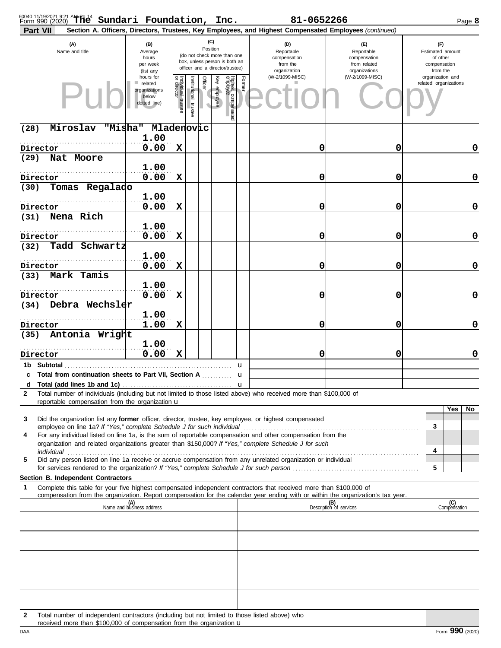| 60040 11/19/2021 9:21 AM Pg 14<br>Form 990 (2020) The Sundari Foundation, Inc.                                                                                                                                                                              |                                                        |                                   |                       |                |              |                                                                  |             | 81-0652266                                                                                                                  |                                                                  |                                                                                   | Page 8 |
|-------------------------------------------------------------------------------------------------------------------------------------------------------------------------------------------------------------------------------------------------------------|--------------------------------------------------------|-----------------------------------|-----------------------|----------------|--------------|------------------------------------------------------------------|-------------|-----------------------------------------------------------------------------------------------------------------------------|------------------------------------------------------------------|-----------------------------------------------------------------------------------|--------|
| Part VII<br>(A)<br>Name and title                                                                                                                                                                                                                           | (B)<br>Average                                         |                                   |                       | Position       | (C)          | (do not check more than one                                      |             | Section A. Officers, Directors, Trustees, Key Employees, and Highest Compensated Employees (continued)<br>(D)<br>Reportable | (E)<br>Reportable                                                | (F)<br>Estimated amount                                                           |        |
|                                                                                                                                                                                                                                                             | hours<br>per week<br>(list any<br>hours for<br>related |                                   |                       | <b>Officer</b> |              | box, unless person is both an<br>officer and a director/trustee) |             | compensation<br>from the<br>organization<br>(W-2/1099-MISC)                                                                 | compensation<br>from related<br>organizations<br>(W-2/1099-MISC) | of other<br>compensation<br>from the<br>organization and<br>related organizations |        |
|                                                                                                                                                                                                                                                             | organizations<br>below<br>dotted line)                 | Individual trustee<br>or director | Institutional trustee |                | Key employee | Highest compensated<br>employee                                  | Former      |                                                                                                                             |                                                                  |                                                                                   |        |
| Miroslav "Misha"<br>(28)                                                                                                                                                                                                                                    | Mladenovic<br>1.00                                     |                                   |                       |                |              |                                                                  |             |                                                                                                                             |                                                                  |                                                                                   |        |
| Director<br>(29)<br>Nat Moore                                                                                                                                                                                                                               | 0.00                                                   | X                                 |                       |                |              |                                                                  |             | 0                                                                                                                           | 0                                                                |                                                                                   | 0      |
| Director                                                                                                                                                                                                                                                    | 1.00<br>0.00                                           | X                                 |                       |                |              |                                                                  |             | 0                                                                                                                           | 0                                                                |                                                                                   | 0      |
| Tomas Regalado<br>(30)                                                                                                                                                                                                                                      | 1.00                                                   |                                   |                       |                |              |                                                                  |             |                                                                                                                             |                                                                  |                                                                                   |        |
| Director<br>Nena Rich<br>(31)                                                                                                                                                                                                                               | 0.00                                                   | X                                 |                       |                |              |                                                                  |             | 0                                                                                                                           | 0                                                                |                                                                                   | 0      |
| Director                                                                                                                                                                                                                                                    | 1.00<br>0.00                                           | X                                 |                       |                |              |                                                                  |             | 0                                                                                                                           | 0                                                                |                                                                                   | 0      |
| Tadd Schwartz<br>(32)                                                                                                                                                                                                                                       | 1.00                                                   |                                   |                       |                |              |                                                                  |             |                                                                                                                             |                                                                  |                                                                                   |        |
| Director<br>Mark Tamis<br>(33)                                                                                                                                                                                                                              | 0.00                                                   | X                                 |                       |                |              |                                                                  |             | 0                                                                                                                           | 0                                                                |                                                                                   | 0      |
| Director                                                                                                                                                                                                                                                    | 1.00<br>0.00                                           | X                                 |                       |                |              |                                                                  |             | 0                                                                                                                           | 0                                                                |                                                                                   | 0      |
| Debra Wechsler<br>(34)                                                                                                                                                                                                                                      | 1.00                                                   |                                   |                       |                |              |                                                                  |             |                                                                                                                             |                                                                  |                                                                                   |        |
| Director<br>Antonia Wright<br>(35)                                                                                                                                                                                                                          | 1.00                                                   | х                                 |                       |                |              |                                                                  |             | 0                                                                                                                           | 0                                                                |                                                                                   | 0      |
| Director                                                                                                                                                                                                                                                    | 1.00<br>0.00                                           | $\mathbf x$                       |                       |                |              |                                                                  |             | 0                                                                                                                           | 0                                                                |                                                                                   | 0      |
| 1b Subtotal<br>c Total from continuation sheets to Part VII, Section A                                                                                                                                                                                      |                                                        |                                   |                       |                |              |                                                                  | u<br>u      |                                                                                                                             |                                                                  |                                                                                   |        |
| d<br>Total number of individuals (including but not limited to those listed above) who received more than \$100,000 of<br>2<br>reportable compensation from the organization $\mathbf u$                                                                    |                                                        |                                   |                       |                |              |                                                                  | $\mathbf u$ |                                                                                                                             |                                                                  |                                                                                   |        |
| Did the organization list any former officer, director, trustee, key employee, or highest compensated<br>3                                                                                                                                                  |                                                        |                                   |                       |                |              |                                                                  |             |                                                                                                                             |                                                                  | Yes                                                                               | No     |
| For any individual listed on line 1a, is the sum of reportable compensation and other compensation from the<br>4                                                                                                                                            |                                                        |                                   |                       |                |              |                                                                  |             |                                                                                                                             |                                                                  | 3                                                                                 |        |
| organization and related organizations greater than \$150,000? If "Yes," complete Schedule J for such<br>Did any person listed on line 1a receive or accrue compensation from any unrelated organization or individual<br>5                                 |                                                        |                                   |                       |                |              |                                                                  |             |                                                                                                                             |                                                                  | 4                                                                                 |        |
| Section B. Independent Contractors                                                                                                                                                                                                                          |                                                        |                                   |                       |                |              |                                                                  |             |                                                                                                                             |                                                                  | 5                                                                                 |        |
| Complete this table for your five highest compensated independent contractors that received more than \$100,000 of<br>1<br>compensation from the organization. Report compensation for the calendar year ending with or within the organization's tax year. |                                                        |                                   |                       |                |              |                                                                  |             |                                                                                                                             |                                                                  |                                                                                   |        |
|                                                                                                                                                                                                                                                             | (A)<br>Name and business address                       |                                   |                       |                |              |                                                                  |             |                                                                                                                             | (B)<br>Description of services                                   | (C)<br>Compensation                                                               |        |
|                                                                                                                                                                                                                                                             |                                                        |                                   |                       |                |              |                                                                  |             |                                                                                                                             |                                                                  |                                                                                   |        |
|                                                                                                                                                                                                                                                             |                                                        |                                   |                       |                |              |                                                                  |             |                                                                                                                             |                                                                  |                                                                                   |        |
|                                                                                                                                                                                                                                                             |                                                        |                                   |                       |                |              |                                                                  |             |                                                                                                                             |                                                                  |                                                                                   |        |
|                                                                                                                                                                                                                                                             |                                                        |                                   |                       |                |              |                                                                  |             |                                                                                                                             |                                                                  |                                                                                   |        |
| Total number of independent contractors (including but not limited to those listed above) who<br>2<br>received more than \$100,000 of compensation from the organization $\mathbf u$                                                                        |                                                        |                                   |                       |                |              |                                                                  |             |                                                                                                                             |                                                                  |                                                                                   |        |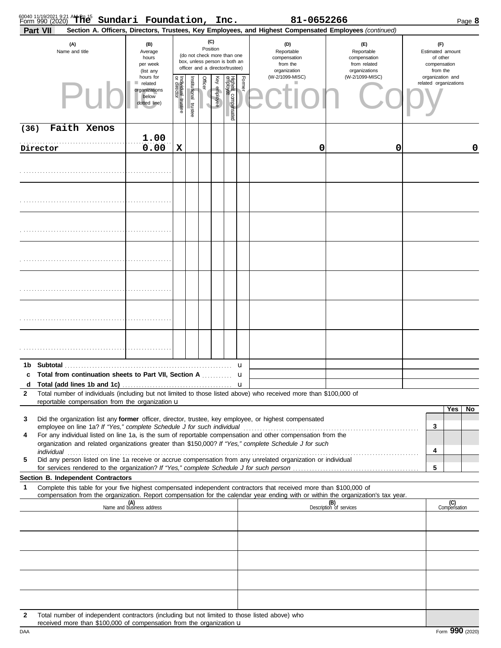|                   | 60040 11/19/2021 9:21 AM Pg 15<br>Form 990 (2020) The<br>Part VII                                                                                                                                                                                      | Sundari Foundation, Inc.                                                      |                                        |                         |                                                                                                                    |              |                                 |             | 81-0652266<br>Section A. Officers, Directors, Trustees, Key Employees, and Highest Compensated Employees (continued) |                                                                    |                                                                 |                     | Page 8 |
|-------------------|--------------------------------------------------------------------------------------------------------------------------------------------------------------------------------------------------------------------------------------------------------|-------------------------------------------------------------------------------|----------------------------------------|-------------------------|--------------------------------------------------------------------------------------------------------------------|--------------|---------------------------------|-------------|----------------------------------------------------------------------------------------------------------------------|--------------------------------------------------------------------|-----------------------------------------------------------------|---------------------|--------|
|                   | (A)<br>Name and title                                                                                                                                                                                                                                  | (B)<br>Average<br>hours<br>per week<br>(list any                              |                                        |                         | (C)<br>Position<br>(do not check more than one<br>box, unless person is both an<br>officer and a director/trustee) |              |                                 |             | (D)<br>Reportable<br>compensation<br>from the<br>organization                                                        | (E)<br>Reportable<br>compensation<br>from related<br>organizations | (F)<br>Estimated amount<br>of other<br>compensation<br>from the |                     |        |
|                   |                                                                                                                                                                                                                                                        | hours for<br>$\blacksquare$ related<br>organizations<br>below<br>dotted line) | ₽<br>Individual trustee<br>or director | nstitutional<br>trustee | Officer                                                                                                            | Key employee | Highest compensated<br>employee | Former      | (W-2/1099-MISC)                                                                                                      | (W-2/1099-MISC)                                                    | organization and<br>related organizations                       |                     |        |
| (36)              | Faith Xenos                                                                                                                                                                                                                                            |                                                                               |                                        |                         |                                                                                                                    |              |                                 |             |                                                                                                                      |                                                                    |                                                                 |                     |        |
|                   | Director                                                                                                                                                                                                                                               | 1.00<br>0.00                                                                  | X                                      |                         |                                                                                                                    |              |                                 |             | 0                                                                                                                    | 0                                                                  |                                                                 |                     | 0      |
|                   |                                                                                                                                                                                                                                                        |                                                                               |                                        |                         |                                                                                                                    |              |                                 |             |                                                                                                                      |                                                                    |                                                                 |                     |        |
|                   |                                                                                                                                                                                                                                                        |                                                                               |                                        |                         |                                                                                                                    |              |                                 |             |                                                                                                                      |                                                                    |                                                                 |                     |        |
|                   |                                                                                                                                                                                                                                                        |                                                                               |                                        |                         |                                                                                                                    |              |                                 |             |                                                                                                                      |                                                                    |                                                                 |                     |        |
|                   |                                                                                                                                                                                                                                                        |                                                                               |                                        |                         |                                                                                                                    |              |                                 |             |                                                                                                                      |                                                                    |                                                                 |                     |        |
|                   |                                                                                                                                                                                                                                                        |                                                                               |                                        |                         |                                                                                                                    |              |                                 |             |                                                                                                                      |                                                                    |                                                                 |                     |        |
|                   |                                                                                                                                                                                                                                                        |                                                                               |                                        |                         |                                                                                                                    |              |                                 |             |                                                                                                                      |                                                                    |                                                                 |                     |        |
|                   |                                                                                                                                                                                                                                                        |                                                                               |                                        |                         |                                                                                                                    |              |                                 |             |                                                                                                                      |                                                                    |                                                                 |                     |        |
| 1b.               | Subtotal                                                                                                                                                                                                                                               |                                                                               |                                        |                         |                                                                                                                    |              |                                 | u           |                                                                                                                      |                                                                    |                                                                 |                     |        |
| c                 | <b>Total from continuation sheets to Part VII, Section A</b>                                                                                                                                                                                           |                                                                               |                                        |                         |                                                                                                                    |              |                                 | u           |                                                                                                                      |                                                                    |                                                                 |                     |        |
| d<br>$\mathbf{2}$ | Total number of individuals (including but not limited to those listed above) who received more than \$100,000 of<br>reportable compensation from the organization $\mathbf u$                                                                         |                                                                               |                                        |                         |                                                                                                                    |              |                                 | $\mathbf u$ |                                                                                                                      |                                                                    |                                                                 |                     |        |
| 3                 | Did the organization list any former officer, director, trustee, key employee, or highest compensated                                                                                                                                                  |                                                                               |                                        |                         |                                                                                                                    |              |                                 |             |                                                                                                                      |                                                                    |                                                                 | Yes                 | No.    |
|                   |                                                                                                                                                                                                                                                        |                                                                               |                                        |                         |                                                                                                                    |              |                                 |             |                                                                                                                      |                                                                    | 3                                                               |                     |        |
| 4                 | For any individual listed on line 1a, is the sum of reportable compensation and other compensation from the<br>organization and related organizations greater than \$150,000? If "Yes," complete Schedule J for such                                   |                                                                               |                                        |                         |                                                                                                                    |              |                                 |             |                                                                                                                      |                                                                    |                                                                 |                     |        |
| 5                 | Did any person listed on line 1a receive or accrue compensation from any unrelated organization or individual                                                                                                                                          |                                                                               |                                        |                         |                                                                                                                    |              |                                 |             |                                                                                                                      |                                                                    | 4                                                               |                     |        |
|                   | <b>Section B. Independent Contractors</b>                                                                                                                                                                                                              |                                                                               |                                        |                         |                                                                                                                    |              |                                 |             |                                                                                                                      |                                                                    | 5                                                               |                     |        |
| 1                 | Complete this table for your five highest compensated independent contractors that received more than \$100,000 of<br>compensation from the organization. Report compensation for the calendar year ending with or within the organization's tax year. |                                                                               |                                        |                         |                                                                                                                    |              |                                 |             |                                                                                                                      |                                                                    |                                                                 |                     |        |
|                   |                                                                                                                                                                                                                                                        | (A)<br>Name and business address                                              |                                        |                         |                                                                                                                    |              |                                 |             |                                                                                                                      | (B)<br>Description of services                                     |                                                                 | (C)<br>Compensation |        |
|                   |                                                                                                                                                                                                                                                        |                                                                               |                                        |                         |                                                                                                                    |              |                                 |             |                                                                                                                      |                                                                    |                                                                 |                     |        |
|                   |                                                                                                                                                                                                                                                        |                                                                               |                                        |                         |                                                                                                                    |              |                                 |             |                                                                                                                      |                                                                    |                                                                 |                     |        |
|                   |                                                                                                                                                                                                                                                        |                                                                               |                                        |                         |                                                                                                                    |              |                                 |             |                                                                                                                      |                                                                    |                                                                 |                     |        |
|                   |                                                                                                                                                                                                                                                        |                                                                               |                                        |                         |                                                                                                                    |              |                                 |             |                                                                                                                      |                                                                    |                                                                 |                     |        |
|                   |                                                                                                                                                                                                                                                        |                                                                               |                                        |                         |                                                                                                                    |              |                                 |             |                                                                                                                      |                                                                    |                                                                 |                     |        |
| 2                 | Total number of independent contractors (including but not limited to those listed above) who<br>received more than \$100,000 of compensation from the organization $\mathbf u$                                                                        |                                                                               |                                        |                         |                                                                                                                    |              |                                 |             |                                                                                                                      |                                                                    |                                                                 |                     |        |

|  | ۰. |  |
|--|----|--|
|  |    |  |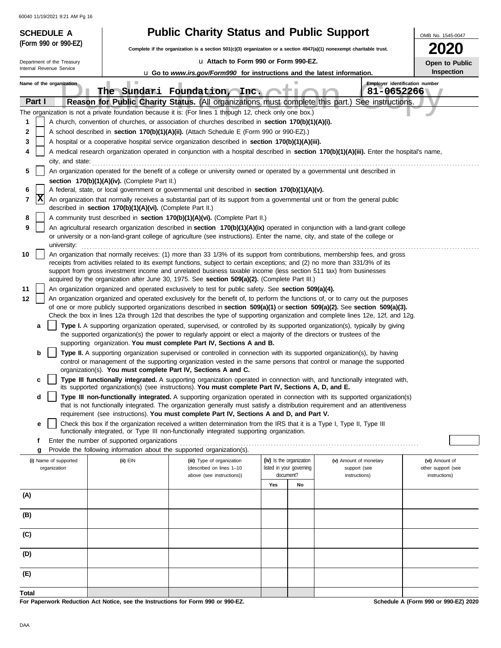| 00040 11/19/2021 9.21 AM PG 10<br><b>SCHEDULE A</b> |                                                                                               | <b>Public Charity Status and Public Support</b>                                                                                                                                                                                                            |                          |                          |                               | OMB No. 1545-0047                   |  |  |  |  |  |
|-----------------------------------------------------|-----------------------------------------------------------------------------------------------|------------------------------------------------------------------------------------------------------------------------------------------------------------------------------------------------------------------------------------------------------------|--------------------------|--------------------------|-------------------------------|-------------------------------------|--|--|--|--|--|
| (Form 990 or 990-EZ)                                |                                                                                               | Complete if the organization is a section 501(c)(3) organization or a section 4947(a)(1) nonexempt charitable trust.                                                                                                                                       |                          |                          |                               |                                     |  |  |  |  |  |
| Department of the Treasury                          |                                                                                               | u Attach to Form 990 or Form 990-EZ.                                                                                                                                                                                                                       |                          |                          |                               | Open to Public                      |  |  |  |  |  |
| Internal Revenue Service                            |                                                                                               | <b>u</b> Go to www.irs.gov/Form990 for instructions and the latest information.                                                                                                                                                                            |                          |                          |                               | <b>Inspection</b>                   |  |  |  |  |  |
| Name of the organization                            |                                                                                               |                                                                                                                                                                                                                                                            |                          |                          |                               | Employer identification number      |  |  |  |  |  |
|                                                     |                                                                                               | The Sundari Foundation, Inc.                                                                                                                                                                                                                               |                          |                          | 81-0652266                    |                                     |  |  |  |  |  |
| Part I                                              |                                                                                               | Reason for Public Charity Status. (All organizations must complete this part.) See instructions.<br>The organization is not a private foundation because it is: (For lines 1 through 12, check only one box.)                                              |                          |                          |                               |                                     |  |  |  |  |  |
| 1                                                   |                                                                                               | A church, convention of churches, or association of churches described in section 170(b)(1)(A)(i).                                                                                                                                                         |                          |                          |                               |                                     |  |  |  |  |  |
| 2                                                   |                                                                                               | A school described in section 170(b)(1)(A)(ii). (Attach Schedule E (Form 990 or 990-EZ).)                                                                                                                                                                  |                          |                          |                               |                                     |  |  |  |  |  |
| 3                                                   |                                                                                               | A hospital or a cooperative hospital service organization described in section 170(b)(1)(A)(iii).                                                                                                                                                          |                          |                          |                               |                                     |  |  |  |  |  |
| 4                                                   |                                                                                               | A medical research organization operated in conjunction with a hospital described in section 170(b)(1)(A)(iii). Enter the hospital's name,                                                                                                                 |                          |                          |                               |                                     |  |  |  |  |  |
| city, and state:                                    |                                                                                               |                                                                                                                                                                                                                                                            |                          |                          |                               |                                     |  |  |  |  |  |
| 5                                                   | section 170(b)(1)(A)(iv). (Complete Part II.)                                                 | An organization operated for the benefit of a college or university owned or operated by a governmental unit described in                                                                                                                                  |                          |                          |                               |                                     |  |  |  |  |  |
| 6                                                   |                                                                                               | A federal, state, or local government or governmental unit described in section 170(b)(1)(A)(v).                                                                                                                                                           |                          |                          |                               |                                     |  |  |  |  |  |
| x<br>7                                              |                                                                                               | An organization that normally receives a substantial part of its support from a governmental unit or from the general public                                                                                                                               |                          |                          |                               |                                     |  |  |  |  |  |
|                                                     | described in section 170(b)(1)(A)(vi). (Complete Part II.)                                    |                                                                                                                                                                                                                                                            |                          |                          |                               |                                     |  |  |  |  |  |
| 8<br>9                                              |                                                                                               | A community trust described in section 170(b)(1)(A)(vi). (Complete Part II.)<br>An agricultural research organization described in section 170(b)(1)(A)(ix) operated in conjunction with a land-grant college                                              |                          |                          |                               |                                     |  |  |  |  |  |
|                                                     |                                                                                               | or university or a non-land-grant college of agriculture (see instructions). Enter the name, city, and state of the college or                                                                                                                             |                          |                          |                               |                                     |  |  |  |  |  |
| university:                                         |                                                                                               |                                                                                                                                                                                                                                                            |                          |                          |                               |                                     |  |  |  |  |  |
| 10                                                  |                                                                                               | An organization that normally receives: (1) more than 33 1/3% of its support from contributions, membership fees, and gross<br>receipts from activities related to its exempt functions, subject to certain exceptions; and (2) no more than 331/3% of its |                          |                          |                               |                                     |  |  |  |  |  |
|                                                     |                                                                                               | support from gross investment income and unrelated business taxable income (less section 511 tax) from businesses                                                                                                                                          |                          |                          |                               |                                     |  |  |  |  |  |
|                                                     | acquired by the organization after June 30, 1975. See section 509(a)(2). (Complete Part III.) |                                                                                                                                                                                                                                                            |                          |                          |                               |                                     |  |  |  |  |  |
| 11<br>12                                            |                                                                                               | An organization organized and operated exclusively to test for public safety. See section 509(a)(4).<br>An organization organized and operated exclusively for the benefit of, to perform the functions of, or to carry out the purposes                   |                          |                          |                               |                                     |  |  |  |  |  |
|                                                     |                                                                                               | of one or more publicly supported organizations described in section 509(a)(1) or section 509(a)(2). See section 509(a)(3).                                                                                                                                |                          |                          |                               |                                     |  |  |  |  |  |
|                                                     |                                                                                               | Check the box in lines 12a through 12d that describes the type of supporting organization and complete lines 12e, 12f, and 12g.                                                                                                                            |                          |                          |                               |                                     |  |  |  |  |  |
| a                                                   |                                                                                               | Type I. A supporting organization operated, supervised, or controlled by its supported organization(s), typically by giving<br>the supported organization(s) the power to regularly appoint or elect a majority of the directors or trustees of the        |                          |                          |                               |                                     |  |  |  |  |  |
|                                                     |                                                                                               | supporting organization. You must complete Part IV, Sections A and B.                                                                                                                                                                                      |                          |                          |                               |                                     |  |  |  |  |  |
| b                                                   |                                                                                               | Type II. A supporting organization supervised or controlled in connection with its supported organization(s), by having                                                                                                                                    |                          |                          |                               |                                     |  |  |  |  |  |
|                                                     |                                                                                               | control or management of the supporting organization vested in the same persons that control or manage the supported<br>organization(s). You must complete Part IV, Sections A and C.                                                                      |                          |                          |                               |                                     |  |  |  |  |  |
| c                                                   |                                                                                               | Type III functionally integrated. A supporting organization operated in connection with, and functionally integrated with,                                                                                                                                 |                          |                          |                               |                                     |  |  |  |  |  |
|                                                     |                                                                                               | its supported organization(s) (see instructions). You must complete Part IV, Sections A, D, and E.                                                                                                                                                         |                          |                          |                               |                                     |  |  |  |  |  |
| d                                                   |                                                                                               | Type III non-functionally integrated. A supporting organization operated in connection with its supported organization(s)<br>that is not functionally integrated. The organization generally must satisfy a distribution requirement and an attentiveness  |                          |                          |                               |                                     |  |  |  |  |  |
|                                                     |                                                                                               | requirement (see instructions). You must complete Part IV, Sections A and D, and Part V.                                                                                                                                                                   |                          |                          |                               |                                     |  |  |  |  |  |
| е                                                   |                                                                                               | Check this box if the organization received a written determination from the IRS that it is a Type I, Type II, Type III                                                                                                                                    |                          |                          |                               |                                     |  |  |  |  |  |
| f                                                   | Enter the number of supported organizations                                                   | functionally integrated, or Type III non-functionally integrated supporting organization.                                                                                                                                                                  |                          |                          |                               |                                     |  |  |  |  |  |
| g                                                   |                                                                                               | Provide the following information about the supported organization(s).                                                                                                                                                                                     |                          |                          |                               |                                     |  |  |  |  |  |
| (i) Name of supported                               | $(ii)$ $EIN$                                                                                  | (iii) Type of organization                                                                                                                                                                                                                                 | (iv) Is the organization |                          | (v) Amount of monetary        | (vi) Amount of                      |  |  |  |  |  |
| organization                                        |                                                                                               | (described on lines 1-10<br>above (see instructions))                                                                                                                                                                                                      | document?                | listed in your governing | support (see<br>instructions) | other support (see<br>instructions) |  |  |  |  |  |
|                                                     |                                                                                               |                                                                                                                                                                                                                                                            | Yes                      | No                       |                               |                                     |  |  |  |  |  |
| (A)                                                 |                                                                                               |                                                                                                                                                                                                                                                            |                          |                          |                               |                                     |  |  |  |  |  |
|                                                     |                                                                                               |                                                                                                                                                                                                                                                            |                          |                          |                               |                                     |  |  |  |  |  |
| (B)                                                 |                                                                                               |                                                                                                                                                                                                                                                            |                          |                          |                               |                                     |  |  |  |  |  |
| (C)                                                 |                                                                                               |                                                                                                                                                                                                                                                            |                          |                          |                               |                                     |  |  |  |  |  |
|                                                     |                                                                                               |                                                                                                                                                                                                                                                            |                          |                          |                               |                                     |  |  |  |  |  |
| (D)                                                 |                                                                                               |                                                                                                                                                                                                                                                            |                          |                          |                               |                                     |  |  |  |  |  |
|                                                     |                                                                                               |                                                                                                                                                                                                                                                            |                          |                          |                               |                                     |  |  |  |  |  |
| (E)                                                 |                                                                                               |                                                                                                                                                                                                                                                            |                          |                          |                               |                                     |  |  |  |  |  |
| Total                                               |                                                                                               |                                                                                                                                                                                                                                                            |                          |                          |                               |                                     |  |  |  |  |  |
|                                                     |                                                                                               |                                                                                                                                                                                                                                                            |                          |                          |                               |                                     |  |  |  |  |  |

**For Paperwork Reduction Act Notice, see the Instructions for Form 990 or 990-EZ.**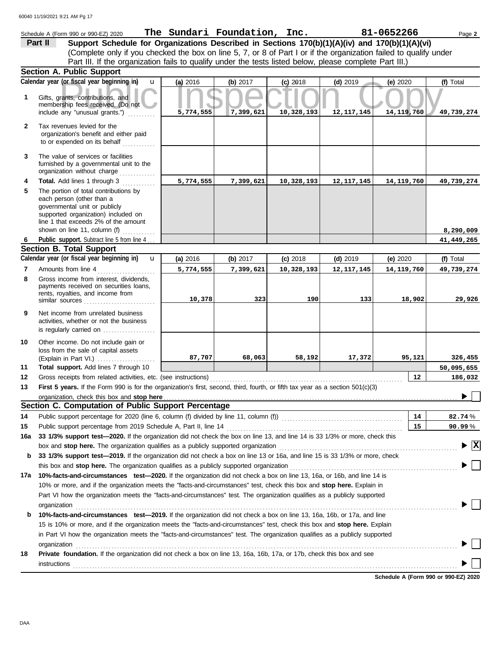|              | Schedule A (Form 990 or 990-EZ) 2020                                                                                                   |           |           | The Sundari Foundation, Inc. |              | 81-0652266   | Page 2                         |  |  |
|--------------|----------------------------------------------------------------------------------------------------------------------------------------|-----------|-----------|------------------------------|--------------|--------------|--------------------------------|--|--|
|              | Support Schedule for Organizations Described in Sections 170(b)(1)(A)(iv) and 170(b)(1)(A)(vi)<br>Part II                              |           |           |                              |              |              |                                |  |  |
|              | (Complete only if you checked the box on line 5, 7, or 8 of Part I or if the organization failed to qualify under                      |           |           |                              |              |              |                                |  |  |
|              | Part III. If the organization fails to qualify under the tests listed below, please complete Part III.)                                |           |           |                              |              |              |                                |  |  |
|              | Section A. Public Support                                                                                                              |           |           |                              |              |              |                                |  |  |
|              | Calendar year (or fiscal year beginning in)<br>$\mathbf{u}$                                                                            | (a) 2016  | (b) 2017  | $(c)$ 2018                   | $(d)$ 2019   | (e) 2020     | (f) Total                      |  |  |
|              |                                                                                                                                        |           |           |                              |              |              |                                |  |  |
| 1            | Gifts, grants, contributions, and                                                                                                      |           |           |                              |              |              |                                |  |  |
|              | membership fees received. (Do not                                                                                                      |           |           |                              |              |              |                                |  |  |
|              | include any "unusual grants.")                                                                                                         | 5,774,555 | 7,399,621 | 10,328,193                   | 12, 117, 145 | 14, 119, 760 | 49,739,274                     |  |  |
| $\mathbf{2}$ | Tax revenues levied for the                                                                                                            |           |           |                              |              |              |                                |  |  |
|              | organization's benefit and either paid                                                                                                 |           |           |                              |              |              |                                |  |  |
|              | to or expended on its behalf                                                                                                           |           |           |                              |              |              |                                |  |  |
| 3            | The value of services or facilities                                                                                                    |           |           |                              |              |              |                                |  |  |
|              | furnished by a governmental unit to the                                                                                                |           |           |                              |              |              |                                |  |  |
|              | organization without charge                                                                                                            |           |           |                              |              |              |                                |  |  |
| 4            | Total. Add lines 1 through 3                                                                                                           | 5,774,555 | 7,399,621 | 10,328,193                   | 12, 117, 145 | 14, 119, 760 | 49,739,274                     |  |  |
| 5            | The portion of total contributions by                                                                                                  |           |           |                              |              |              |                                |  |  |
|              | each person (other than a                                                                                                              |           |           |                              |              |              |                                |  |  |
|              | governmental unit or publicly                                                                                                          |           |           |                              |              |              |                                |  |  |
|              | supported organization) included on<br>line 1 that exceeds 2% of the amount                                                            |           |           |                              |              |              |                                |  |  |
|              | shown on line 11, column (f)                                                                                                           |           |           |                              |              |              | 8,290,009                      |  |  |
| 6            | Public support. Subtract line 5 from line 4.                                                                                           |           |           |                              |              |              | 41,449,265                     |  |  |
|              | <b>Section B. Total Support</b>                                                                                                        |           |           |                              |              |              |                                |  |  |
|              | Calendar year (or fiscal year beginning in)<br>$\mathbf u$                                                                             | (a) 2016  | (b) 2017  | $(c)$ 2018                   | $(d)$ 2019   | (e) 2020     | (f) Total                      |  |  |
| 7            | Amounts from line 4                                                                                                                    | 5,774,555 | 7,399,621 | 10,328,193                   | 12, 117, 145 | 14, 119, 760 | 49,739,274                     |  |  |
| 8            | Gross income from interest, dividends,                                                                                                 |           |           |                              |              |              |                                |  |  |
|              | payments received on securities loans,                                                                                                 |           |           |                              |              |              |                                |  |  |
|              | rents, royalties, and income from                                                                                                      | 10,378    | 323       | 190                          | 133          | 18,902       | 29,926                         |  |  |
|              | similar sources $\ldots, \ldots, \ldots, \ldots, \ldots, \ldots$                                                                       |           |           |                              |              |              |                                |  |  |
| 9            | Net income from unrelated business                                                                                                     |           |           |                              |              |              |                                |  |  |
|              | activities, whether or not the business                                                                                                |           |           |                              |              |              |                                |  |  |
|              | is regularly carried on                                                                                                                |           |           |                              |              |              |                                |  |  |
| 10           | Other income. Do not include gain or                                                                                                   |           |           |                              |              |              |                                |  |  |
|              | loss from the sale of capital assets                                                                                                   |           |           |                              |              |              |                                |  |  |
|              | (Explain in Part VI.)                                                                                                                  | 87,707    | 68,063    | 58,192                       | 17,372       | 95,121       | 326,455                        |  |  |
| 11           | Total support. Add lines 7 through 10                                                                                                  |           |           |                              |              |              | 50,095,655                     |  |  |
| 12           |                                                                                                                                        |           |           |                              |              | 12           | 186,032                        |  |  |
| 13           | <b>First 5 years.</b> If the Form 990 is for the organization's first, second, third, fourth, or fifth tax year as a section 501(c)(3) |           |           |                              |              |              |                                |  |  |
|              |                                                                                                                                        |           |           |                              |              |              |                                |  |  |
|              | Section C. Computation of Public Support Percentage                                                                                    |           |           |                              |              |              |                                |  |  |
| 14           | Public support percentage for 2020 (line 6, column (f) divided by line 11, column (f)) [[[[[[[[[[[[[[[[[[[[[[                          |           |           |                              |              | 14           | 82.74%                         |  |  |
| 15           |                                                                                                                                        |           |           |                              |              | 15           | 90.99%                         |  |  |
| 16a          | 33 1/3% support test-2020. If the organization did not check the box on line 13, and line 14 is 33 1/3% or more, check this            |           |           |                              |              |              |                                |  |  |
|              |                                                                                                                                        |           |           |                              |              |              | $\blacktriangleright$ $\mid$ X |  |  |
| b            | 33 1/3% support test-2019. If the organization did not check a box on line 13 or 16a, and line 15 is 33 1/3% or more, check            |           |           |                              |              |              |                                |  |  |
|              |                                                                                                                                        |           |           |                              |              |              |                                |  |  |
| 17а          | 10%-facts-and-circumstances test-2020. If the organization did not check a box on line 13, 16a, or 16b, and line 14 is                 |           |           |                              |              |              |                                |  |  |
|              | 10% or more, and if the organization meets the "facts-and-circumstances" test, check this box and stop here. Explain in                |           |           |                              |              |              |                                |  |  |
|              | Part VI how the organization meets the "facts-and-circumstances" test. The organization qualifies as a publicly supported              |           |           |                              |              |              |                                |  |  |
|              | organization www.commutation.com/www.commutation.com/www.commutation.com/www.commutation.com/www.commutation.com                       |           |           |                              |              |              |                                |  |  |
| b            | 10%-facts-and-circumstances test-2019. If the organization did not check a box on line 13, 16a, 16b, or 17a, and line                  |           |           |                              |              |              |                                |  |  |
|              | 15 is 10% or more, and if the organization meets the "facts-and-circumstances" test, check this box and stop here. Explain             |           |           |                              |              |              |                                |  |  |
|              | in Part VI how the organization meets the "facts-and-circumstances" test. The organization qualifies as a publicly supported           |           |           |                              |              |              |                                |  |  |
|              | organization<br><u>expanization</u>                                                                                                    |           |           |                              |              |              |                                |  |  |
| 18           | Private foundation. If the organization did not check a box on line 13, 16a, 16b, 17a, or 17b, check this box and see                  |           |           |                              |              |              |                                |  |  |
|              | instructions                                                                                                                           |           |           |                              |              |              |                                |  |  |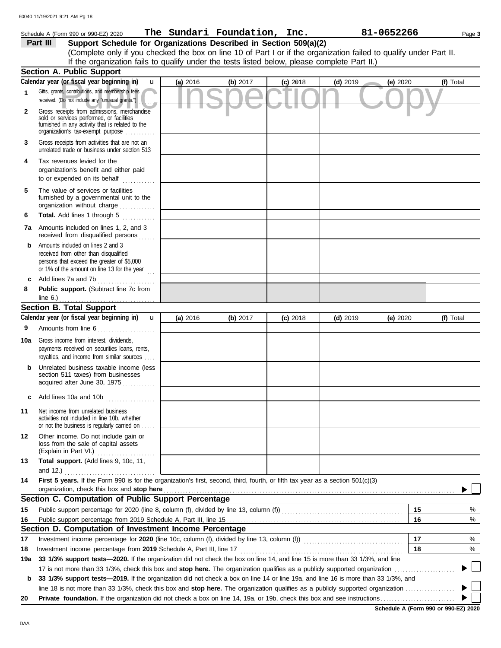|              | Schedule A (Form 990 or 990-EZ) 2020                                                                                                                                                                                                                                                       |            | The Sundari Foundation, Inc. |            |            | 81-0652266 | Page 3    |
|--------------|--------------------------------------------------------------------------------------------------------------------------------------------------------------------------------------------------------------------------------------------------------------------------------------------|------------|------------------------------|------------|------------|------------|-----------|
|              | Support Schedule for Organizations Described in Section 509(a)(2)<br>Part III                                                                                                                                                                                                              |            |                              |            |            |            |           |
|              | (Complete only if you checked the box on line 10 of Part I or if the organization failed to qualify under Part II.                                                                                                                                                                         |            |                              |            |            |            |           |
|              | If the organization fails to qualify under the tests listed below, please complete Part II.)                                                                                                                                                                                               |            |                              |            |            |            |           |
|              | <b>Section A. Public Support</b>                                                                                                                                                                                                                                                           |            |                              |            |            |            |           |
|              | Calendar year (or fiscal year beginning in)<br>$\mathbf{u}$                                                                                                                                                                                                                                | (a) 2016   | (b) 2017                     | $(c)$ 2018 | $(d)$ 2019 | (e) 2020   | (f) Total |
| $\mathbf{1}$ | Gifts, grants, contributions, and membership fees<br>received. (Do not include any "unusual grants.")                                                                                                                                                                                      |            |                              |            |            |            |           |
| $\mathbf{2}$ | Gross receipts from admissions, merchandise<br>sold or services performed, or facilities<br>furnished in any activity that is related to the<br>organization's tax-exempt purpose                                                                                                          |            |                              |            |            |            |           |
| 3            | Gross receipts from activities that are not an<br>unrelated trade or business under section 513                                                                                                                                                                                            |            |                              |            |            |            |           |
| 4            | Tax revenues levied for the<br>organization's benefit and either paid<br>to or expended on its behalf                                                                                                                                                                                      |            |                              |            |            |            |           |
| 5            | The value of services or facilities<br>furnished by a governmental unit to the<br>organization without charge                                                                                                                                                                              |            |                              |            |            |            |           |
| 6            | Total. Add lines 1 through 5<br>.                                                                                                                                                                                                                                                          |            |                              |            |            |            |           |
|              | 7a Amounts included on lines 1, 2, and 3<br>received from disqualified persons                                                                                                                                                                                                             |            |                              |            |            |            |           |
| b            | Amounts included on lines 2 and 3<br>received from other than disqualified<br>persons that exceed the greater of \$5,000<br>or 1% of the amount on line 13 for the year $\frac{1}{11}$                                                                                                     |            |                              |            |            |            |           |
| c            | Add lines 7a and 7b                                                                                                                                                                                                                                                                        |            |                              |            |            |            |           |
| 8            | Public support. (Subtract line 7c from<br>line 6.) $\ldots$                                                                                                                                                                                                                                |            |                              |            |            |            |           |
|              | <b>Section B. Total Support</b>                                                                                                                                                                                                                                                            |            |                              |            |            |            |           |
|              | Calendar year (or fiscal year beginning in)<br>$\mathbf u$                                                                                                                                                                                                                                 | (a) $2016$ | (b) 2017                     | $(c)$ 2018 | $(d)$ 2019 | (e) $2020$ | (f) Total |
| 9            | Amounts from line 6                                                                                                                                                                                                                                                                        |            |                              |            |            |            |           |
| 10a          | Gross income from interest, dividends,<br>payments received on securities loans, rents,<br>royalties, and income from similar sources                                                                                                                                                      |            |                              |            |            |            |           |
|              | Unrelated business taxable income (less<br>section 511 taxes) from businesses<br>acquired after June 30, 1975                                                                                                                                                                              |            |                              |            |            |            |           |
|              | c Add lines 10a and 10b $\ldots$                                                                                                                                                                                                                                                           |            |                              |            |            |            |           |
| 11           | Net income from unrelated business<br>activities not included in line 10b, whether<br>or not the business is regularly carried on                                                                                                                                                          |            |                              |            |            |            |           |
| 12           | Other income. Do not include gain or<br>loss from the sale of capital assets<br>(Explain in Part VI.)                                                                                                                                                                                      |            |                              |            |            |            |           |
| 13           | Total support. (Add lines 9, 10c, 11,                                                                                                                                                                                                                                                      |            |                              |            |            |            |           |
| 14           | and 12.) $\ldots$<br>First 5 years. If the Form 990 is for the organization's first, second, third, fourth, or fifth tax year as a section 501(c)(3)                                                                                                                                       |            |                              |            |            |            |           |
|              | organization, check this box and stop here <b>construction</b> and construction of the state of the state of the state of the state of the state of the state of the state of the state of the state of the state of the state of t<br>Section C. Computation of Public Support Percentage |            |                              |            |            |            |           |
| 15           | Public support percentage for 2020 (line 8, column (f), divided by line 13, column (f)) [[[[[[[[[[[[[[[[[[[[[                                                                                                                                                                              |            |                              |            |            | 15         | %         |
|              |                                                                                                                                                                                                                                                                                            |            |                              |            |            | 16         | %         |
| 16           | Section D. Computation of Investment Income Percentage                                                                                                                                                                                                                                     |            |                              |            |            |            |           |
| 17           |                                                                                                                                                                                                                                                                                            |            |                              |            |            | 17         | %         |
| 18           |                                                                                                                                                                                                                                                                                            |            |                              |            |            | 18         | %         |
| 19a          | 33 1/3% support tests—2020. If the organization did not check the box on line 14, and line 15 is more than 33 1/3%, and line                                                                                                                                                               |            |                              |            |            |            |           |
|              |                                                                                                                                                                                                                                                                                            |            |                              |            |            |            |           |
| b            | 33 1/3% support tests-2019. If the organization did not check a box on line 14 or line 19a, and line 16 is more than 33 1/3%, and                                                                                                                                                          |            |                              |            |            |            |           |
|              |                                                                                                                                                                                                                                                                                            |            |                              |            |            |            |           |
| 20           |                                                                                                                                                                                                                                                                                            |            |                              |            |            |            |           |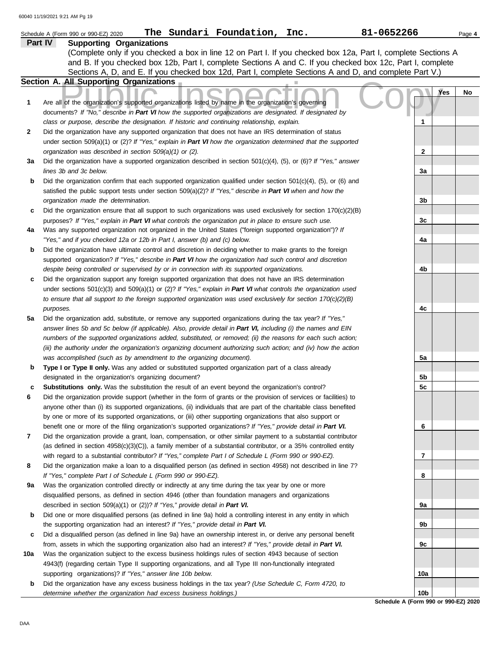|         | The Sundari Foundation, Inc.<br>Schedule A (Form 990 or 990-EZ) 2020                                                                                                                     | 81-0652266      | Page 4 |
|---------|------------------------------------------------------------------------------------------------------------------------------------------------------------------------------------------|-----------------|--------|
| Part IV | <b>Supporting Organizations</b>                                                                                                                                                          |                 |        |
|         | (Complete only if you checked a box in line 12 on Part I. If you checked box 12a, Part I, complete Sections A                                                                            |                 |        |
|         | and B. If you checked box 12b, Part I, complete Sections A and C. If you checked box 12c, Part I, complete                                                                               |                 |        |
|         | Sections A, D, and E. If you checked box 12d, Part I, complete Sections A and D, and complete Part V.)                                                                                   |                 |        |
|         | Section A. All Supporting Organizations                                                                                                                                                  |                 |        |
|         |                                                                                                                                                                                          | Yes             | No     |
| 1       | Are all of the organization's supported organizations listed by name in the organization's governing                                                                                     |                 |        |
|         | documents? If "No," describe in Part VI how the supported organizations are designated. If designated by                                                                                 |                 |        |
|         | class or purpose, describe the designation. If historic and continuing relationship, explain.                                                                                            | 1               |        |
| 2       | Did the organization have any supported organization that does not have an IRS determination of status                                                                                   |                 |        |
|         | under section 509(a)(1) or (2)? If "Yes," explain in Part VI how the organization determined that the supported                                                                          |                 |        |
|         | organization was described in section 509(a)(1) or (2).                                                                                                                                  | $\mathbf{2}$    |        |
| За      | Did the organization have a supported organization described in section $501(c)(4)$ , (5), or (6)? If "Yes," answer                                                                      |                 |        |
|         | lines 3b and 3c below.                                                                                                                                                                   | 3a              |        |
| b       | Did the organization confirm that each supported organization qualified under section $501(c)(4)$ , $(5)$ , or $(6)$ and                                                                 |                 |        |
|         | satisfied the public support tests under section 509(a)(2)? If "Yes," describe in Part VI when and how the                                                                               |                 |        |
|         | organization made the determination.                                                                                                                                                     | 3b              |        |
| c       | Did the organization ensure that all support to such organizations was used exclusively for section $170(c)(2)(B)$                                                                       |                 |        |
|         | purposes? If "Yes," explain in Part VI what controls the organization put in place to ensure such use.                                                                                   | 3c              |        |
| 4a      | Was any supported organization not organized in the United States ("foreign supported organization")? If                                                                                 |                 |        |
| b       | "Yes," and if you checked 12a or 12b in Part I, answer (b) and (c) below.<br>Did the organization have ultimate control and discretion in deciding whether to make grants to the foreign | 4a              |        |
|         | supported organization? If "Yes," describe in Part VI how the organization had such control and discretion                                                                               |                 |        |
|         | despite being controlled or supervised by or in connection with its supported organizations.                                                                                             | 4b              |        |
| c       | Did the organization support any foreign supported organization that does not have an IRS determination                                                                                  |                 |        |
|         | under sections $501(c)(3)$ and $509(a)(1)$ or (2)? If "Yes," explain in Part VI what controls the organization used                                                                      |                 |        |
|         | to ensure that all support to the foreign supported organization was used exclusively for section $170(c)(2)(B)$                                                                         |                 |        |
|         | purposes.                                                                                                                                                                                | 4c              |        |
| 5a      | Did the organization add, substitute, or remove any supported organizations during the tax year? If "Yes,"                                                                               |                 |        |
|         | answer lines 5b and 5c below (if applicable). Also, provide detail in Part VI, including (i) the names and EIN                                                                           |                 |        |
|         | numbers of the supported organizations added, substituted, or removed; (ii) the reasons for each such action;                                                                            |                 |        |
|         | (iii) the authority under the organization's organizing document authorizing such action; and (iv) how the action                                                                        |                 |        |
|         | was accomplished (such as by amendment to the organizing document).                                                                                                                      | 5a              |        |
| b       | Type I or Type II only. Was any added or substituted supported organization part of a class already                                                                                      |                 |        |
|         | designated in the organization's organizing document?                                                                                                                                    | 5b              |        |
| с       | <b>Substitutions only.</b> Was the substitution the result of an event beyond the organization's control?                                                                                | 5c              |        |
| 6       | Did the organization provide support (whether in the form of grants or the provision of services or facilities) to                                                                       |                 |        |
|         | anyone other than (i) its supported organizations, (ii) individuals that are part of the charitable class benefited                                                                      |                 |        |
|         | by one or more of its supported organizations, or (iii) other supporting organizations that also support or                                                                              |                 |        |
|         | benefit one or more of the filing organization's supported organizations? If "Yes," provide detail in Part VI.                                                                           | 6               |        |
| 7       | Did the organization provide a grant, loan, compensation, or other similar payment to a substantial contributor                                                                          |                 |        |
|         | (as defined in section $4958(c)(3)(C)$ ), a family member of a substantial contributor, or a 35% controlled entity                                                                       |                 |        |
|         | with regard to a substantial contributor? If "Yes," complete Part I of Schedule L (Form 990 or 990-EZ).                                                                                  | 7               |        |
| 8       | Did the organization make a loan to a disqualified person (as defined in section 4958) not described in line 7?<br>If "Yes," complete Part I of Schedule L (Form 990 or 990-EZ).         | 8               |        |
| 9а      | Was the organization controlled directly or indirectly at any time during the tax year by one or more                                                                                    |                 |        |
|         | disqualified persons, as defined in section 4946 (other than foundation managers and organizations                                                                                       |                 |        |
|         | described in section 509(a)(1) or (2))? If "Yes," provide detail in Part VI.                                                                                                             | 9а              |        |
| b       | Did one or more disqualified persons (as defined in line 9a) hold a controlling interest in any entity in which                                                                          |                 |        |
|         | the supporting organization had an interest? If "Yes," provide detail in Part VI.                                                                                                        | 9b              |        |
| c       | Did a disqualified person (as defined in line 9a) have an ownership interest in, or derive any personal benefit                                                                          |                 |        |
|         | from, assets in which the supporting organization also had an interest? If "Yes," provide detail in Part VI.                                                                             | 9c              |        |
| 10a     | Was the organization subject to the excess business holdings rules of section 4943 because of section                                                                                    |                 |        |
|         | 4943(f) (regarding certain Type II supporting organizations, and all Type III non-functionally integrated                                                                                |                 |        |
|         | supporting organizations)? If "Yes," answer line 10b below.                                                                                                                              | 10a             |        |
| b       | Did the organization have any excess business holdings in the tax year? (Use Schedule C, Form 4720, to                                                                                   |                 |        |
|         | determine whether the organization had excess business holdings.)                                                                                                                        | 10 <sub>b</sub> |        |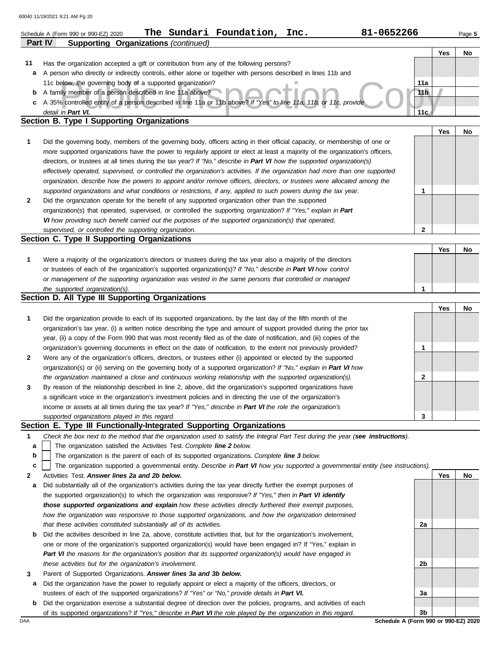| Part IV | The Sundari Foundation,<br>81-0652266<br>Inc.<br>Schedule A (Form 990 or 990-EZ) 2020<br><b>Supporting Organizations (continued)</b>                                                                                                                       |                 |     | Page 5    |
|---------|------------------------------------------------------------------------------------------------------------------------------------------------------------------------------------------------------------------------------------------------------------|-----------------|-----|-----------|
|         |                                                                                                                                                                                                                                                            |                 | Yes | No        |
| 11      | Has the organization accepted a gift or contribution from any of the following persons?                                                                                                                                                                    |                 |     |           |
| а       | A person who directly or indirectly controls, either alone or together with persons described in lines 11b and                                                                                                                                             |                 |     |           |
|         | 11c below, the governing body of a supported organization?                                                                                                                                                                                                 | 11a             |     |           |
| b       | A family member of a person described in line 11a above?                                                                                                                                                                                                   | 11 <sub>b</sub> |     |           |
| c       | A 35% controlled entity of a person described in line 11a or 11b above? If "Yes" to line 11a, 11b, or 11c, provide                                                                                                                                         |                 |     |           |
|         | detail in Part VI.                                                                                                                                                                                                                                         | 11c             |     |           |
|         | Section B. Type I Supporting Organizations                                                                                                                                                                                                                 |                 |     |           |
|         |                                                                                                                                                                                                                                                            |                 | Yes | No        |
| 1       | Did the governing body, members of the governing body, officers acting in their official capacity, or membership of one or                                                                                                                                 |                 |     |           |
|         | more supported organizations have the power to regularly appoint or elect at least a majority of the organization's officers,                                                                                                                              |                 |     |           |
|         | directors, or trustees at all times during the tax year? If "No," describe in Part VI how the supported organization(s)                                                                                                                                    |                 |     |           |
|         | effectively operated, supervised, or controlled the organization's activities. If the organization had more than one supported<br>organization, describe how the powers to appoint and/or remove officers, directors, or trustees were allocated among the |                 |     |           |
|         | supported organizations and what conditions or restrictions, if any, applied to such powers during the tax year.                                                                                                                                           | 1               |     |           |
| 2       | Did the organization operate for the benefit of any supported organization other than the supported                                                                                                                                                        |                 |     |           |
|         | organization(s) that operated, supervised, or controlled the supporting organization? If "Yes," explain in Part                                                                                                                                            |                 |     |           |
|         | VI how providing such benefit carried out the purposes of the supported organization(s) that operated,                                                                                                                                                     |                 |     |           |
|         | supervised, or controlled the supporting organization.                                                                                                                                                                                                     | $\mathbf{2}$    |     |           |
|         | Section C. Type II Supporting Organizations                                                                                                                                                                                                                |                 |     |           |
|         |                                                                                                                                                                                                                                                            |                 | Yes | No        |
| 1       | Were a majority of the organization's directors or trustees during the tax year also a majority of the directors                                                                                                                                           |                 |     |           |
|         | or trustees of each of the organization's supported organization(s)? If "No," describe in Part VI how control                                                                                                                                              |                 |     |           |
|         | or management of the supporting organization was vested in the same persons that controlled or managed                                                                                                                                                     |                 |     |           |
|         | the supported organization(s).                                                                                                                                                                                                                             | 1               |     |           |
|         | Section D. All Type III Supporting Organizations                                                                                                                                                                                                           |                 |     |           |
|         |                                                                                                                                                                                                                                                            |                 | Yes | No        |
| 1       | Did the organization provide to each of its supported organizations, by the last day of the fifth month of the                                                                                                                                             |                 |     |           |
|         | organization's tax year, (i) a written notice describing the type and amount of support provided during the prior tax                                                                                                                                      |                 |     |           |
|         | year, (ii) a copy of the Form 990 that was most recently filed as of the date of notification, and (iii) copies of the                                                                                                                                     |                 |     |           |
|         | organization's governing documents in effect on the date of notification, to the extent not previously provided?                                                                                                                                           | 1               |     |           |
| 2       | Were any of the organization's officers, directors, or trustees either (i) appointed or elected by the supported                                                                                                                                           |                 |     |           |
|         | organization(s) or (ii) serving on the governing body of a supported organization? If "No," explain in Part VI how                                                                                                                                         |                 |     |           |
|         | the organization maintained a close and continuous working relationship with the supported organization(s).                                                                                                                                                | 2               |     |           |
| 3       | By reason of the relationship described in line 2, above, did the organization's supported organizations have                                                                                                                                              |                 |     |           |
|         | a significant voice in the organization's investment policies and in directing the use of the organization's                                                                                                                                               |                 |     |           |
|         | income or assets at all times during the tax year? If "Yes," describe in Part VI the role the organization's                                                                                                                                               |                 |     |           |
|         | supported organizations played in this regard.<br>Section E. Type III Functionally-Integrated Supporting Organizations                                                                                                                                     | 3               |     |           |
| 1       | Check the box next to the method that the organization used to satisfy the Integral Part Test during the year (see instructions).                                                                                                                          |                 |     |           |
| а       | The organization satisfied the Activities Test. Complete line 2 below.                                                                                                                                                                                     |                 |     |           |
| b       | The organization is the parent of each of its supported organizations. Complete line 3 below.                                                                                                                                                              |                 |     |           |
| c       | The organization supported a governmental entity. Describe in Part VI how you supported a governmental entity (see instructions).                                                                                                                          |                 |     |           |
| 2       | Activities Test. Answer lines 2a and 2b below.                                                                                                                                                                                                             |                 | Yes | <b>No</b> |
| а       | Did substantially all of the organization's activities during the tax year directly further the exempt purposes of                                                                                                                                         |                 |     |           |
|         | the supported organization(s) to which the organization was responsive? If "Yes," then in Part VI identify                                                                                                                                                 |                 |     |           |
|         | those supported organizations and explain how these activities directly furthered their exempt purposes,                                                                                                                                                   |                 |     |           |
|         | how the organization was responsive to those supported organizations, and how the organization determined                                                                                                                                                  |                 |     |           |
|         | that these activities constituted substantially all of its activities.                                                                                                                                                                                     | 2a              |     |           |
| b       | Did the activities described in line 2a, above, constitute activities that, but for the organization's involvement,                                                                                                                                        |                 |     |           |
|         | one or more of the organization's supported organization(s) would have been engaged in? If "Yes," explain in                                                                                                                                               |                 |     |           |
|         | Part VI the reasons for the organization's position that its supported organization(s) would have engaged in                                                                                                                                               |                 |     |           |
|         | these activities but for the organization's involvement.                                                                                                                                                                                                   | 2b              |     |           |
|         | Parent of Supported Organizations. Answer lines 3a and 3b below.                                                                                                                                                                                           |                 |     |           |
| 3       |                                                                                                                                                                                                                                                            |                 |     |           |
| а       | Did the organization have the power to regularly appoint or elect a majority of the officers, directors, or                                                                                                                                                |                 |     |           |
|         | trustees of each of the supported organizations? If "Yes" or "No," provide details in Part VI.                                                                                                                                                             | За              |     |           |
| b       | Did the organization exercise a substantial degree of direction over the policies, programs, and activities of each                                                                                                                                        |                 |     |           |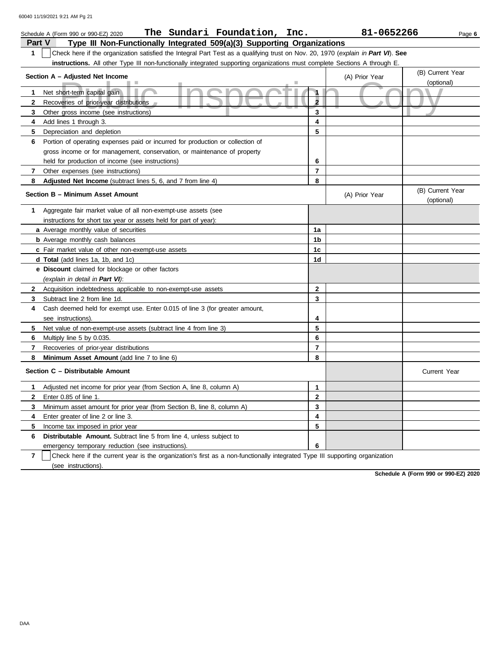|               | The Sundari Foundation, Inc.<br>Schedule A (Form 990 or 990-EZ) 2020                                                             |                | 81-0652266     | Page 6                         |
|---------------|----------------------------------------------------------------------------------------------------------------------------------|----------------|----------------|--------------------------------|
| <b>Part V</b> | Type III Non-Functionally Integrated 509(a)(3) Supporting Organizations                                                          |                |                |                                |
| 1             | Check here if the organization satisfied the Integral Part Test as a qualifying trust on Nov. 20, 1970 (explain in Part VI). See |                |                |                                |
|               | <b>instructions.</b> All other Type III non-functionally integrated supporting organizations must complete Sections A through E. |                |                |                                |
|               | Section A - Adjusted Net Income                                                                                                  |                | (A) Prior Year | (B) Current Year               |
|               |                                                                                                                                  |                |                | (optional)                     |
| $\mathbf 1$   | Net short-term capital gain                                                                                                      | 1              |                |                                |
| $\mathbf{2}$  | Recoveries of prior-year distributions                                                                                           | $\overline{2}$ |                |                                |
| 3             | Other gross income (see instructions)                                                                                            | 3              |                |                                |
| 4             | Add lines 1 through 3.                                                                                                           | 4              |                |                                |
| 5.            | Depreciation and depletion                                                                                                       | 5              |                |                                |
| 6             | Portion of operating expenses paid or incurred for production or collection of                                                   |                |                |                                |
|               | gross income or for management, conservation, or maintenance of property                                                         |                |                |                                |
|               | held for production of income (see instructions)                                                                                 | 6              |                |                                |
| 7             | Other expenses (see instructions)                                                                                                | $\overline{7}$ |                |                                |
| 8             | Adjusted Net Income (subtract lines 5, 6, and 7 from line 4)                                                                     | 8              |                |                                |
|               | Section B - Minimum Asset Amount                                                                                                 |                | (A) Prior Year | (B) Current Year<br>(optional) |
| 1             | Aggregate fair market value of all non-exempt-use assets (see                                                                    |                |                |                                |
|               | instructions for short tax year or assets held for part of year):                                                                |                |                |                                |
|               | <b>a</b> Average monthly value of securities                                                                                     | 1a             |                |                                |
|               | <b>b</b> Average monthly cash balances                                                                                           | 1 <sub>b</sub> |                |                                |
|               | c Fair market value of other non-exempt-use assets                                                                               | 1 <sub>c</sub> |                |                                |
|               | <b>d Total</b> (add lines 1a, 1b, and 1c)                                                                                        | 1d             |                |                                |
|               | e Discount claimed for blockage or other factors                                                                                 |                |                |                                |
|               | (explain in detail in Part VI):                                                                                                  |                |                |                                |
| $\mathbf{2}$  | Acquisition indebtedness applicable to non-exempt-use assets                                                                     | $\mathbf{2}$   |                |                                |
| 3             | Subtract line 2 from line 1d.                                                                                                    | 3              |                |                                |
| 4             | Cash deemed held for exempt use. Enter 0.015 of line 3 (for greater amount,                                                      |                |                |                                |
|               | see instructions).                                                                                                               | 4              |                |                                |
| 5             | Net value of non-exempt-use assets (subtract line 4 from line 3)                                                                 | 5              |                |                                |
| 6             | Multiply line 5 by 0.035.                                                                                                        | 6              |                |                                |
| 7             | Recoveries of prior-year distributions                                                                                           | $\overline{7}$ |                |                                |
| 8             | Minimum Asset Amount (add line 7 to line 6)                                                                                      | 8              |                |                                |
|               | Section C - Distributable Amount                                                                                                 |                |                | <b>Current Year</b>            |
| $\mathbf 1$   | Adjusted net income for prior year (from Section A, line 8, column A)                                                            | $\mathbf{1}$   |                |                                |
| $\mathbf{2}$  | Enter 0.85 of line 1.                                                                                                            | $\mathbf{2}$   |                |                                |
| 3             | Minimum asset amount for prior year (from Section B, line 8, column A)                                                           | 3              |                |                                |
| 4             | Enter greater of line 2 or line 3.                                                                                               | 4              |                |                                |
| 5             | Income tax imposed in prior year                                                                                                 | 5              |                |                                |
| 6             | <b>Distributable Amount.</b> Subtract line 5 from line 4, unless subject to                                                      |                |                |                                |
|               | emergency temporary reduction (see instructions).                                                                                | 6              |                |                                |

**7** | Check here if the current year is the organization's first as a non-functionally integrated Type III supporting organization (see instructions).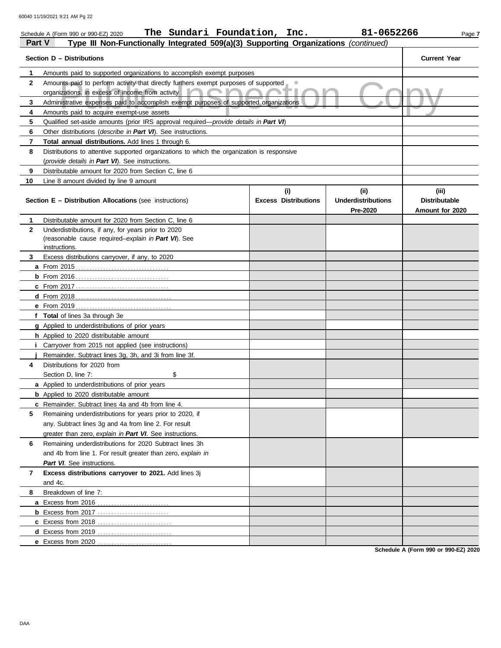|               | The Sundari Foundation, Inc.<br>Schedule A (Form 990 or 990-EZ) 2020                                                    |                                    | 81-0652266                                    | Page 7                                           |
|---------------|-------------------------------------------------------------------------------------------------------------------------|------------------------------------|-----------------------------------------------|--------------------------------------------------|
| <b>Part V</b> | Type III Non-Functionally Integrated 509(a)(3) Supporting Organizations (continued)                                     |                                    |                                               |                                                  |
|               | Section D - Distributions                                                                                               |                                    |                                               | <b>Current Year</b>                              |
| 1             | Amounts paid to supported organizations to accomplish exempt purposes                                                   |                                    |                                               |                                                  |
| $\mathbf{2}$  | Amounts paid to perform activity that directly furthers exempt purposes of supported                                    | n.                                 |                                               |                                                  |
|               |                                                                                                                         |                                    |                                               |                                                  |
| 3             |                                                                                                                         |                                    |                                               |                                                  |
| 4             | Amounts paid to acquire exempt-use assets                                                                               |                                    |                                               |                                                  |
| 5             | Qualified set-aside amounts (prior IRS approval required—provide details in Part VI)                                    |                                    |                                               |                                                  |
| 6             | Other distributions (describe in Part VI). See instructions.                                                            |                                    |                                               |                                                  |
| 7             | Total annual distributions. Add lines 1 through 6.                                                                      |                                    |                                               |                                                  |
| 8             | Distributions to attentive supported organizations to which the organization is responsive                              |                                    |                                               |                                                  |
|               | (provide details in Part VI). See instructions.                                                                         |                                    |                                               |                                                  |
| 9             | Distributable amount for 2020 from Section C, line 6                                                                    |                                    |                                               |                                                  |
| 10            | Line 8 amount divided by line 9 amount                                                                                  |                                    |                                               |                                                  |
|               | <b>Section E - Distribution Allocations (see instructions)</b>                                                          | (i)<br><b>Excess Distributions</b> | (ii)<br><b>Underdistributions</b><br>Pre-2020 | (iii)<br><b>Distributable</b><br>Amount for 2020 |
| 1             | Distributable amount for 2020 from Section C, line 6                                                                    |                                    |                                               |                                                  |
| $\mathbf{2}$  | Underdistributions, if any, for years prior to 2020                                                                     |                                    |                                               |                                                  |
|               | (reasonable cause required-explain in Part VI). See                                                                     |                                    |                                               |                                                  |
|               | instructions.                                                                                                           |                                    |                                               |                                                  |
| 3             | Excess distributions carryover, if any, to 2020                                                                         |                                    |                                               |                                                  |
|               |                                                                                                                         |                                    |                                               |                                                  |
|               |                                                                                                                         |                                    |                                               |                                                  |
|               |                                                                                                                         |                                    |                                               |                                                  |
|               |                                                                                                                         |                                    |                                               |                                                  |
|               |                                                                                                                         |                                    |                                               |                                                  |
|               | f Total of lines 3a through 3e                                                                                          |                                    |                                               |                                                  |
|               | g Applied to underdistributions of prior years                                                                          |                                    |                                               |                                                  |
|               | h Applied to 2020 distributable amount                                                                                  |                                    |                                               |                                                  |
|               | <i>i</i> Carryover from 2015 not applied (see instructions)                                                             |                                    |                                               |                                                  |
|               | Remainder. Subtract lines 3g, 3h, and 3i from line 3f.                                                                  |                                    |                                               |                                                  |
| 4             | Distributions for 2020 from                                                                                             |                                    |                                               |                                                  |
|               | \$<br>Section D, line 7:                                                                                                |                                    |                                               |                                                  |
|               | a Applied to underdistributions of prior years                                                                          |                                    |                                               |                                                  |
|               | <b>b</b> Applied to 2020 distributable amount                                                                           |                                    |                                               |                                                  |
| 5             | c Remainder. Subtract lines 4a and 4b from line 4.                                                                      |                                    |                                               |                                                  |
|               | Remaining underdistributions for years prior to 2020, if                                                                |                                    |                                               |                                                  |
|               | any. Subtract lines 3g and 4a from line 2. For result<br>greater than zero, explain in Part VI. See instructions.       |                                    |                                               |                                                  |
| 6             |                                                                                                                         |                                    |                                               |                                                  |
|               | Remaining underdistributions for 2020 Subtract lines 3h<br>and 4b from line 1. For result greater than zero, explain in |                                    |                                               |                                                  |
|               | Part VI. See instructions.                                                                                              |                                    |                                               |                                                  |
| 7             | Excess distributions carryover to 2021. Add lines 3j                                                                    |                                    |                                               |                                                  |
|               | and 4c.                                                                                                                 |                                    |                                               |                                                  |
| 8             | Breakdown of line 7:                                                                                                    |                                    |                                               |                                                  |
|               | a Excess from 2016                                                                                                      |                                    |                                               |                                                  |
|               |                                                                                                                         |                                    |                                               |                                                  |
|               |                                                                                                                         |                                    |                                               |                                                  |
|               |                                                                                                                         |                                    |                                               |                                                  |
|               | e Excess from 2020                                                                                                      |                                    |                                               |                                                  |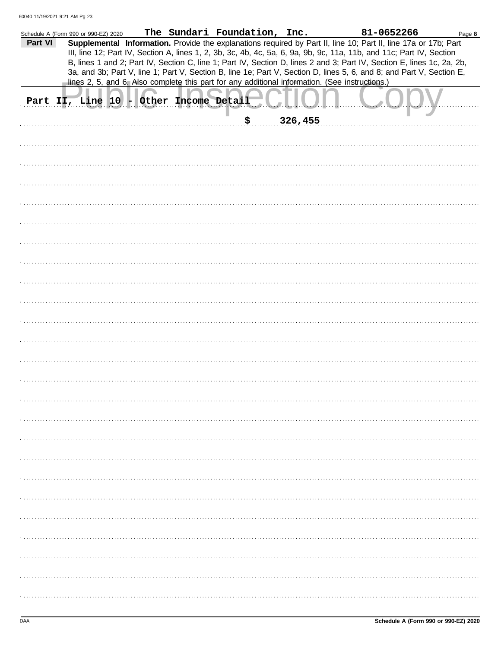|         | Schedule A (Form 990 or 990-EZ) 2020                                                           |  | The Sundari Foundation, Inc. |         | 81-0652266                                                                                                                                                                                                                                                                                                                                                                                                                                                                                | Page 8 |
|---------|------------------------------------------------------------------------------------------------|--|------------------------------|---------|-------------------------------------------------------------------------------------------------------------------------------------------------------------------------------------------------------------------------------------------------------------------------------------------------------------------------------------------------------------------------------------------------------------------------------------------------------------------------------------------|--------|
| Part VI | lines 2, 5, and 6. Also complete this part for any additional information. (See instructions.) |  |                              |         | Supplemental Information. Provide the explanations required by Part II, line 10; Part II, line 17a or 17b; Part<br>III, line 12; Part IV, Section A, lines 1, 2, 3b, 3c, 4b, 4c, 5a, 6, 9a, 9b, 9c, 11a, 11b, and 11c; Part IV, Section<br>B, lines 1 and 2; Part IV, Section C, line 1; Part IV, Section D, lines 2 and 3; Part IV, Section E, lines 1c, 2a, 2b,<br>3a, and 3b; Part V, line 1; Part V, Section B, line 1e; Part V, Section D, lines 5, 6, and 8; and Part V, Section E, |        |
|         |                                                                                                |  |                              |         |                                                                                                                                                                                                                                                                                                                                                                                                                                                                                           |        |
|         | Part II, Line 10 - Other Income Detail                                                         |  |                              |         |                                                                                                                                                                                                                                                                                                                                                                                                                                                                                           |        |
|         |                                                                                                |  | \$                           | 326,455 |                                                                                                                                                                                                                                                                                                                                                                                                                                                                                           |        |
|         |                                                                                                |  |                              |         |                                                                                                                                                                                                                                                                                                                                                                                                                                                                                           |        |
|         |                                                                                                |  |                              |         |                                                                                                                                                                                                                                                                                                                                                                                                                                                                                           |        |
|         |                                                                                                |  |                              |         |                                                                                                                                                                                                                                                                                                                                                                                                                                                                                           |        |
|         |                                                                                                |  |                              |         |                                                                                                                                                                                                                                                                                                                                                                                                                                                                                           |        |
|         |                                                                                                |  |                              |         |                                                                                                                                                                                                                                                                                                                                                                                                                                                                                           |        |
|         |                                                                                                |  |                              |         |                                                                                                                                                                                                                                                                                                                                                                                                                                                                                           |        |
|         |                                                                                                |  |                              |         |                                                                                                                                                                                                                                                                                                                                                                                                                                                                                           |        |
|         |                                                                                                |  |                              |         |                                                                                                                                                                                                                                                                                                                                                                                                                                                                                           |        |
|         |                                                                                                |  |                              |         |                                                                                                                                                                                                                                                                                                                                                                                                                                                                                           |        |
|         |                                                                                                |  |                              |         |                                                                                                                                                                                                                                                                                                                                                                                                                                                                                           |        |
|         |                                                                                                |  |                              |         |                                                                                                                                                                                                                                                                                                                                                                                                                                                                                           |        |
|         |                                                                                                |  |                              |         |                                                                                                                                                                                                                                                                                                                                                                                                                                                                                           |        |
|         |                                                                                                |  |                              |         |                                                                                                                                                                                                                                                                                                                                                                                                                                                                                           |        |
|         |                                                                                                |  |                              |         |                                                                                                                                                                                                                                                                                                                                                                                                                                                                                           |        |
|         |                                                                                                |  |                              |         |                                                                                                                                                                                                                                                                                                                                                                                                                                                                                           |        |
|         |                                                                                                |  |                              |         |                                                                                                                                                                                                                                                                                                                                                                                                                                                                                           |        |
|         |                                                                                                |  |                              |         |                                                                                                                                                                                                                                                                                                                                                                                                                                                                                           |        |
|         |                                                                                                |  |                              |         |                                                                                                                                                                                                                                                                                                                                                                                                                                                                                           |        |
|         |                                                                                                |  |                              |         |                                                                                                                                                                                                                                                                                                                                                                                                                                                                                           |        |
|         |                                                                                                |  |                              |         |                                                                                                                                                                                                                                                                                                                                                                                                                                                                                           |        |
|         |                                                                                                |  |                              |         |                                                                                                                                                                                                                                                                                                                                                                                                                                                                                           |        |
|         |                                                                                                |  |                              |         |                                                                                                                                                                                                                                                                                                                                                                                                                                                                                           |        |
|         |                                                                                                |  |                              |         |                                                                                                                                                                                                                                                                                                                                                                                                                                                                                           |        |
|         |                                                                                                |  |                              |         |                                                                                                                                                                                                                                                                                                                                                                                                                                                                                           |        |
|         |                                                                                                |  |                              |         |                                                                                                                                                                                                                                                                                                                                                                                                                                                                                           |        |
|         |                                                                                                |  |                              |         |                                                                                                                                                                                                                                                                                                                                                                                                                                                                                           |        |
|         |                                                                                                |  |                              |         |                                                                                                                                                                                                                                                                                                                                                                                                                                                                                           |        |
|         |                                                                                                |  |                              |         |                                                                                                                                                                                                                                                                                                                                                                                                                                                                                           |        |
|         |                                                                                                |  |                              |         |                                                                                                                                                                                                                                                                                                                                                                                                                                                                                           |        |
|         |                                                                                                |  |                              |         |                                                                                                                                                                                                                                                                                                                                                                                                                                                                                           |        |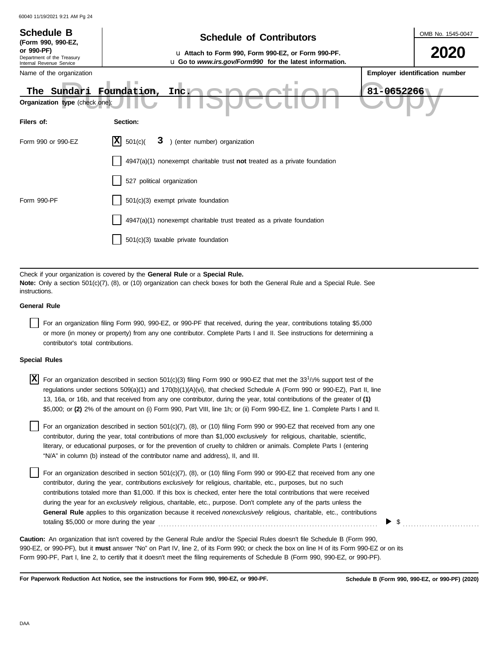| <b>Schedule B</b><br>(Form 990, 990-EZ,<br>or 990-PF)<br>Department of the Treasury<br>Internal Revenue Service | <b>Schedule of Contributors</b><br>u Attach to Form 990, Form 990-EZ, or Form 990-PF.<br>u Go to www.irs.gov/Form990 for the latest information. | OMB No. 1545-0047<br>2020      |  |  |  |  |  |  |
|-----------------------------------------------------------------------------------------------------------------|--------------------------------------------------------------------------------------------------------------------------------------------------|--------------------------------|--|--|--|--|--|--|
| Name of the organization                                                                                        |                                                                                                                                                  | Employer identification number |  |  |  |  |  |  |
| Foundation,<br>81-0652266<br>Sundari<br>Inc.<br>The<br>Organization type (check one):                           |                                                                                                                                                  |                                |  |  |  |  |  |  |
| Filers of:                                                                                                      | Section:                                                                                                                                         |                                |  |  |  |  |  |  |
| Form 990 or 990-EZ                                                                                              | X <br>) (enter number) organization<br>501(c)<br>3                                                                                               |                                |  |  |  |  |  |  |
|                                                                                                                 | $4947(a)(1)$ nonexempt charitable trust not treated as a private foundation                                                                      |                                |  |  |  |  |  |  |
|                                                                                                                 | 527 political organization                                                                                                                       |                                |  |  |  |  |  |  |
| Form 990-PF                                                                                                     | 501(c)(3) exempt private foundation                                                                                                              |                                |  |  |  |  |  |  |
|                                                                                                                 | 4947(a)(1) nonexempt charitable trust treated as a private foundation                                                                            |                                |  |  |  |  |  |  |
|                                                                                                                 | 501(c)(3) taxable private foundation                                                                                                             |                                |  |  |  |  |  |  |
|                                                                                                                 |                                                                                                                                                  |                                |  |  |  |  |  |  |

Check if your organization is covered by the **General Rule** or a **Special Rule. Note:** Only a section 501(c)(7), (8), or (10) organization can check boxes for both the General Rule and a Special Rule. See instructions.

### **General Rule**

For an organization filing Form 990, 990-EZ, or 990-PF that received, during the year, contributions totaling \$5,000 or more (in money or property) from any one contributor. Complete Parts I and II. See instructions for determining a contributor's total contributions.

#### **Special Rules**

For an organization described in section 501(c)(3) filing Form 990 or 990-EZ that met the 33<sup>1</sup> /3% support test of the **X** regulations under sections 509(a)(1) and 170(b)(1)(A)(vi), that checked Schedule A (Form 990 or 990-EZ), Part II, line 13, 16a, or 16b, and that received from any one contributor, during the year, total contributions of the greater of **(1)** \$5,000; or **(2)** 2% of the amount on (i) Form 990, Part VIII, line 1h; or (ii) Form 990-EZ, line 1. Complete Parts I and II.

literary, or educational purposes, or for the prevention of cruelty to children or animals. Complete Parts I (entering For an organization described in section 501(c)(7), (8), or (10) filing Form 990 or 990-EZ that received from any one contributor, during the year, total contributions of more than \$1,000 *exclusively* for religious, charitable, scientific, "N/A" in column (b) instead of the contributor name and address), II, and III.

For an organization described in section 501(c)(7), (8), or (10) filing Form 990 or 990-EZ that received from any one contributor, during the year, contributions *exclusively* for religious, charitable, etc., purposes, but no such contributions totaled more than \$1,000. If this box is checked, enter here the total contributions that were received during the year for an *exclusively* religious, charitable, etc., purpose. Don't complete any of the parts unless the **General Rule** applies to this organization because it received *nonexclusively* religious, charitable, etc., contributions totaling \$5,000 or more during the year . . . . . . . . . . . . . . . . . . . . . . . . . . . . . . . . . . . . . . . . . . . . . . . . . . . . . . . . . . . . . . . . . . . . . . . . . . . . . . . .

990-EZ, or 990-PF), but it **must** answer "No" on Part IV, line 2, of its Form 990; or check the box on line H of its Form 990-EZ or on its Form 990-PF, Part I, line 2, to certify that it doesn't meet the filing requirements of Schedule B (Form 990, 990-EZ, or 990-PF). **Caution:** An organization that isn't covered by the General Rule and/or the Special Rules doesn't file Schedule B (Form 990,

**For Paperwork Reduction Act Notice, see the instructions for Form 990, 990-EZ, or 990-PF.**

 $\triangleright$  \$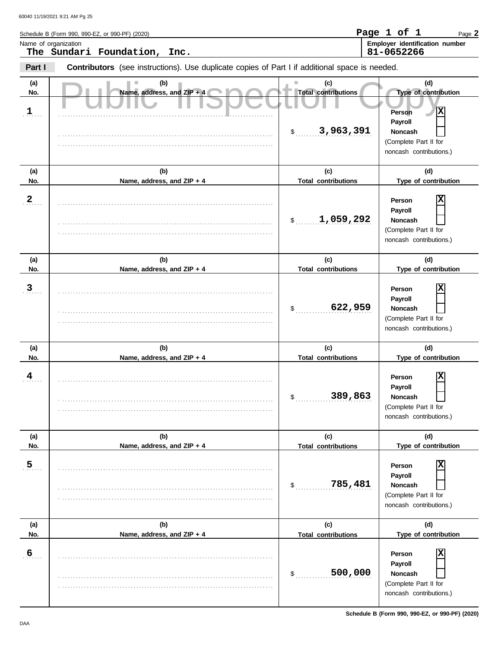|                            | 60040 11/19/2021 9:21 AM Pg 25                                                                          |                                                           |                                                                                                                       |
|----------------------------|---------------------------------------------------------------------------------------------------------|-----------------------------------------------------------|-----------------------------------------------------------------------------------------------------------------------|
|                            | Schedule B (Form 990, 990-EZ, or 990-PF) (2020)<br>Name of organization<br>The Sundari Foundation, Inc. |                                                           | Page 1 of 1<br>Page 2<br>Employer identification number<br>81-0652266                                                 |
| Part I                     | Contributors (see instructions). Use duplicate copies of Part I if additional space is needed.          |                                                           |                                                                                                                       |
| (a)<br>No.<br>$\mathbf{1}$ | (b)<br>Name, address, and ZIP + 4                                                                       | (c)<br>п<br><b>Total contributions</b><br>3,963,391<br>\$ | (d)<br>Type of contribution<br>Ιx<br>Person<br>Payroll<br>Noncash<br>(Complete Part II for<br>noncash contributions.) |
| (a)                        | (b)                                                                                                     | (c)                                                       | (d)                                                                                                                   |
| No.                        | Name, address, and ZIP + 4                                                                              | <b>Total contributions</b>                                | Type of contribution                                                                                                  |
| $\overline{2}$             |                                                                                                         | 1,059,292<br>\$                                           | X<br>Person<br>Payroll<br><b>Noncash</b><br>(Complete Part II for<br>noncash contributions.)                          |
| (a)                        | (b)                                                                                                     | (c)                                                       | (d)                                                                                                                   |
| No.                        | Name, address, and ZIP + 4                                                                              | <b>Total contributions</b>                                | Type of contribution                                                                                                  |
| $\overline{3}$             |                                                                                                         | 622,959<br>\$                                             | Person<br>Payroll<br>Noncash<br>(Complete Part II for<br>noncash contributions.)                                      |
| (a)                        | (b)                                                                                                     | (c)                                                       | (d)                                                                                                                   |
| No.                        | Name, address, and ZIP + 4                                                                              | <b>Total contributions</b>                                | Type of contribution                                                                                                  |
| $\frac{4}{1}$              |                                                                                                         | 389,863<br>\$                                             | $\mathbf{x}$<br>Person<br>Payroll<br>Noncash<br>(Complete Part II for<br>noncash contributions.)                      |
| (a)<br>No.                 | (b)<br>Name, address, and ZIP + 4                                                                       | (c)<br><b>Total contributions</b>                         | (d)<br>Type of contribution                                                                                           |
| $\overline{5}$             |                                                                                                         | 785,481<br>\$                                             | х<br>Person<br>Payroll<br>Noncash<br>(Complete Part II for<br>noncash contributions.)                                 |
| (a)<br>No.                 | (b)<br>Name, address, and ZIP + 4                                                                       | (c)<br><b>Total contributions</b>                         | (d)<br>Type of contribution                                                                                           |
| 6                          |                                                                                                         |                                                           | x<br>Person<br>Payroll                                                                                                |

. . . . . . . . . . . . . . . . . . . . . . . . . . . . . . . . . . . . . . . . . . . . . . . . . . . . . . . . . . . . . . . . . . . . . . . . . . . . . .

. . . . . . . . . . . . . . . . . . . . . . . . . . . . . . . . . . . . . . . . . . . . . . . . . . . . . . . . . . . . . . . . . . . . . . . . . . . . . .

**Noncash** (Complete Part II for noncash contributions.)

\$ . . . . . . . . . . . . . . . . . . . . . . . . . . . . **500,000**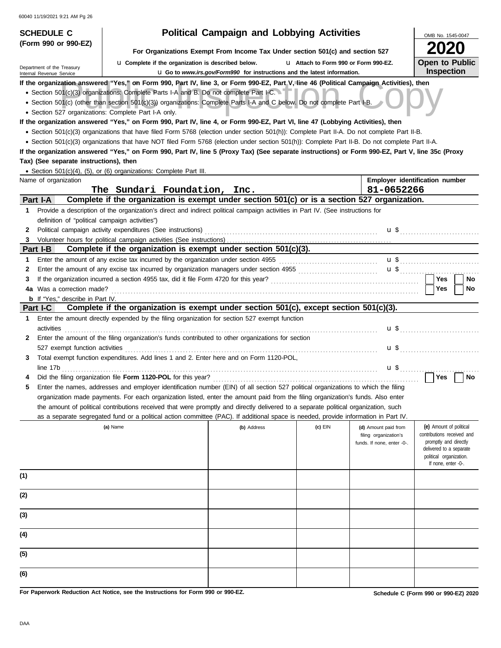| $000 + 0$ 11/13/2021 3.21 AWIT 9 20<br><b>SCHEDULE C</b>                                                                                                                         |                                                                                                                                                                                                                                | <b>Political Campaign and Lobbying Activities</b> |         |                            | OMB No. 1545-0047                                |  |  |  |  |  |  |
|----------------------------------------------------------------------------------------------------------------------------------------------------------------------------------|--------------------------------------------------------------------------------------------------------------------------------------------------------------------------------------------------------------------------------|---------------------------------------------------|---------|----------------------------|--------------------------------------------------|--|--|--|--|--|--|
| (Form 990 or 990-EZ)                                                                                                                                                             | For Organizations Exempt From Income Tax Under section 501(c) and section 527                                                                                                                                                  |                                                   |         |                            |                                                  |  |  |  |  |  |  |
|                                                                                                                                                                                  | La Complete if the organization is described below.<br>L1 Attach to Form 990 or Form 990-EZ.                                                                                                                                   |                                                   |         |                            |                                                  |  |  |  |  |  |  |
| <b>Open to Public</b><br>Department of the Treasury<br>Inspection<br><b>u</b> Go to www.irs.gov/Form990 for instructions and the latest information.<br>Internal Revenue Service |                                                                                                                                                                                                                                |                                                   |         |                            |                                                  |  |  |  |  |  |  |
| If the organization answered "Yes," on Form 990, Part IV, line 3, or Form 990-EZ, Part V, line 46 (Political Campaign Activities), then                                          |                                                                                                                                                                                                                                |                                                   |         |                            |                                                  |  |  |  |  |  |  |
|                                                                                                                                                                                  | • Section 501(c)(3) organizations: Complete Parts I-A and B. Do not complete Part I-C.                                                                                                                                         |                                                   |         |                            |                                                  |  |  |  |  |  |  |
|                                                                                                                                                                                  | • Section 501(c) (other than section 501(c)(3)) organizations: Complete Parts I-A and C below. Do not complete Part I-B.                                                                                                       |                                                   |         |                            |                                                  |  |  |  |  |  |  |
|                                                                                                                                                                                  | • Section 527 organizations: Complete Part I-A only.                                                                                                                                                                           |                                                   |         |                            |                                                  |  |  |  |  |  |  |
|                                                                                                                                                                                  | If the organization answered "Yes," on Form 990, Part IV, line 4, or Form 990-EZ, Part VI, line 47 (Lobbying Activities), then                                                                                                 |                                                   |         |                            |                                                  |  |  |  |  |  |  |
| • Section 501(c)(3) organizations that have filed Form 5768 (election under section 501(h)): Complete Part II-A. Do not complete Part II-B.                                      |                                                                                                                                                                                                                                |                                                   |         |                            |                                                  |  |  |  |  |  |  |
|                                                                                                                                                                                  | • Section 501(c)(3) organizations that have NOT filed Form 5768 (election under section 501(h)): Complete Part II-B. Do not complete Part II-A.                                                                                |                                                   |         |                            |                                                  |  |  |  |  |  |  |
|                                                                                                                                                                                  | If the organization answered "Yes," on Form 990, Part IV, line 5 (Proxy Tax) (See separate instructions) or Form 990-EZ, Part V, line 35c (Proxy                                                                               |                                                   |         |                            |                                                  |  |  |  |  |  |  |
| Tax) (See separate instructions), then                                                                                                                                           |                                                                                                                                                                                                                                |                                                   |         |                            |                                                  |  |  |  |  |  |  |
|                                                                                                                                                                                  | • Section 501(c)(4), (5), or (6) organizations: Complete Part III.                                                                                                                                                             |                                                   |         |                            |                                                  |  |  |  |  |  |  |
| Name of organization                                                                                                                                                             |                                                                                                                                                                                                                                |                                                   |         |                            | Employer identification number                   |  |  |  |  |  |  |
|                                                                                                                                                                                  | The Sundari Foundation, Inc.                                                                                                                                                                                                   |                                                   |         | 81-0652266                 |                                                  |  |  |  |  |  |  |
| Part I-A                                                                                                                                                                         | Complete if the organization is exempt under section 501(c) or is a section 527 organization.                                                                                                                                  |                                                   |         |                            |                                                  |  |  |  |  |  |  |
| 1.                                                                                                                                                                               | Provide a description of the organization's direct and indirect political campaign activities in Part IV. (See instructions for                                                                                                |                                                   |         |                            |                                                  |  |  |  |  |  |  |
| definition of "political campaign activities")                                                                                                                                   |                                                                                                                                                                                                                                |                                                   |         |                            |                                                  |  |  |  |  |  |  |
| 2                                                                                                                                                                                | Political campaign activity expenditures (See instructions) [11] contain the container container activity expenditures (See instructions) [11] container activity expenditures (See instructions) [11] container activity expe |                                                   |         |                            |                                                  |  |  |  |  |  |  |
| 3                                                                                                                                                                                |                                                                                                                                                                                                                                |                                                   |         |                            |                                                  |  |  |  |  |  |  |
| Part I-B                                                                                                                                                                         | Complete if the organization is exempt under section 501(c)(3).                                                                                                                                                                |                                                   |         |                            |                                                  |  |  |  |  |  |  |
| 1.                                                                                                                                                                               | Enter the amount of any excise tax incurred by the organization under section 4955 [[[[[[[[[[[[[[[[[[[[[[[[[[[                                                                                                                 |                                                   |         |                            | $\mathbf{u}$ \$                                  |  |  |  |  |  |  |
| 2                                                                                                                                                                                |                                                                                                                                                                                                                                |                                                   |         |                            |                                                  |  |  |  |  |  |  |
| З                                                                                                                                                                                |                                                                                                                                                                                                                                |                                                   |         |                            | <b>Yes</b><br>No                                 |  |  |  |  |  |  |
| 4a Was a correction made?                                                                                                                                                        |                                                                                                                                                                                                                                |                                                   |         |                            | Yes<br>No                                        |  |  |  |  |  |  |
| <b>b</b> If "Yes," describe in Part IV.<br>Part I-C                                                                                                                              | Complete if the organization is exempt under section 501(c), except section 501(c)(3).                                                                                                                                         |                                                   |         |                            |                                                  |  |  |  |  |  |  |
|                                                                                                                                                                                  | Enter the amount directly expended by the filing organization for section 527 exempt function                                                                                                                                  |                                                   |         |                            |                                                  |  |  |  |  |  |  |
| 1.                                                                                                                                                                               |                                                                                                                                                                                                                                |                                                   |         |                            |                                                  |  |  |  |  |  |  |
| activities<br>2                                                                                                                                                                  | Enter the amount of the filing organization's funds contributed to other organizations for section                                                                                                                             |                                                   |         |                            |                                                  |  |  |  |  |  |  |
|                                                                                                                                                                                  |                                                                                                                                                                                                                                |                                                   |         |                            |                                                  |  |  |  |  |  |  |
| 3                                                                                                                                                                                | Total exempt function expenditures. Add lines 1 and 2. Enter here and on Form 1120-POL,                                                                                                                                        |                                                   |         |                            |                                                  |  |  |  |  |  |  |
| line 17b                                                                                                                                                                         |                                                                                                                                                                                                                                |                                                   |         |                            |                                                  |  |  |  |  |  |  |
|                                                                                                                                                                                  |                                                                                                                                                                                                                                |                                                   |         |                            | $\mathbf{u}$ \$<br>Yes<br>No                     |  |  |  |  |  |  |
| 5                                                                                                                                                                                | Enter the names, addresses and employer identification number (EIN) of all section 527 political organizations to which the filing                                                                                             |                                                   |         |                            |                                                  |  |  |  |  |  |  |
|                                                                                                                                                                                  | organization made payments. For each organization listed, enter the amount paid from the filing organization's funds. Also enter                                                                                               |                                                   |         |                            |                                                  |  |  |  |  |  |  |
|                                                                                                                                                                                  | the amount of political contributions received that were promptly and directly delivered to a separate political organization, such                                                                                            |                                                   |         |                            |                                                  |  |  |  |  |  |  |
|                                                                                                                                                                                  | as a separate segregated fund or a political action committee (PAC). If additional space is needed, provide information in Part IV.                                                                                            |                                                   |         |                            |                                                  |  |  |  |  |  |  |
|                                                                                                                                                                                  | (a) Name                                                                                                                                                                                                                       | (b) Address                                       | (c) EIN | (d) Amount paid from       | (e) Amount of political                          |  |  |  |  |  |  |
|                                                                                                                                                                                  |                                                                                                                                                                                                                                |                                                   |         | filing organization's      | contributions received and                       |  |  |  |  |  |  |
|                                                                                                                                                                                  |                                                                                                                                                                                                                                |                                                   |         | funds. If none, enter -0-. | promptly and directly<br>delivered to a separate |  |  |  |  |  |  |
|                                                                                                                                                                                  |                                                                                                                                                                                                                                |                                                   |         |                            | political organization.                          |  |  |  |  |  |  |
|                                                                                                                                                                                  |                                                                                                                                                                                                                                |                                                   |         |                            | If none, enter -0-.                              |  |  |  |  |  |  |
| (1)                                                                                                                                                                              |                                                                                                                                                                                                                                |                                                   |         |                            |                                                  |  |  |  |  |  |  |
|                                                                                                                                                                                  |                                                                                                                                                                                                                                |                                                   |         |                            |                                                  |  |  |  |  |  |  |
| (2)                                                                                                                                                                              |                                                                                                                                                                                                                                |                                                   |         |                            |                                                  |  |  |  |  |  |  |
|                                                                                                                                                                                  |                                                                                                                                                                                                                                |                                                   |         |                            |                                                  |  |  |  |  |  |  |
| (3)                                                                                                                                                                              |                                                                                                                                                                                                                                |                                                   |         |                            |                                                  |  |  |  |  |  |  |
|                                                                                                                                                                                  |                                                                                                                                                                                                                                |                                                   |         |                            |                                                  |  |  |  |  |  |  |
| (4)                                                                                                                                                                              |                                                                                                                                                                                                                                |                                                   |         |                            |                                                  |  |  |  |  |  |  |
|                                                                                                                                                                                  |                                                                                                                                                                                                                                |                                                   |         |                            |                                                  |  |  |  |  |  |  |
| (5)                                                                                                                                                                              |                                                                                                                                                                                                                                |                                                   |         |                            |                                                  |  |  |  |  |  |  |
| (6)                                                                                                                                                                              |                                                                                                                                                                                                                                |                                                   |         |                            |                                                  |  |  |  |  |  |  |
|                                                                                                                                                                                  |                                                                                                                                                                                                                                |                                                   |         |                            |                                                  |  |  |  |  |  |  |

**For Paperwork Reduction Act Notice, see the Instructions for Form 990 or 990-EZ.**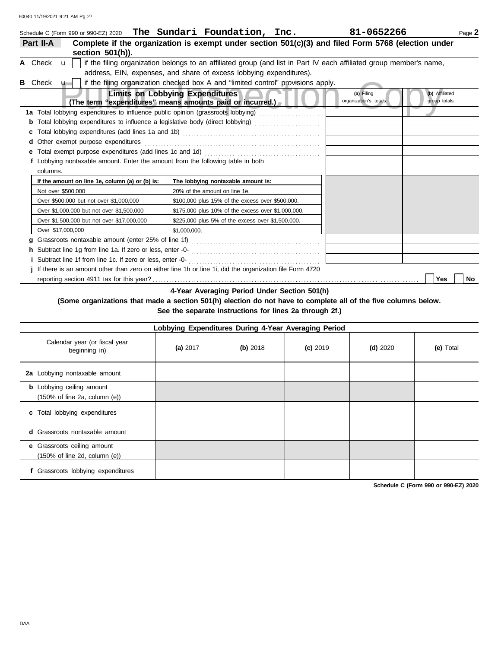|    |           | Schedule C (Form 990 or 990-EZ) 2020 $\;$ The Sundari Foundation, Inc.                                    |                                        |                                                                                  | 81-0652266                                                                                                          |                                | Page 2 |
|----|-----------|-----------------------------------------------------------------------------------------------------------|----------------------------------------|----------------------------------------------------------------------------------|---------------------------------------------------------------------------------------------------------------------|--------------------------------|--------|
|    | Part II-A |                                                                                                           |                                        |                                                                                  | Complete if the organization is exempt under section 501(c)(3) and filed Form 5768 (election under                  |                                |        |
|    |           | section 501(h)).                                                                                          |                                        |                                                                                  |                                                                                                                     |                                |        |
|    | A Check   | $\mathbf{u}$                                                                                              |                                        |                                                                                  | if the filing organization belongs to an affiliated group (and list in Part IV each affiliated group member's name, |                                |        |
|    |           |                                                                                                           |                                        | address, EIN, expenses, and share of excess lobbying expenditures).              |                                                                                                                     |                                |        |
| B. | Check     | $\mathbf{u}$                                                                                              |                                        | if the filing organization checked box A and "limited control" provisions apply. |                                                                                                                     |                                |        |
|    |           |                                                                                                           | <b>Limits on Lobbying Expenditures</b> | (The term "expenditures" means amounts paid or incurred.)                        | (a) Filing<br>organization's totals                                                                                 | (b) Affiliated<br>group totals |        |
|    |           |                                                                                                           |                                        |                                                                                  |                                                                                                                     |                                |        |
|    |           |                                                                                                           |                                        |                                                                                  |                                                                                                                     |                                |        |
|    | c         |                                                                                                           |                                        |                                                                                  |                                                                                                                     |                                |        |
|    |           | Other exempt purpose expenditures                                                                         |                                        |                                                                                  |                                                                                                                     |                                |        |
|    |           | Total exempt purpose expenditures (add lines 1c and 1d)                                                   |                                        |                                                                                  |                                                                                                                     |                                |        |
|    |           | f Lobbying nontaxable amount. Enter the amount from the following table in both                           |                                        |                                                                                  |                                                                                                                     |                                |        |
|    | columns.  |                                                                                                           |                                        |                                                                                  |                                                                                                                     |                                |        |
|    |           | If the amount on line 1e, column (a) or (b) is:                                                           |                                        | The lobbying nontaxable amount is:                                               |                                                                                                                     |                                |        |
|    |           | Not over \$500,000                                                                                        |                                        | 20% of the amount on line 1e.                                                    |                                                                                                                     |                                |        |
|    |           | Over \$500,000 but not over \$1,000,000                                                                   |                                        | \$100,000 plus 15% of the excess over \$500,000.                                 |                                                                                                                     |                                |        |
|    |           | Over \$1,000,000 but not over \$1,500,000                                                                 |                                        | \$175,000 plus 10% of the excess over \$1,000,000.                               |                                                                                                                     |                                |        |
|    |           | Over \$1,500,000 but not over \$17,000,000                                                                |                                        | \$225,000 plus 5% of the excess over \$1,500,000.                                |                                                                                                                     |                                |        |
|    |           | Over \$17,000,000                                                                                         | \$1,000,000.                           |                                                                                  |                                                                                                                     |                                |        |
|    |           |                                                                                                           |                                        |                                                                                  |                                                                                                                     |                                |        |
|    |           |                                                                                                           |                                        |                                                                                  |                                                                                                                     |                                |        |
|    |           | Subtract line 1f from line 1c. If zero or less, enter -0-                                                 |                                        |                                                                                  |                                                                                                                     |                                |        |
|    |           | j If there is an amount other than zero on either line 1h or line 1i, did the organization file Form 4720 |                                        |                                                                                  |                                                                                                                     |                                |        |
|    |           |                                                                                                           |                                        |                                                                                  |                                                                                                                     | Yes                            | No     |

**4-Year Averaging Period Under Section 501(h)**

**(Some organizations that made a section 501(h) election do not have to complete all of the five columns below. See the separate instructions for lines 2a through 2f.)**

| Lobbying Expenditures During 4-Year Averaging Period                                   |            |            |            |            |           |  |  |  |  |
|----------------------------------------------------------------------------------------|------------|------------|------------|------------|-----------|--|--|--|--|
| Calendar year (or fiscal year<br>beginning in)                                         | (a) $2017$ | $(b)$ 2018 | $(c)$ 2019 | $(d)$ 2020 | (e) Total |  |  |  |  |
| 2a Lobbying nontaxable amount                                                          |            |            |            |            |           |  |  |  |  |
| <b>b</b> Lobbying ceiling amount<br>$(150\% \text{ of line } 2a, \text{ column } (e))$ |            |            |            |            |           |  |  |  |  |
| c Total lobbying expenditures                                                          |            |            |            |            |           |  |  |  |  |
| <b>d</b> Grassroots nontaxable amount                                                  |            |            |            |            |           |  |  |  |  |
| e Grassroots ceiling amount<br>$(150\% \text{ of line } 2d, \text{ column } (e))$      |            |            |            |            |           |  |  |  |  |
| f Grassroots lobbying expenditures                                                     |            |            |            |            |           |  |  |  |  |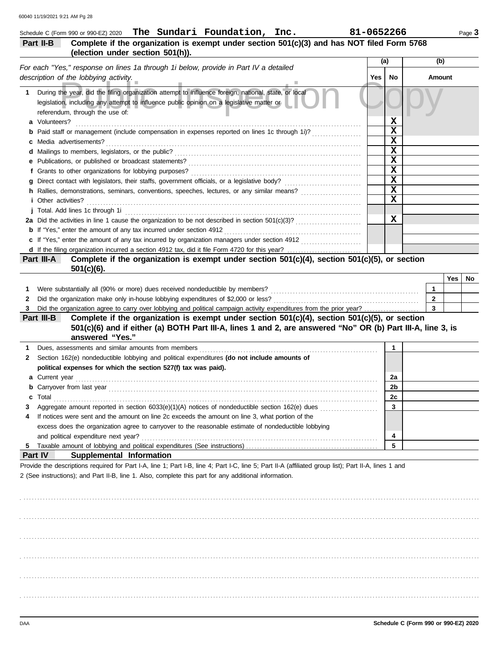|    | Schedule C (Form 990 or 990-EZ) 2020 The Sundari Foundation, Inc.                                                                                                                                                                                   |     | 81-0652266              |               | Page 3 |
|----|-----------------------------------------------------------------------------------------------------------------------------------------------------------------------------------------------------------------------------------------------------|-----|-------------------------|---------------|--------|
|    | Complete if the organization is exempt under section 501(c)(3) and has NOT filed Form 5768<br>Part II-B<br>(election under section 501(h)).                                                                                                         |     |                         |               |        |
|    | For each "Yes," response on lines 1a through 1i below, provide in Part IV a detailed                                                                                                                                                                | (a) |                         | (b)           |        |
|    | description of the lobbying activity.                                                                                                                                                                                                               | Yes | No                      | <b>Amount</b> |        |
|    | 1 During the year, did the filing organization attempt to influence foreign, national, state, or local<br>legislation, including any attempt to influence public opinion on a legislative matter or<br>referendum, through the use of:              |     |                         |               |        |
|    | a Volunteers?                                                                                                                                                                                                                                       |     | х                       |               |        |
|    | <b>b</b> Paid staff or management (include compensation in expenses reported on lines 1c through 1i)?                                                                                                                                               |     | $\mathbf x$             |               |        |
|    | c Media advertisements?                                                                                                                                                                                                                             |     | $\mathbf x$             |               |        |
|    |                                                                                                                                                                                                                                                     |     | $\mathbf x$             |               |        |
|    |                                                                                                                                                                                                                                                     |     | $\mathbf x$             |               |        |
|    |                                                                                                                                                                                                                                                     |     | $\mathbf x$             |               |        |
|    |                                                                                                                                                                                                                                                     |     | $\mathbf x$             |               |        |
|    | h Rallies, demonstrations, seminars, conventions, speeches, lectures, or any similar means?                                                                                                                                                         |     | $\overline{\mathbf{x}}$ |               |        |
|    | <i>i</i> Other activities?                                                                                                                                                                                                                          |     | $\mathbf x$             |               |        |
|    |                                                                                                                                                                                                                                                     |     |                         |               |        |
|    | 2a Did the activities in line 1 cause the organization to be not described in section 501(c)(3)?                                                                                                                                                    |     | X                       |               |        |
|    | c If "Yes," enter the amount of any tax incurred by organization managers under section 4912                                                                                                                                                        |     |                         |               |        |
|    | d If the filing organization incurred a section 4912 tax, did it file Form 4720 for this year?                                                                                                                                                      |     |                         |               |        |
|    | Complete if the organization is exempt under section 501(c)(4), section 501(c)(5), or section<br>Part III-A                                                                                                                                         |     |                         |               |        |
|    | $501(c)(6)$ .                                                                                                                                                                                                                                       |     |                         |               |        |
|    |                                                                                                                                                                                                                                                     |     |                         | Yes           | No.    |
| 1  |                                                                                                                                                                                                                                                     |     |                         | 1             |        |
| 2  |                                                                                                                                                                                                                                                     |     |                         | $\mathbf{2}$  |        |
| 3  | Did the organization agree to carry over lobbying and political campaign activity expenditures from the prior year?                                                                                                                                 |     |                         | 3             |        |
|    | Complete if the organization is exempt under section $501(c)(4)$ , section $501(c)(5)$ , or section<br>Part III-B<br>501(c)(6) and if either (a) BOTH Part III-A, lines 1 and 2, are answered "No" OR (b) Part III-A, line 3, is<br>answered "Yes." |     |                         |               |        |
| 1. | Dues, assessments and similar amounts from members [11] contained as a set of the system of states and similar                                                                                                                                      |     | -1                      |               |        |
| 2  | Section 162(e) nondeductible lobbying and political expenditures (do not include amounts of                                                                                                                                                         |     |                         |               |        |
|    | political expenses for which the section 527(f) tax was paid).                                                                                                                                                                                      |     |                         |               |        |
|    |                                                                                                                                                                                                                                                     |     | 2a                      |               |        |
|    | <b>b</b> Carryover from last year                                                                                                                                                                                                                   |     | 2b                      |               |        |
| c  | Total                                                                                                                                                                                                                                               |     | 2c                      |               |        |
| З  | Aggregate amount reported in section 6033(e)(1)(A) notices of nondeductible section 162(e) dues                                                                                                                                                     |     | 3                       |               |        |
| 4  | If notices were sent and the amount on line 2c exceeds the amount on line 3, what portion of the                                                                                                                                                    |     |                         |               |        |
|    | excess does the organization agree to carryover to the reasonable estimate of nondeductible lobbying                                                                                                                                                |     |                         |               |        |
| 5  | and political expenditure next year?                                                                                                                                                                                                                |     | 4<br>5                  |               |        |
|    | Part IV<br>Supplemental Information                                                                                                                                                                                                                 |     |                         |               |        |
|    | Provide the descriptions required for Part I-A, line 1; Part I-B, line 4; Part I-C, line 5; Part II-A (affiliated group list); Part II-A, lines 1 and                                                                                               |     |                         |               |        |
|    | 2 (See instructions); and Part II-B, line 1. Also, complete this part for any additional information.                                                                                                                                               |     |                         |               |        |
|    |                                                                                                                                                                                                                                                     |     |                         |               |        |
|    |                                                                                                                                                                                                                                                     |     |                         |               |        |
|    |                                                                                                                                                                                                                                                     |     |                         |               |        |
|    |                                                                                                                                                                                                                                                     |     |                         |               |        |
|    |                                                                                                                                                                                                                                                     |     |                         |               |        |
|    |                                                                                                                                                                                                                                                     |     |                         |               |        |
|    |                                                                                                                                                                                                                                                     |     |                         |               |        |
|    |                                                                                                                                                                                                                                                     |     |                         |               |        |
|    |                                                                                                                                                                                                                                                     |     |                         |               |        |
|    |                                                                                                                                                                                                                                                     |     |                         |               |        |

. . . . . . . . . . . . . . . . . . . . . . . . . . . . . . . . . . . . . . . . . . . . . . . . . . . . . . . . . . . . . . . . . . . . . . . . . . . . . . . . . . . . . . . . . . . . . . . . . . . . . . . . . . . . . . . . . . . . . . . . . . . . . . . . . . . . . . . . . . . . . . . . . . . . . . . . . . . . . . . . . . . . . . .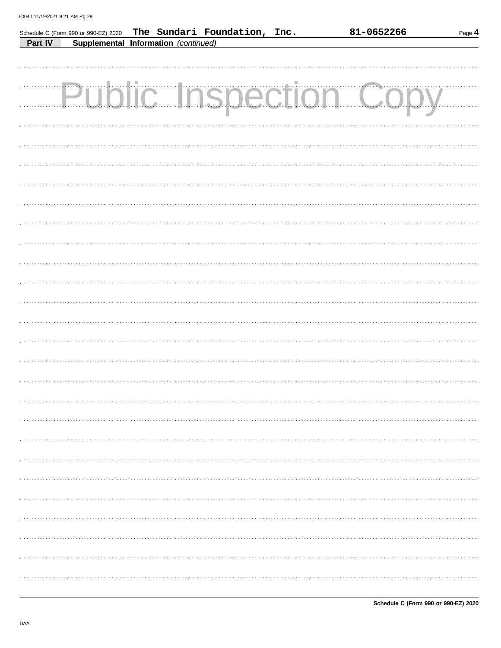|         | Schedule C (Form 990 or 990-EZ) 2020 The Sundari Foundation, Inc. |  |  | 81-0652266 | Page 4 |
|---------|-------------------------------------------------------------------|--|--|------------|--------|
| Part IV | Supplemental Information (continued)                              |  |  |            |        |
|         |                                                                   |  |  |            |        |
|         |                                                                   |  |  |            |        |
|         | Public Inspection Copy                                            |  |  |            |        |
|         |                                                                   |  |  |            |        |
|         |                                                                   |  |  |            |        |
|         |                                                                   |  |  |            |        |
|         |                                                                   |  |  |            |        |
|         |                                                                   |  |  |            |        |
|         |                                                                   |  |  |            |        |
|         |                                                                   |  |  |            |        |
|         |                                                                   |  |  |            |        |
|         |                                                                   |  |  |            |        |
|         |                                                                   |  |  |            |        |
|         |                                                                   |  |  |            |        |
|         |                                                                   |  |  |            |        |
|         |                                                                   |  |  |            |        |
|         |                                                                   |  |  |            |        |
|         |                                                                   |  |  |            |        |
|         |                                                                   |  |  |            |        |
|         |                                                                   |  |  |            |        |
|         |                                                                   |  |  |            |        |
|         |                                                                   |  |  |            |        |
|         |                                                                   |  |  |            |        |
|         |                                                                   |  |  |            |        |
|         |                                                                   |  |  |            |        |
|         |                                                                   |  |  |            |        |
|         |                                                                   |  |  |            |        |
|         |                                                                   |  |  |            |        |
|         |                                                                   |  |  |            |        |
|         |                                                                   |  |  |            |        |
|         |                                                                   |  |  |            |        |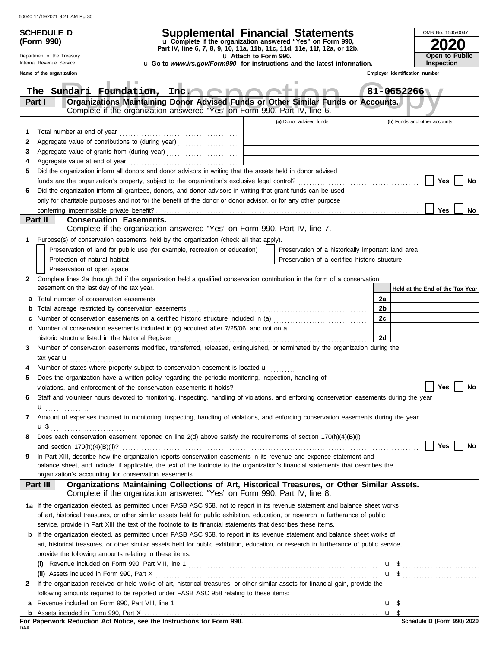| 60040 11/19/2021 9:21 AM Pg 30 |  |  |
|--------------------------------|--|--|
|                                |  |  |

|        | 60040 11/19/2021 9:21 AM Pg 30                       |                                                                                                                                                                                                                                                     |                       |                                                            |                                |                                 |
|--------|------------------------------------------------------|-----------------------------------------------------------------------------------------------------------------------------------------------------------------------------------------------------------------------------------------------------|-----------------------|------------------------------------------------------------|--------------------------------|---------------------------------|
|        | <b>SCHEDULE D</b>                                    |                                                                                                                                                                                                                                                     |                       | <b>Supplemental Financial Statements</b>                   |                                | OMB No. 1545-0047               |
|        | (Form 990)                                           | Part IV, line 6, 7, 8, 9, 10, 11a, 11b, 11c, 11d, 11e, 11f, 12a, or 12b.                                                                                                                                                                            |                       | u Complete if the organization answered "Yes" on Form 990, |                                |                                 |
|        | Department of the Treasury                           |                                                                                                                                                                                                                                                     | u Attach to Form 990. |                                                            |                                | Open to Public                  |
|        | Internal Revenue Service<br>Name of the organization | <b>u</b> Go to www.irs.gov/Form990 for instructions and the latest information.                                                                                                                                                                     |                       |                                                            | Employer identification number | <b>Inspection</b>               |
|        |                                                      |                                                                                                                                                                                                                                                     |                       |                                                            |                                |                                 |
|        |                                                      | The Sundari Foundation, Inc.                                                                                                                                                                                                                        |                       |                                                            | 81-0652266                     |                                 |
|        | Part I                                               | Organizations Maintaining Donor Advised Funds or Other Similar Funds or Accounts.                                                                                                                                                                   |                       |                                                            |                                |                                 |
|        |                                                      | Complete if the organization answered "Yes" on Form 990, Part IV, line 6.                                                                                                                                                                           |                       |                                                            |                                |                                 |
|        |                                                      |                                                                                                                                                                                                                                                     |                       | (a) Donor advised funds                                    |                                | (b) Funds and other accounts    |
| 1<br>2 |                                                      |                                                                                                                                                                                                                                                     |                       |                                                            |                                |                                 |
| 3      |                                                      |                                                                                                                                                                                                                                                     |                       |                                                            |                                |                                 |
| 4      |                                                      |                                                                                                                                                                                                                                                     |                       |                                                            |                                |                                 |
| 5      |                                                      | Did the organization inform all donors and donor advisors in writing that the assets held in donor advised                                                                                                                                          |                       |                                                            |                                |                                 |
|        |                                                      |                                                                                                                                                                                                                                                     |                       |                                                            |                                | Yes<br>No                       |
| 6      |                                                      | Did the organization inform all grantees, donors, and donor advisors in writing that grant funds can be used                                                                                                                                        |                       |                                                            |                                |                                 |
|        |                                                      | only for charitable purposes and not for the benefit of the donor or donor advisor, or for any other purpose                                                                                                                                        |                       |                                                            |                                |                                 |
|        |                                                      |                                                                                                                                                                                                                                                     |                       |                                                            |                                | Yes<br>No                       |
|        | Part II                                              | <b>Conservation Easements.</b><br>Complete if the organization answered "Yes" on Form 990, Part IV, line 7.                                                                                                                                         |                       |                                                            |                                |                                 |
| 1      |                                                      | Purpose(s) of conservation easements held by the organization (check all that apply).                                                                                                                                                               |                       |                                                            |                                |                                 |
|        |                                                      | Preservation of land for public use (for example, recreation or education)                                                                                                                                                                          |                       | Preservation of a historically important land area         |                                |                                 |
|        | Protection of natural habitat                        |                                                                                                                                                                                                                                                     |                       | Preservation of a certified historic structure             |                                |                                 |
|        | Preservation of open space                           |                                                                                                                                                                                                                                                     |                       |                                                            |                                |                                 |
| 2      |                                                      | Complete lines 2a through 2d if the organization held a qualified conservation contribution in the form of a conservation                                                                                                                           |                       |                                                            |                                |                                 |
|        | easement on the last day of the tax year.            |                                                                                                                                                                                                                                                     |                       |                                                            |                                | Held at the End of the Tax Year |
| а      |                                                      |                                                                                                                                                                                                                                                     |                       |                                                            | 2a                             |                                 |
| b      |                                                      |                                                                                                                                                                                                                                                     |                       |                                                            | 2 <sub>b</sub>                 |                                 |
| c      |                                                      | Number of conservation easements on a certified historic structure included in (a) [11] Number of conservation easements on a certified historic structure included in (a)                                                                          |                       |                                                            | 2c                             |                                 |
| d      |                                                      | Number of conservation easements included in (c) acquired after 7/25/06, and not on a                                                                                                                                                               |                       |                                                            | 2d                             |                                 |
| 3      |                                                      | Number of conservation easements modified, transferred, released, extinguished, or terminated by the organization during the                                                                                                                        |                       |                                                            |                                |                                 |
|        | tax year $\mathbf u$                                 |                                                                                                                                                                                                                                                     |                       |                                                            |                                |                                 |
|        |                                                      | Number of states where property subject to conservation easement is located u                                                                                                                                                                       |                       |                                                            |                                |                                 |
| 5      |                                                      | Does the organization have a written policy regarding the periodic monitoring, inspection, handling of                                                                                                                                              |                       |                                                            |                                |                                 |
|        |                                                      |                                                                                                                                                                                                                                                     |                       |                                                            |                                | Yes<br>No                       |
| 6      |                                                      | Staff and volunteer hours devoted to monitoring, inspecting, handling of violations, and enforcing conservation easements during the year                                                                                                           |                       |                                                            |                                |                                 |
|        | u <sub></sub>                                        |                                                                                                                                                                                                                                                     |                       |                                                            |                                |                                 |
| 7      |                                                      | Amount of expenses incurred in monitoring, inspecting, handling of violations, and enforcing conservation easements during the year                                                                                                                 |                       |                                                            |                                |                                 |
| 8      |                                                      | Does each conservation easement reported on line 2(d) above satisfy the requirements of section 170(h)(4)(B)(i)                                                                                                                                     |                       |                                                            |                                |                                 |
|        |                                                      |                                                                                                                                                                                                                                                     |                       |                                                            |                                | Yes<br>No                       |
| 9      |                                                      | In Part XIII, describe how the organization reports conservation easements in its revenue and expense statement and                                                                                                                                 |                       |                                                            |                                |                                 |
|        |                                                      | balance sheet, and include, if applicable, the text of the footnote to the organization's financial statements that describes the                                                                                                                   |                       |                                                            |                                |                                 |
|        |                                                      | organization's accounting for conservation easements.                                                                                                                                                                                               |                       |                                                            |                                |                                 |
|        | Part III                                             | Organizations Maintaining Collections of Art, Historical Treasures, or Other Similar Assets.                                                                                                                                                        |                       |                                                            |                                |                                 |
|        |                                                      | Complete if the organization answered "Yes" on Form 990, Part IV, line 8.                                                                                                                                                                           |                       |                                                            |                                |                                 |
|        |                                                      | 1a If the organization elected, as permitted under FASB ASC 958, not to report in its revenue statement and balance sheet works                                                                                                                     |                       |                                                            |                                |                                 |
|        |                                                      | of art, historical treasures, or other similar assets held for public exhibition, education, or research in furtherance of public<br>service, provide in Part XIII the text of the footnote to its financial statements that describes these items. |                       |                                                            |                                |                                 |
|        |                                                      | <b>b</b> If the organization elected, as permitted under FASB ASC 958, to report in its revenue statement and balance sheet works of                                                                                                                |                       |                                                            |                                |                                 |
|        |                                                      | art, historical treasures, or other similar assets held for public exhibition, education, or research in furtherance of public service,                                                                                                             |                       |                                                            |                                |                                 |
|        |                                                      | provide the following amounts relating to these items:                                                                                                                                                                                              |                       |                                                            |                                |                                 |
|        | $\mathbf{u}$                                         |                                                                                                                                                                                                                                                     |                       |                                                            |                                |                                 |
|        |                                                      |                                                                                                                                                                                                                                                     |                       |                                                            |                                |                                 |
| 2      |                                                      | If the organization received or held works of art, historical treasures, or other similar assets for financial gain, provide the                                                                                                                    |                       |                                                            |                                |                                 |
|        |                                                      | following amounts required to be reported under FASB ASC 958 relating to these items:                                                                                                                                                               |                       |                                                            |                                |                                 |
| а      |                                                      |                                                                                                                                                                                                                                                     |                       |                                                            |                                |                                 |
|        |                                                      |                                                                                                                                                                                                                                                     |                       |                                                            | u \$                           |                                 |

|     |  |  |  | For Paperwork Reduction Act Notice, see the Instructions for Form 990. |  |  |
|-----|--|--|--|------------------------------------------------------------------------|--|--|
| DAA |  |  |  |                                                                        |  |  |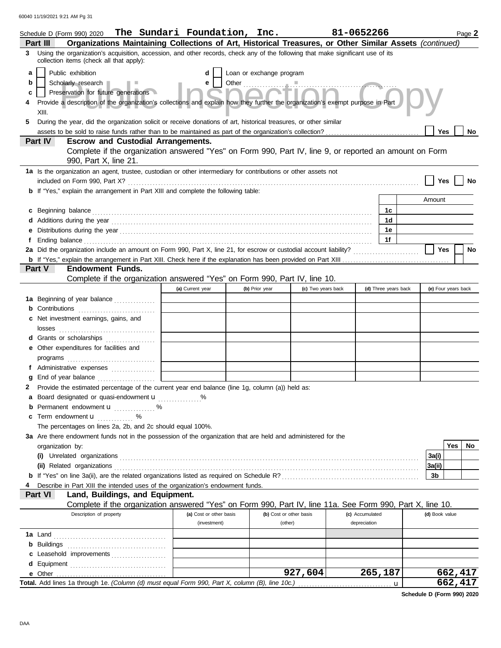|        | Schedule D (Form 990) 2020 The Sundari Foundation, $Inc.$<br>Organizations Maintaining Collections of Art, Historical Treasures, or Other Similar Assets (continued)<br>Part III                                                     |                         |                          |                    | 81-0652266      |                      |                | Page 2              |
|--------|--------------------------------------------------------------------------------------------------------------------------------------------------------------------------------------------------------------------------------------|-------------------------|--------------------------|--------------------|-----------------|----------------------|----------------|---------------------|
| 3      | Using the organization's acquisition, accession, and other records, check any of the following that make significant use of its                                                                                                      |                         |                          |                    |                 |                      |                |                     |
|        | collection items (check all that apply):                                                                                                                                                                                             |                         |                          |                    |                 |                      |                |                     |
| a      | Public exhibition                                                                                                                                                                                                                    | d                       | Loan or exchange program |                    |                 |                      |                |                     |
| b      | Scholarly research<br>. .                                                                                                                                                                                                            | e                       |                          |                    |                 |                      |                |                     |
| c      | Preservation for future generations                                                                                                                                                                                                  |                         |                          |                    |                 |                      |                |                     |
|        | Provide a description of the organization's collections and explain how they further the organization's exempt purpose in Part                                                                                                       |                         |                          |                    |                 |                      |                |                     |
| 5      | XIII.<br>During the year, did the organization solicit or receive donations of art, historical treasures, or other similar                                                                                                           |                         |                          |                    |                 |                      |                |                     |
|        |                                                                                                                                                                                                                                      |                         |                          |                    |                 |                      | Yes            | No                  |
|        | Part IV<br><b>Escrow and Custodial Arrangements.</b>                                                                                                                                                                                 |                         |                          |                    |                 |                      |                |                     |
|        | Complete if the organization answered "Yes" on Form 990, Part IV, line 9, or reported an amount on Form                                                                                                                              |                         |                          |                    |                 |                      |                |                     |
|        | 990, Part X, line 21.                                                                                                                                                                                                                |                         |                          |                    |                 |                      |                |                     |
|        | 1a Is the organization an agent, trustee, custodian or other intermediary for contributions or other assets not                                                                                                                      |                         |                          |                    |                 |                      |                |                     |
|        |                                                                                                                                                                                                                                      |                         |                          |                    |                 |                      | Yes            |                     |
|        | b If "Yes," explain the arrangement in Part XIII and complete the following table:                                                                                                                                                   |                         |                          |                    |                 |                      | Amount         |                     |
|        |                                                                                                                                                                                                                                      |                         |                          |                    |                 |                      |                |                     |
| c      |                                                                                                                                                                                                                                      |                         |                          |                    |                 | 1c<br>1d             |                |                     |
|        |                                                                                                                                                                                                                                      |                         |                          |                    |                 | 1е                   |                |                     |
| е<br>f |                                                                                                                                                                                                                                      |                         |                          |                    |                 | 1f                   |                |                     |
|        | 2a Did the organization include an amount on Form 990, Part X, line 21, for escrow or custodial account liability?                                                                                                                   |                         |                          |                    |                 |                      | Yes            | No                  |
|        |                                                                                                                                                                                                                                      |                         |                          |                    |                 |                      |                |                     |
|        | Part V<br><b>Endowment Funds.</b>                                                                                                                                                                                                    |                         |                          |                    |                 |                      |                |                     |
|        | Complete if the organization answered "Yes" on Form 990, Part IV, line 10.                                                                                                                                                           |                         |                          |                    |                 |                      |                |                     |
|        |                                                                                                                                                                                                                                      | (a) Current year        | (b) Prior year           | (c) Two years back |                 | (d) Three years back |                | (e) Four years back |
|        | 1a Beginning of year balance                                                                                                                                                                                                         |                         |                          |                    |                 |                      |                |                     |
|        | <b>b</b> Contributions <b>contributions</b>                                                                                                                                                                                          |                         |                          |                    |                 |                      |                |                     |
|        | c Net investment earnings, gains, and                                                                                                                                                                                                |                         |                          |                    |                 |                      |                |                     |
|        |                                                                                                                                                                                                                                      |                         |                          |                    |                 |                      |                |                     |
|        | d Grants or scholarships                                                                                                                                                                                                             |                         |                          |                    |                 |                      |                |                     |
|        | e Other expenditures for facilities and                                                                                                                                                                                              |                         |                          |                    |                 |                      |                |                     |
|        |                                                                                                                                                                                                                                      |                         |                          |                    |                 |                      |                |                     |
|        | f Administrative expenses                                                                                                                                                                                                            |                         |                          |                    |                 |                      |                |                     |
|        |                                                                                                                                                                                                                                      |                         |                          |                    |                 |                      |                |                     |
| 2      | Provide the estimated percentage of the current year end balance (line 1g, column (a)) held as:                                                                                                                                      |                         |                          |                    |                 |                      |                |                     |
|        | a Board designated or quasi-endowment u<br><b>b</b> Permanent endowment $\mathbf{u}$ %                                                                                                                                               |                         |                          |                    |                 |                      |                |                     |
|        | c Term endowment <b>u</b>                                                                                                                                                                                                            |                         |                          |                    |                 |                      |                |                     |
|        | The percentages on lines 2a, 2b, and 2c should equal 100%.                                                                                                                                                                           |                         |                          |                    |                 |                      |                |                     |
|        | 3a Are there endowment funds not in the possession of the organization that are held and administered for the                                                                                                                        |                         |                          |                    |                 |                      |                |                     |
|        | organization by:                                                                                                                                                                                                                     |                         |                          |                    |                 |                      |                | Yes<br>No           |
|        |                                                                                                                                                                                                                                      |                         |                          |                    |                 |                      | 3a(i)          |                     |
|        | (ii) Related organizations <b>contained a set of the contained a set of the contained a set of the contained a set of the contained a set of the contained a set of the contained a set of the contained a set of the contained </b> |                         |                          |                    |                 |                      | 3a(ii)         |                     |
|        |                                                                                                                                                                                                                                      |                         |                          |                    |                 |                      | 3b             |                     |
|        | Describe in Part XIII the intended uses of the organization's endowment funds.                                                                                                                                                       |                         |                          |                    |                 |                      |                |                     |
|        | Land, Buildings, and Equipment.<br><b>Part VI</b>                                                                                                                                                                                    |                         |                          |                    |                 |                      |                |                     |
|        | Complete if the organization answered "Yes" on Form 990, Part IV, line 11a. See Form 990, Part X, line 10.                                                                                                                           |                         |                          |                    |                 |                      |                |                     |
|        | Description of property                                                                                                                                                                                                              | (a) Cost or other basis | (b) Cost or other basis  |                    | (c) Accumulated |                      | (d) Book value |                     |
|        |                                                                                                                                                                                                                                      | (investment)            | (other)                  |                    | depreciation    |                      |                |                     |
|        |                                                                                                                                                                                                                                      |                         |                          |                    |                 |                      |                |                     |
|        | <b>b</b> Buildings                                                                                                                                                                                                                   |                         |                          |                    |                 |                      |                |                     |
|        | c Leasehold improvements                                                                                                                                                                                                             |                         |                          |                    |                 |                      |                |                     |
|        |                                                                                                                                                                                                                                      |                         |                          | 927,604            |                 | 265,187              |                | 662,417             |
|        | Total. Add lines 1a through 1e. (Column (d) must equal Form 990, Part X, column (B), line 10c.)                                                                                                                                      |                         |                          |                    |                 | u                    |                | 662,417             |
|        |                                                                                                                                                                                                                                      |                         |                          |                    |                 |                      |                |                     |

**Schedule D (Form 990) 2020**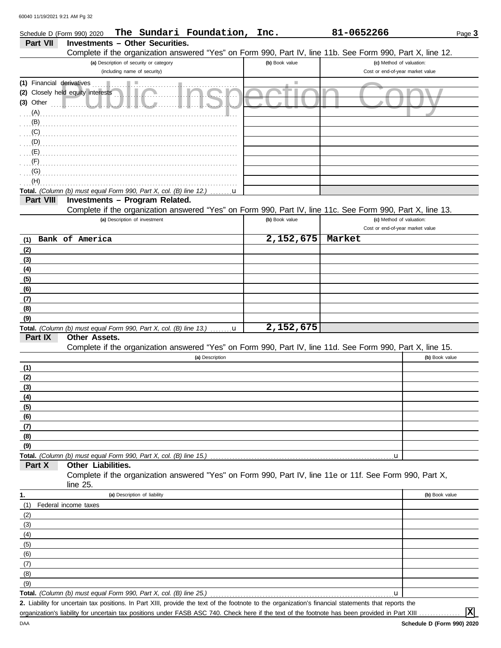| Schedule D (Form 990) 2020 | The Sundari Foundation, Inc.                                                                               |                | 81-0652266                       | Page 3         |
|----------------------------|------------------------------------------------------------------------------------------------------------|----------------|----------------------------------|----------------|
| Part VII                   | <b>Investments - Other Securities.</b>                                                                     |                |                                  |                |
|                            | Complete if the organization answered "Yes" on Form 990, Part IV, line 11b. See Form 990, Part X, line 12. |                |                                  |                |
|                            | (a) Description of security or category                                                                    | (b) Book value | (c) Method of valuation:         |                |
|                            | (including name of security)                                                                               |                | Cost or end-of-year market value |                |
| (1) Financial derivatives  | ш                                                                                                          | П              |                                  |                |
|                            | (2) Closely held equity interests                                                                          |                |                                  |                |
| (3) Other                  |                                                                                                            |                |                                  |                |
| (A)                        |                                                                                                            |                |                                  |                |
| (B)                        |                                                                                                            |                |                                  |                |
| (C)                        |                                                                                                            |                |                                  |                |
| (D)                        |                                                                                                            |                |                                  |                |
| (E)<br>(F)                 |                                                                                                            |                |                                  |                |
| (G)                        |                                                                                                            |                |                                  |                |
| (H)                        |                                                                                                            |                |                                  |                |
|                            | Total. (Column (b) must equal Form 990, Part X, col. (B) line 12.)<br>u                                    |                |                                  |                |
| Part VIII                  | Investments - Program Related.                                                                             |                |                                  |                |
|                            | Complete if the organization answered "Yes" on Form 990, Part IV, line 11c. See Form 990, Part X, line 13. |                |                                  |                |
|                            | (a) Description of investment                                                                              | (b) Book value | (c) Method of valuation:         |                |
|                            |                                                                                                            |                | Cost or end-of-year market value |                |
| (1)                        | Bank of America                                                                                            | 2,152,675      | Market                           |                |
| (2)                        |                                                                                                            |                |                                  |                |
| (3)                        |                                                                                                            |                |                                  |                |
| (4)                        |                                                                                                            |                |                                  |                |
| (5)                        |                                                                                                            |                |                                  |                |
| (6)<br>(7)                 |                                                                                                            |                |                                  |                |
| (8)                        |                                                                                                            |                |                                  |                |
| (9)                        |                                                                                                            |                |                                  |                |
|                            | Total. (Column (b) must equal Form 990, Part X, col. (B) line 13.)<br>u                                    | 2,152,675      |                                  |                |
| Part IX                    | Other Assets.                                                                                              |                |                                  |                |
|                            | Complete if the organization answered "Yes" on Form 990, Part IV, line 11d. See Form 990, Part X, line 15. |                |                                  |                |
|                            | (a) Description                                                                                            |                |                                  | (b) Book value |
| (1)                        |                                                                                                            |                |                                  |                |
| (2)                        |                                                                                                            |                |                                  |                |
| (3)                        |                                                                                                            |                |                                  |                |
| (4)                        |                                                                                                            |                |                                  |                |
| (5)                        |                                                                                                            |                |                                  |                |
| (6)<br>(7)                 |                                                                                                            |                |                                  |                |
| (8)                        |                                                                                                            |                |                                  |                |
| (9)                        |                                                                                                            |                |                                  |                |
|                            | Total. (Column (b) must equal Form 990, Part X, col. (B) line 15.)                                         |                | u                                |                |
| Part X                     | Other Liabilities.                                                                                         |                |                                  |                |
|                            | Complete if the organization answered "Yes" on Form 990, Part IV, line 11e or 11f. See Form 990, Part X,   |                |                                  |                |
|                            | line 25.                                                                                                   |                |                                  |                |
| 1.                         | (a) Description of liability                                                                               |                |                                  | (b) Book value |
| (1)                        | Federal income taxes                                                                                       |                |                                  |                |
| (2)                        |                                                                                                            |                |                                  |                |
| (3)                        |                                                                                                            |                |                                  |                |
| (4)                        |                                                                                                            |                |                                  |                |
| (5)<br>(6)                 |                                                                                                            |                |                                  |                |
| (7)                        |                                                                                                            |                |                                  |                |
| (8)                        |                                                                                                            |                |                                  |                |
| (9)                        |                                                                                                            |                |                                  |                |
|                            | Total. (Column (b) must equal Form 990, Part X, col. (B) line 25.)                                         |                | u                                |                |
|                            |                                                                                                            |                |                                  |                |

Liability for uncertain tax positions. In Part XIII, provide the text of the footnote to the organization's financial statements that reports the **2.** organization's liability for uncertain tax positions under FASB ASC 740. Check here if the text of the footnote has been provided in Part XIII

**X**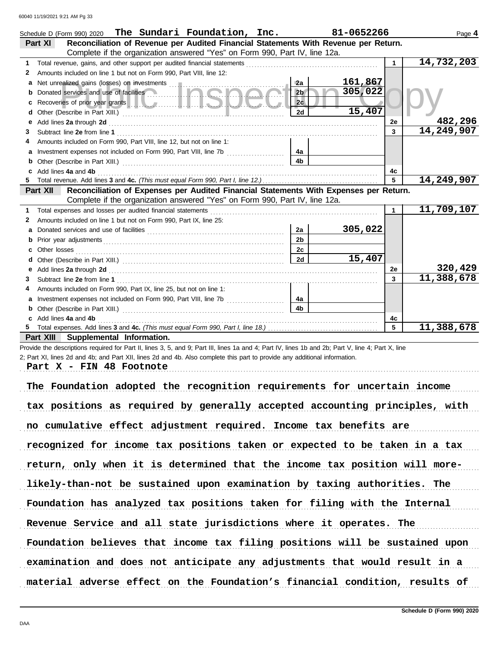|                | Schedule D (Form 990) 2020 The Sundari Foundation, Inc.                                                                                                                                                                             |                | 81-0652266 |                | Page 4                     |
|----------------|-------------------------------------------------------------------------------------------------------------------------------------------------------------------------------------------------------------------------------------|----------------|------------|----------------|----------------------------|
| <b>Part XI</b> | Reconciliation of Revenue per Audited Financial Statements With Revenue per Return.                                                                                                                                                 |                |            |                |                            |
|                | Complete if the organization answered "Yes" on Form 990, Part IV, line 12a.                                                                                                                                                         |                |            |                |                            |
| 1              |                                                                                                                                                                                                                                     |                |            | $\mathbf{1}$   | $\overline{14}$ , 732, 203 |
| 2              | Amounts included on line 1 but not on Form 990, Part VIII, line 12:                                                                                                                                                                 |                |            |                |                            |
| a              |                                                                                                                                                                                                                                     | <b>2a</b>      | 161,867    |                |                            |
| b              | Donated services and use of facilities <b>Community of the service of the service</b> of the service of the service of                                                                                                              | 2 <sub>b</sub> | 305,022    |                |                            |
| c              | Recoveries of prior year grants [1] Martin Martin Martin Martin Martin Martin Martin Martin Martin Martin Martin                                                                                                                    | 2c             |            |                |                            |
| d              |                                                                                                                                                                                                                                     | 2d             | 15,407     |                |                            |
| е              | Add lines 2a through 2d [11] Additional Property and Property and Property and Property and Property and Property and Property and Property and Property and Property and Property and Property and Property and Property and       |                |            | 2e             | 482,296                    |
| 3.             |                                                                                                                                                                                                                                     |                |            | 3              | 14,249,907                 |
| 4              | Amounts included on Form 990, Part VIII, line 12, but not on line 1:                                                                                                                                                                |                |            |                |                            |
|                |                                                                                                                                                                                                                                     | 4a             |            |                |                            |
|                |                                                                                                                                                                                                                                     | 4b             |            |                |                            |
|                | c Add lines 4a and 4b                                                                                                                                                                                                               |                |            | 4c             |                            |
|                |                                                                                                                                                                                                                                     |                |            | 5              | 14,249,907                 |
|                | Reconciliation of Expenses per Audited Financial Statements With Expenses per Return.<br>Part XII                                                                                                                                   |                |            |                |                            |
|                | Complete if the organization answered "Yes" on Form 990, Part IV, line 12a.                                                                                                                                                         |                |            |                |                            |
| 1              |                                                                                                                                                                                                                                     |                |            | $\mathbf{1}$   | $\overline{11,709}$ , 107  |
| 2              | Amounts included on line 1 but not on Form 990, Part IX, line 25:                                                                                                                                                                   |                |            |                |                            |
| a              |                                                                                                                                                                                                                                     | 2a             | 305,022    |                |                            |
|                |                                                                                                                                                                                                                                     | 2 <sub>b</sub> |            |                |                            |
|                | c Other losses <b>contracts</b> and the contract of the contract of the contract of the contract of the contract of the contract of the contract of the contract of the contract of the contract of the contract of the contract of | 2c             |            |                |                            |
|                |                                                                                                                                                                                                                                     | 2d             | 15,407     |                |                            |
|                |                                                                                                                                                                                                                                     |                |            | 2e             | 320,429                    |
| 3.             |                                                                                                                                                                                                                                     |                |            | $\overline{3}$ | 11,388,678                 |
| 4              | Amounts included on Form 990, Part IX, line 25, but not on line 1:                                                                                                                                                                  |                |            |                |                            |
|                |                                                                                                                                                                                                                                     | 4a             |            |                |                            |
|                |                                                                                                                                                                                                                                     | 4b             |            |                |                            |
|                | c Add lines 4a and 4b                                                                                                                                                                                                               |                |            | 4с             |                            |
| 5              |                                                                                                                                                                                                                                     |                |            | 5              | 11,388,678                 |
|                | Part XIII Supplemental Information.                                                                                                                                                                                                 |                |            |                |                            |
|                | Provide the descriptions required for Part II, lines 3, 5, and 9; Part III, lines 1a and 4; Part IV, lines 1b and 2b; Part V, line 4; Part X, line                                                                                  |                |            |                |                            |
|                | 2; Part XI, lines 2d and 4b; and Part XII, lines 2d and 4b. Also complete this part to provide any additional information.                                                                                                          |                |            |                |                            |
|                | Part X - FIN 48 Footnote                                                                                                                                                                                                            |                |            |                |                            |
|                | The Foundation adopted the recognition requirements for uncertain income                                                                                                                                                            |                |            |                |                            |
|                | tax positions as required by generally accepted accounting principles, with                                                                                                                                                         |                |            |                |                            |

no cumulative effect adjustment required. Income tax benefits are

recognized for income tax positions taken or expected to be taken in a tax

return, only when it is determined that the income tax position will more-

likely-than-not be sustained upon examination by taxing authorities. The

Foundation has analyzed tax positions taken for filing with the Internal

Revenue Service and all state jurisdictions where it operates. The

Foundation believes that income tax filing positions will be sustained upon

examination and does not anticipate any adjustments that would result in a

material adverse effect on the Foundation's financial condition, results of

DAA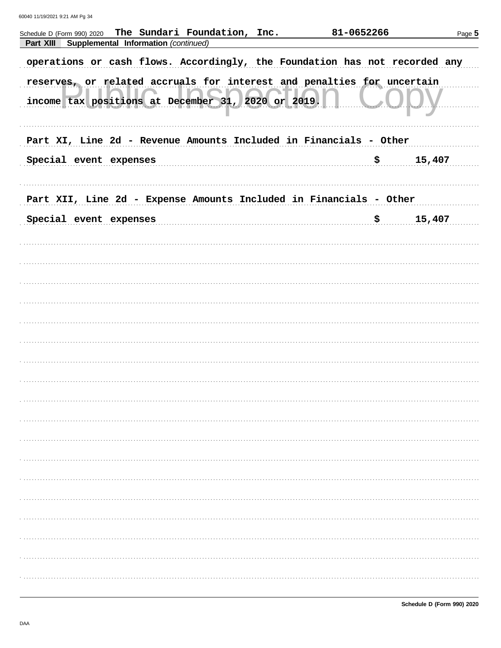| Schedule D (Form 990) 2020 The Sundari Foundation, Inc.<br>Part XIII<br>Supplemental Information (continued) | 81-0652266 | Page 5 |
|--------------------------------------------------------------------------------------------------------------|------------|--------|
| operations or cash flows. Accordingly, the Foundation has not recorded any                                   |            |        |
| reserves, or related accruals for interest and penalties for uncertain                                       |            |        |
| income tax positions at December 31, 2020 or 2019.                                                           |            |        |
| Part XI, Line 2d - Revenue Amounts Included in Financials - Other                                            |            |        |
| Special event expenses                                                                                       | \$.        | 15,407 |
| Part XII, Line 2d - Expense Amounts Included in Financials - Other                                           |            |        |
| Special event expenses                                                                                       | \$.        | 15,407 |
|                                                                                                              |            |        |
|                                                                                                              |            |        |
|                                                                                                              |            |        |
|                                                                                                              |            |        |
|                                                                                                              |            |        |
|                                                                                                              |            |        |
|                                                                                                              |            |        |
|                                                                                                              |            |        |
|                                                                                                              |            |        |
|                                                                                                              |            |        |
|                                                                                                              |            |        |
|                                                                                                              |            |        |
|                                                                                                              |            |        |
|                                                                                                              |            |        |
|                                                                                                              |            |        |
|                                                                                                              |            |        |
|                                                                                                              |            |        |
|                                                                                                              |            |        |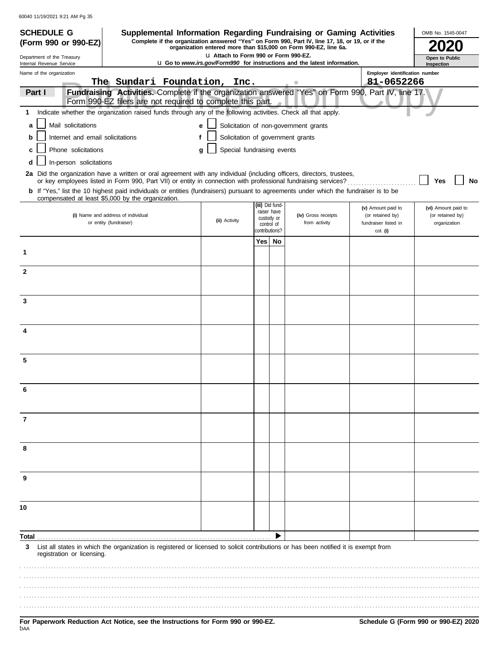| <b>SCHEDULE G</b>                                      |                                  |                                                                                                               |                                       |       |                              | Supplemental Information Regarding Fundraising or Gaming Activities                                                                                                                                                                                     |                                                                                                    | OMB No. 1545-0047            |
|--------------------------------------------------------|----------------------------------|---------------------------------------------------------------------------------------------------------------|---------------------------------------|-------|------------------------------|---------------------------------------------------------------------------------------------------------------------------------------------------------------------------------------------------------------------------------------------------------|----------------------------------------------------------------------------------------------------|------------------------------|
|                                                        | (Form 990 or 990-EZ)             |                                                                                                               |                                       |       |                              | Complete if the organization answered "Yes" on Form 990, Part IV, line 17, 18, or 19, or if the<br>organization entered more than \$15,000 on Form 990-EZ, line 6a.                                                                                     |                                                                                                    |                              |
| Department of the Treasury<br>Internal Revenue Service |                                  |                                                                                                               | L1 Attach to Form 990 or Form 990-EZ. |       |                              | <b>u</b> Go to www.irs.gov/Form990 for instructions and the latest information.                                                                                                                                                                         |                                                                                                    | Open to Public<br>Inspection |
| Name of the organization                               |                                  |                                                                                                               |                                       |       |                              |                                                                                                                                                                                                                                                         | Employer identification number                                                                     |                              |
|                                                        |                                  | The Sundari Foundation, Inc.                                                                                  |                                       |       |                              |                                                                                                                                                                                                                                                         | 81-0652266                                                                                         |                              |
| Part I                                                 |                                  | Form 990-EZ filers are not required to complete this part.                                                    |                                       |       |                              |                                                                                                                                                                                                                                                         | Fundraising Activities. Complete if the organization answered "Yes" on Form 990, Part IV, line 17. |                              |
| 1                                                      |                                  | Indicate whether the organization raised funds through any of the following activities. Check all that apply. |                                       |       |                              |                                                                                                                                                                                                                                                         |                                                                                                    |                              |
| a                                                      | Mail solicitations               |                                                                                                               | e                                     |       |                              | Solicitation of non-government grants                                                                                                                                                                                                                   |                                                                                                    |                              |
| b                                                      | Internet and email solicitations |                                                                                                               |                                       |       |                              | Solicitation of government grants                                                                                                                                                                                                                       |                                                                                                    |                              |
| c                                                      | Phone solicitations              |                                                                                                               | Special fundraising events<br>a       |       |                              |                                                                                                                                                                                                                                                         |                                                                                                    |                              |
|                                                        | In-person solicitations          |                                                                                                               |                                       |       |                              |                                                                                                                                                                                                                                                         |                                                                                                    |                              |
|                                                        |                                  |                                                                                                               |                                       |       |                              | 2a Did the organization have a written or oral agreement with any individual (including officers, directors, trustees,                                                                                                                                  |                                                                                                    |                              |
|                                                        |                                  | compensated at least \$5,000 by the organization.                                                             |                                       |       |                              | or key employees listed in Form 990, Part VII) or entity in connection with professional fundraising services?<br>b If "Yes," list the 10 highest paid individuals or entities (fundraisers) pursuant to agreements under which the fundraiser is to be |                                                                                                    | Yes<br>No                    |
|                                                        |                                  |                                                                                                               |                                       |       | (iii) Did fund-              |                                                                                                                                                                                                                                                         | (v) Amount paid to                                                                                 | (vi) Amount paid to          |
|                                                        |                                  | (i) Name and address of individual                                                                            | (ii) Activity                         |       | raiser have<br>custody or    | (iv) Gross receipts                                                                                                                                                                                                                                     | (or retained by)                                                                                   | (or retained by)             |
|                                                        |                                  | or entity (fundraiser)                                                                                        |                                       |       | control of<br>contributions? | from activity                                                                                                                                                                                                                                           | fundraiser listed in<br>col. (i)                                                                   | organization                 |
|                                                        |                                  |                                                                                                               |                                       | Yes l | No                           |                                                                                                                                                                                                                                                         |                                                                                                    |                              |
| 1                                                      |                                  |                                                                                                               |                                       |       |                              |                                                                                                                                                                                                                                                         |                                                                                                    |                              |
|                                                        |                                  |                                                                                                               |                                       |       |                              |                                                                                                                                                                                                                                                         |                                                                                                    |                              |
| $\mathbf{2}$                                           |                                  |                                                                                                               |                                       |       |                              |                                                                                                                                                                                                                                                         |                                                                                                    |                              |
|                                                        |                                  |                                                                                                               |                                       |       |                              |                                                                                                                                                                                                                                                         |                                                                                                    |                              |
| 3                                                      |                                  |                                                                                                               |                                       |       |                              |                                                                                                                                                                                                                                                         |                                                                                                    |                              |
|                                                        |                                  |                                                                                                               |                                       |       |                              |                                                                                                                                                                                                                                                         |                                                                                                    |                              |
| 4                                                      |                                  |                                                                                                               |                                       |       |                              |                                                                                                                                                                                                                                                         |                                                                                                    |                              |
|                                                        |                                  |                                                                                                               |                                       |       |                              |                                                                                                                                                                                                                                                         |                                                                                                    |                              |
|                                                        |                                  |                                                                                                               |                                       |       |                              |                                                                                                                                                                                                                                                         |                                                                                                    |                              |
| 5                                                      |                                  |                                                                                                               |                                       |       |                              |                                                                                                                                                                                                                                                         |                                                                                                    |                              |
|                                                        |                                  |                                                                                                               |                                       |       |                              |                                                                                                                                                                                                                                                         |                                                                                                    |                              |
| 6                                                      |                                  |                                                                                                               |                                       |       |                              |                                                                                                                                                                                                                                                         |                                                                                                    |                              |
|                                                        |                                  |                                                                                                               |                                       |       |                              |                                                                                                                                                                                                                                                         |                                                                                                    |                              |
|                                                        |                                  |                                                                                                               |                                       |       |                              |                                                                                                                                                                                                                                                         |                                                                                                    |                              |
| 7                                                      |                                  |                                                                                                               |                                       |       |                              |                                                                                                                                                                                                                                                         |                                                                                                    |                              |
|                                                        |                                  |                                                                                                               |                                       |       |                              |                                                                                                                                                                                                                                                         |                                                                                                    |                              |
| 8                                                      |                                  |                                                                                                               |                                       |       |                              |                                                                                                                                                                                                                                                         |                                                                                                    |                              |
|                                                        |                                  |                                                                                                               |                                       |       |                              |                                                                                                                                                                                                                                                         |                                                                                                    |                              |
|                                                        |                                  |                                                                                                               |                                       |       |                              |                                                                                                                                                                                                                                                         |                                                                                                    |                              |
| 9                                                      |                                  |                                                                                                               |                                       |       |                              |                                                                                                                                                                                                                                                         |                                                                                                    |                              |
|                                                        |                                  |                                                                                                               |                                       |       |                              |                                                                                                                                                                                                                                                         |                                                                                                    |                              |
| 10                                                     |                                  |                                                                                                               |                                       |       |                              |                                                                                                                                                                                                                                                         |                                                                                                    |                              |
|                                                        |                                  |                                                                                                               |                                       |       |                              |                                                                                                                                                                                                                                                         |                                                                                                    |                              |
| Total                                                  |                                  |                                                                                                               |                                       |       |                              |                                                                                                                                                                                                                                                         |                                                                                                    |                              |
| 3                                                      |                                  |                                                                                                               |                                       |       |                              | List all states in which the organization is registered or licensed to solicit contributions or has been notified it is exempt from                                                                                                                     |                                                                                                    |                              |
|                                                        | registration or licensing.       |                                                                                                               |                                       |       |                              |                                                                                                                                                                                                                                                         |                                                                                                    |                              |
|                                                        |                                  |                                                                                                               |                                       |       |                              |                                                                                                                                                                                                                                                         |                                                                                                    |                              |
|                                                        |                                  |                                                                                                               |                                       |       |                              |                                                                                                                                                                                                                                                         |                                                                                                    |                              |
|                                                        |                                  |                                                                                                               |                                       |       |                              |                                                                                                                                                                                                                                                         |                                                                                                    |                              |
|                                                        |                                  |                                                                                                               |                                       |       |                              |                                                                                                                                                                                                                                                         |                                                                                                    |                              |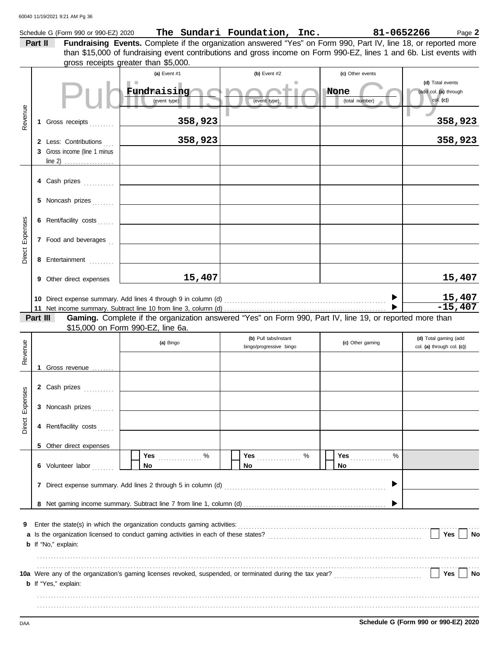|          |          | Schedule G (Form 990 or 990-EZ) 2020 |              |               | The Sundari Foundation, Inc.                     |   | 81-0652266                                                                                                         | Page 2                                              |
|----------|----------|--------------------------------------|--------------|---------------|--------------------------------------------------|---|--------------------------------------------------------------------------------------------------------------------|-----------------------------------------------------|
|          | Part II  |                                      |              |               |                                                  |   | Fundraising Events. Complete if the organization answered "Yes" on Form 990, Part IV, line 18, or reported more    |                                                     |
|          |          |                                      |              |               |                                                  |   | than \$15,000 of fundraising event contributions and gross income on Form 990-EZ, lines 1 and 6b. List events with |                                                     |
|          |          | gross receipts greater than \$5,000. |              |               |                                                  |   |                                                                                                                    |                                                     |
|          |          |                                      | (a) Event #1 |               | (b) Event $#2$                                   |   | (c) Other events                                                                                                   | (d) Total events                                    |
|          |          |                                      | Fundraising  |               |                                                  |   | None                                                                                                               | (add col. (a) through                               |
|          |          |                                      | (event type) |               | (event type)                                     |   | (total number)                                                                                                     | col. (c)                                            |
|          |          |                                      |              |               |                                                  |   |                                                                                                                    |                                                     |
| Revenue  | 1        | Gross receipts                       |              | 358,923       |                                                  |   |                                                                                                                    | 358,923                                             |
|          |          |                                      |              |               |                                                  |   |                                                                                                                    |                                                     |
|          |          | 2 Less: Contributions                |              | 358,923       |                                                  |   |                                                                                                                    | 358,923                                             |
|          |          | 3 Gross income (line 1 minus         |              |               |                                                  |   |                                                                                                                    |                                                     |
|          |          | $line 2)$                            |              |               |                                                  |   |                                                                                                                    |                                                     |
|          |          |                                      |              |               |                                                  |   |                                                                                                                    |                                                     |
|          |          | 4 Cash prizes                        |              |               |                                                  |   |                                                                                                                    |                                                     |
|          |          | 5 Noncash prizes                     |              |               |                                                  |   |                                                                                                                    |                                                     |
|          |          |                                      |              |               |                                                  |   |                                                                                                                    |                                                     |
|          |          | 6 Rent/facility costs                |              |               |                                                  |   |                                                                                                                    |                                                     |
|          |          |                                      |              |               |                                                  |   |                                                                                                                    |                                                     |
| Expenses |          | 7 Food and beverages                 |              |               |                                                  |   |                                                                                                                    |                                                     |
| Direct   |          |                                      |              |               |                                                  |   |                                                                                                                    |                                                     |
|          |          | 8 Entertainment                      |              |               |                                                  |   |                                                                                                                    |                                                     |
|          |          | 9 Other direct expenses              |              | 15,407        |                                                  |   |                                                                                                                    | 15,407                                              |
|          |          |                                      |              |               |                                                  |   |                                                                                                                    |                                                     |
|          |          |                                      |              |               |                                                  |   |                                                                                                                    |                                                     |
|          |          |                                      |              |               |                                                  |   |                                                                                                                    | $\frac{15,407}{-15,407}$                            |
|          | Part III |                                      |              |               |                                                  |   | Gaming. Complete if the organization answered "Yes" on Form 990, Part IV, line 19, or reported more than           |                                                     |
|          |          | \$15,000 on Form 990-EZ, line 6a.    |              |               |                                                  |   |                                                                                                                    |                                                     |
|          |          |                                      | (a) Bingo    |               | (b) Pull tabs/instant<br>bingo/progressive bingo |   | (c) Other gaming                                                                                                   | (d) Total gaming (add<br>col. (a) through col. (c)) |
| Revenue  |          |                                      |              |               |                                                  |   |                                                                                                                    |                                                     |
|          |          | 1 Gross revenue                      |              |               |                                                  |   |                                                                                                                    |                                                     |
|          |          |                                      |              |               |                                                  |   |                                                                                                                    |                                                     |
| 8        |          | 2 Cash prizes                        |              |               |                                                  |   |                                                                                                                    |                                                     |
|          |          |                                      |              |               |                                                  |   |                                                                                                                    |                                                     |
| Expens   |          | 3 Noncash prizes                     |              |               |                                                  |   |                                                                                                                    |                                                     |
| Direct   |          |                                      |              |               |                                                  |   |                                                                                                                    |                                                     |
|          |          | 4 Rent/facility costs                |              |               |                                                  |   |                                                                                                                    |                                                     |
|          |          | 5 Other direct expenses              |              |               |                                                  |   |                                                                                                                    |                                                     |
|          |          |                                      | Yes          | $\sim$ $\sim$ | Yes<br>.                                         | % | <b>Yes</b><br>%                                                                                                    |                                                     |
|          |          | 6 Volunteer labor                    | <b>No</b>    |               | No.                                              |   | No                                                                                                                 |                                                     |
|          |          |                                      |              |               |                                                  |   |                                                                                                                    |                                                     |
|          |          |                                      |              |               |                                                  |   |                                                                                                                    |                                                     |
|          |          |                                      |              |               |                                                  |   |                                                                                                                    |                                                     |
|          |          |                                      |              |               |                                                  |   |                                                                                                                    |                                                     |
| 9        |          |                                      |              |               |                                                  |   |                                                                                                                    |                                                     |
|          |          |                                      |              |               |                                                  |   |                                                                                                                    | Yes<br>No                                           |
|          |          | <b>b</b> If "No," explain:           |              |               |                                                  |   |                                                                                                                    |                                                     |
|          |          |                                      |              |               |                                                  |   |                                                                                                                    |                                                     |
|          |          |                                      |              |               |                                                  |   |                                                                                                                    |                                                     |
|          |          | <b>b</b> If "Yes," explain:          |              |               |                                                  |   |                                                                                                                    | Yes<br>No                                           |
|          |          |                                      |              |               |                                                  |   |                                                                                                                    |                                                     |
|          |          |                                      |              |               |                                                  |   |                                                                                                                    |                                                     |
|          |          |                                      |              |               |                                                  |   |                                                                                                                    |                                                     |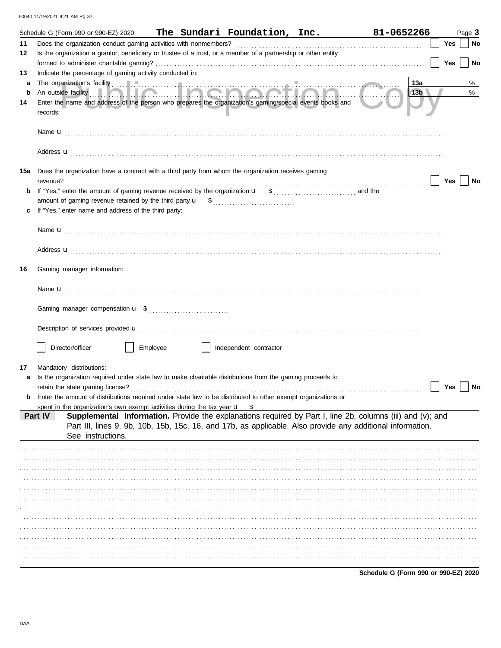|          | Schedule G (Form 990 or 990-EZ) 2020                                                                                                                                                                                                |          |                        | The Sundari Foundation, Inc.                                                                                                                                                                                             | 81-0652266 |     | Page 3    |
|----------|-------------------------------------------------------------------------------------------------------------------------------------------------------------------------------------------------------------------------------------|----------|------------------------|--------------------------------------------------------------------------------------------------------------------------------------------------------------------------------------------------------------------------|------------|-----|-----------|
| 11<br>12 | Is the organization a grantor, beneficiary or trustee of a trust, or a member of a partnership or other entity                                                                                                                      |          |                        |                                                                                                                                                                                                                          |            | Yes | No        |
|          |                                                                                                                                                                                                                                     |          |                        |                                                                                                                                                                                                                          |            | Yes | No        |
| 13       | Indicate the percentage of gaming activity conducted in:                                                                                                                                                                            |          |                        |                                                                                                                                                                                                                          | 13a        |     |           |
| a<br>b   |                                                                                                                                                                                                                                     |          |                        |                                                                                                                                                                                                                          | 13b        |     | %<br>$\%$ |
| 14       | Enter the name and address of the person who prepares the organization's gaming/special events books and<br>records:                                                                                                                |          |                        |                                                                                                                                                                                                                          |            |     |           |
|          |                                                                                                                                                                                                                                     |          |                        |                                                                                                                                                                                                                          |            |     |           |
|          | Address <b>u</b>                                                                                                                                                                                                                    |          |                        |                                                                                                                                                                                                                          |            |     |           |
|          | 15a Does the organization have a contract with a third party from whom the organization receives gaming<br>revenue?                                                                                                                 |          |                        |                                                                                                                                                                                                                          |            | Yes | No        |
| b        |                                                                                                                                                                                                                                     |          |                        |                                                                                                                                                                                                                          |            |     |           |
|          | If "Yes," enter name and address of the third party:                                                                                                                                                                                |          |                        |                                                                                                                                                                                                                          |            |     |           |
|          |                                                                                                                                                                                                                                     |          |                        |                                                                                                                                                                                                                          |            |     |           |
|          | Address <b>u</b>                                                                                                                                                                                                                    |          |                        |                                                                                                                                                                                                                          |            |     |           |
| 16       | Gaming manager information:                                                                                                                                                                                                         |          |                        |                                                                                                                                                                                                                          |            |     |           |
|          | Name <b>u</b>                                                                                                                                                                                                                       |          |                        |                                                                                                                                                                                                                          |            |     |           |
|          |                                                                                                                                                                                                                                     |          |                        |                                                                                                                                                                                                                          |            |     |           |
|          | Description of services provided <b>u</b> electron contract the contract of the contract of the contract of the contract of the contract of the contract of the contract of the contract of the contract of the contract of the con |          |                        |                                                                                                                                                                                                                          |            |     |           |
|          | Director/officer                                                                                                                                                                                                                    | Employee | Independent contractor |                                                                                                                                                                                                                          |            |     |           |
| 17       | Mandatory distributions:                                                                                                                                                                                                            |          |                        |                                                                                                                                                                                                                          |            |     |           |
|          | Is the organization required under state law to make charitable distributions from the gaming proceeds to<br>retain the state gaming license?                                                                                       |          |                        |                                                                                                                                                                                                                          |            | Yes | No        |
|          | Enter the amount of distributions required under state law to be distributed to other exempt organizations or                                                                                                                       |          |                        |                                                                                                                                                                                                                          |            |     |           |
|          | spent in the organization's own exempt activities during the tax year $\mathbf{u}$ \$<br>Part IV<br>See instructions.                                                                                                               |          |                        | Supplemental Information. Provide the explanations required by Part I, line 2b, columns (iii) and (v); and<br>Part III, lines 9, 9b, 10b, 15b, 15c, 16, and 17b, as applicable. Also provide any additional information. |            |     |           |
|          |                                                                                                                                                                                                                                     |          |                        |                                                                                                                                                                                                                          |            |     |           |
|          |                                                                                                                                                                                                                                     |          |                        |                                                                                                                                                                                                                          |            |     |           |
|          |                                                                                                                                                                                                                                     |          |                        |                                                                                                                                                                                                                          |            |     |           |
|          |                                                                                                                                                                                                                                     |          |                        |                                                                                                                                                                                                                          |            |     |           |
|          |                                                                                                                                                                                                                                     |          |                        |                                                                                                                                                                                                                          |            |     |           |
|          |                                                                                                                                                                                                                                     |          |                        |                                                                                                                                                                                                                          |            |     |           |
|          |                                                                                                                                                                                                                                     |          |                        |                                                                                                                                                                                                                          |            |     |           |
|          |                                                                                                                                                                                                                                     |          |                        |                                                                                                                                                                                                                          |            |     |           |
|          |                                                                                                                                                                                                                                     |          |                        |                                                                                                                                                                                                                          |            |     |           |
|          |                                                                                                                                                                                                                                     |          |                        |                                                                                                                                                                                                                          |            |     |           |
|          |                                                                                                                                                                                                                                     |          |                        |                                                                                                                                                                                                                          |            |     |           |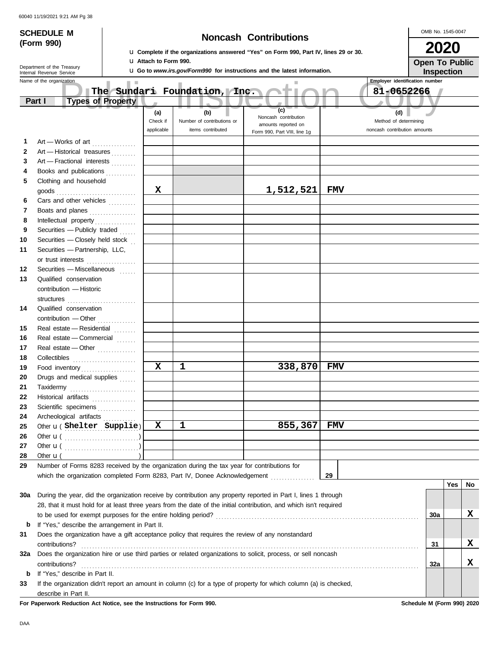| <b>SCHEDULE M</b><br><b>Noncash Contributions</b> | OMB No. 1545-0047          |                                                                                                                    |                        |                              |                                                                                       |            |                                              |                  |  |
|---------------------------------------------------|----------------------------|--------------------------------------------------------------------------------------------------------------------|------------------------|------------------------------|---------------------------------------------------------------------------------------|------------|----------------------------------------------|------------------|--|
|                                                   | (Form 990)                 |                                                                                                                    |                        |                              |                                                                                       |            | 2020                                         |                  |  |
|                                                   |                            |                                                                                                                    |                        |                              | La Complete if the organizations answered "Yes" on Form 990, Part IV, lines 29 or 30. |            |                                              |                  |  |
|                                                   | Department of the Treasury |                                                                                                                    | La Attach to Form 990. |                              |                                                                                       |            | <b>Open To Public</b>                        |                  |  |
|                                                   | Internal Revenue Service   |                                                                                                                    |                        |                              | <b>u</b> Go to www.irs.gov/Form990 for instructions and the latest information.       |            | Inspection<br>Employer identification number |                  |  |
|                                                   | Name of the organization.  |                                                                                                                    |                        | The Sundari Foundation, Inc. | ٠                                                                                     |            | 81-0652266                                   |                  |  |
|                                                   | Part I                     | <b>Types of Property</b>                                                                                           |                        |                              |                                                                                       |            |                                              |                  |  |
|                                                   |                            |                                                                                                                    | (a)                    | (b)                          | (c)                                                                                   |            | (d)                                          |                  |  |
|                                                   |                            |                                                                                                                    | Check if               | Number of contributions or   | Noncash contribution<br>amounts reported on                                           |            | Method of determining                        |                  |  |
|                                                   |                            |                                                                                                                    | applicable             | items contributed            | Form 990, Part VIII, line 1g                                                          |            | noncash contribution amounts                 |                  |  |
| 1.                                                |                            | Art - Works of art                                                                                                 |                        |                              |                                                                                       |            |                                              |                  |  |
| 2                                                 |                            | Art - Historical treasures                                                                                         |                        |                              |                                                                                       |            |                                              |                  |  |
| 3                                                 |                            | Art - Fractional interests                                                                                         |                        |                              |                                                                                       |            |                                              |                  |  |
| 4                                                 |                            | Books and publications                                                                                             |                        |                              |                                                                                       |            |                                              |                  |  |
| 5                                                 |                            | Clothing and household                                                                                             |                        |                              |                                                                                       |            |                                              |                  |  |
|                                                   |                            | $\mathsf{goods}\xrightarrow{\hspace{0.5cm}}$                                                                       | X                      |                              | 1,512,521                                                                             | <b>FMV</b> |                                              |                  |  |
| 6                                                 |                            | Cars and other vehicles                                                                                            |                        |                              |                                                                                       |            |                                              |                  |  |
| 7                                                 |                            | Boats and planes                                                                                                   |                        |                              |                                                                                       |            |                                              |                  |  |
| 8                                                 |                            | Intellectual property                                                                                              |                        |                              |                                                                                       |            |                                              |                  |  |
| 9                                                 |                            | Securities - Publicly traded                                                                                       |                        |                              |                                                                                       |            |                                              |                  |  |
| 10                                                |                            | Securities - Closely held stock                                                                                    |                        |                              |                                                                                       |            |                                              |                  |  |
| 11                                                |                            | Securities - Partnership, LLC,                                                                                     |                        |                              |                                                                                       |            |                                              |                  |  |
|                                                   |                            | or trust interests                                                                                                 |                        |                              |                                                                                       |            |                                              |                  |  |
| $12 \,$                                           |                            | Securities - Miscellaneous                                                                                         |                        |                              |                                                                                       |            |                                              |                  |  |
| 13                                                |                            | Qualified conservation                                                                                             |                        |                              |                                                                                       |            |                                              |                  |  |
|                                                   |                            | contribution - Historic                                                                                            |                        |                              |                                                                                       |            |                                              |                  |  |
|                                                   |                            | structures                                                                                                         |                        |                              |                                                                                       |            |                                              |                  |  |
| 14                                                |                            | Qualified conservation                                                                                             |                        |                              |                                                                                       |            |                                              |                  |  |
|                                                   |                            |                                                                                                                    |                        |                              |                                                                                       |            |                                              |                  |  |
| 15                                                |                            | Real estate - Residential                                                                                          |                        |                              |                                                                                       |            |                                              |                  |  |
| 16                                                |                            | Real estate - Commercial                                                                                           |                        |                              |                                                                                       |            |                                              |                  |  |
| 17                                                |                            | Real estate - Other                                                                                                |                        |                              |                                                                                       |            |                                              |                  |  |
| 18                                                |                            | Collectibles                                                                                                       | X                      | 1                            | 338,870                                                                               | <b>FMV</b> |                                              |                  |  |
| 19                                                |                            | Food inventory                                                                                                     |                        |                              |                                                                                       |            |                                              |                  |  |
| 20                                                |                            | Drugs and medical supplies                                                                                         |                        |                              |                                                                                       |            |                                              |                  |  |
| 21                                                | Taxidermy                  |                                                                                                                    |                        |                              |                                                                                       |            |                                              |                  |  |
| 22                                                |                            | Historical artifacts                                                                                               |                        |                              |                                                                                       |            |                                              |                  |  |
| 23<br>24                                          |                            | Scientific specimens<br>Archeological artifacts                                                                    |                        |                              |                                                                                       |            |                                              |                  |  |
| 25                                                |                            | Other u( Shelter Supplie)                                                                                          | x                      | 1                            | 855,367                                                                               | <b>FMV</b> |                                              |                  |  |
| 26                                                |                            |                                                                                                                    |                        |                              |                                                                                       |            |                                              |                  |  |
| 27                                                |                            |                                                                                                                    |                        |                              |                                                                                       |            |                                              |                  |  |
| 28                                                | Other $\mathbf{u}$ (       |                                                                                                                    |                        |                              |                                                                                       |            |                                              |                  |  |
| 29                                                |                            | Number of Forms 8283 received by the organization during the tax year for contributions for                        |                        |                              |                                                                                       |            |                                              |                  |  |
|                                                   |                            | which the organization completed Form 8283, Part IV, Donee Acknowledgement [ [ [ [ [ ] ] ]                         |                        |                              |                                                                                       | 29         |                                              |                  |  |
|                                                   |                            |                                                                                                                    |                        |                              |                                                                                       |            |                                              | <b>Yes</b><br>No |  |
| 30a                                               |                            | During the year, did the organization receive by contribution any property reported in Part I, lines 1 through     |                        |                              |                                                                                       |            |                                              |                  |  |
|                                                   |                            | 28, that it must hold for at least three years from the date of the initial contribution, and which isn't required |                        |                              |                                                                                       |            |                                              |                  |  |
|                                                   |                            |                                                                                                                    |                        |                              |                                                                                       |            | 30a                                          | x                |  |
| b                                                 |                            | If "Yes," describe the arrangement in Part II.                                                                     |                        |                              |                                                                                       |            |                                              |                  |  |
| 31                                                |                            | Does the organization have a gift acceptance policy that requires the review of any nonstandard                    |                        |                              |                                                                                       |            |                                              |                  |  |
|                                                   | contributions?             |                                                                                                                    |                        |                              |                                                                                       |            | 31                                           | X                |  |
| 32a                                               |                            | Does the organization hire or use third parties or related organizations to solicit, process, or sell noncash      |                        |                              |                                                                                       |            |                                              |                  |  |
|                                                   | contributions?             |                                                                                                                    |                        |                              |                                                                                       |            | 32a                                          | x                |  |
| b                                                 |                            | If "Yes," describe in Part II.                                                                                     |                        |                              |                                                                                       |            |                                              |                  |  |
| 33                                                |                            | If the organization didn't report an amount in column (c) for a type of property for which column (a) is checked,  |                        |                              |                                                                                       |            |                                              |                  |  |
|                                                   |                            | describe in Part II.                                                                                               |                        |                              |                                                                                       |            |                                              |                  |  |

**For Paperwork Reduction Act Notice, see the Instructions for Form 990. Schedule M (Form 990) 2020**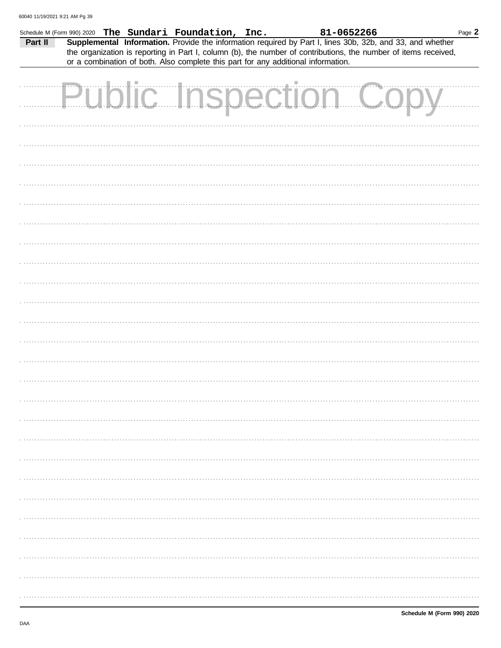|  | 60040 11/19/2021 9:21 AM Pg 39 |  |  |  |
|--|--------------------------------|--|--|--|
|--|--------------------------------|--|--|--|

| Schedule M (Form 990) 2020 The Sundari Foundation, Inc. 81-0652266<br>Part II Supplemental Information. Provide the information required by Part I, lines 30b, 32b, and 33, and whether |  |  |  | Page 2 |
|-----------------------------------------------------------------------------------------------------------------------------------------------------------------------------------------|--|--|--|--------|
| the organization is reporting in Part I, column (b), the number of contributions, the number of items received,                                                                         |  |  |  |        |
| or a combination of both. Also complete this part for any additional information.                                                                                                       |  |  |  |        |
|                                                                                                                                                                                         |  |  |  |        |
| <b>Public Inspection Copy</b>                                                                                                                                                           |  |  |  |        |
|                                                                                                                                                                                         |  |  |  |        |
|                                                                                                                                                                                         |  |  |  |        |
|                                                                                                                                                                                         |  |  |  |        |
|                                                                                                                                                                                         |  |  |  |        |
|                                                                                                                                                                                         |  |  |  |        |
|                                                                                                                                                                                         |  |  |  |        |
|                                                                                                                                                                                         |  |  |  |        |
|                                                                                                                                                                                         |  |  |  |        |
|                                                                                                                                                                                         |  |  |  |        |
|                                                                                                                                                                                         |  |  |  |        |
|                                                                                                                                                                                         |  |  |  |        |
|                                                                                                                                                                                         |  |  |  |        |
|                                                                                                                                                                                         |  |  |  |        |
|                                                                                                                                                                                         |  |  |  |        |
|                                                                                                                                                                                         |  |  |  |        |
|                                                                                                                                                                                         |  |  |  |        |
|                                                                                                                                                                                         |  |  |  |        |
|                                                                                                                                                                                         |  |  |  |        |
|                                                                                                                                                                                         |  |  |  |        |
|                                                                                                                                                                                         |  |  |  |        |
|                                                                                                                                                                                         |  |  |  |        |
|                                                                                                                                                                                         |  |  |  |        |
|                                                                                                                                                                                         |  |  |  |        |
|                                                                                                                                                                                         |  |  |  |        |
|                                                                                                                                                                                         |  |  |  |        |
|                                                                                                                                                                                         |  |  |  |        |
|                                                                                                                                                                                         |  |  |  |        |
|                                                                                                                                                                                         |  |  |  |        |
|                                                                                                                                                                                         |  |  |  |        |
|                                                                                                                                                                                         |  |  |  |        |
|                                                                                                                                                                                         |  |  |  |        |
|                                                                                                                                                                                         |  |  |  |        |
|                                                                                                                                                                                         |  |  |  |        |
|                                                                                                                                                                                         |  |  |  |        |
|                                                                                                                                                                                         |  |  |  |        |
|                                                                                                                                                                                         |  |  |  |        |
|                                                                                                                                                                                         |  |  |  |        |
|                                                                                                                                                                                         |  |  |  |        |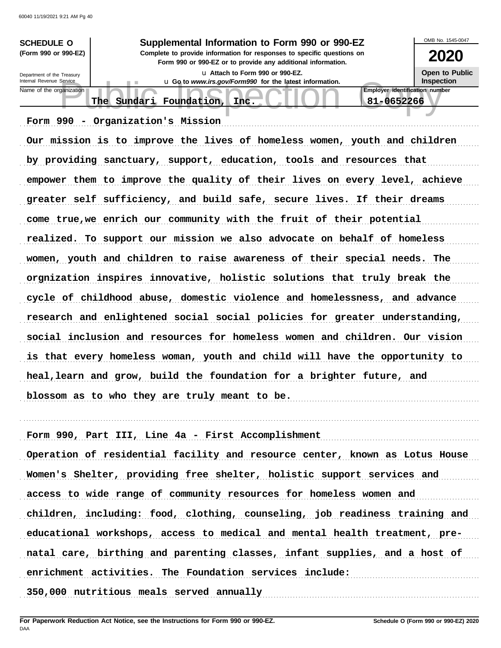**SCHEDULE O Supplemental Information to Form 990 or 990-EZ**

**Form 990 or 990-EZ or to provide any additional information. (Form 990 or 990-EZ) Complete to provide information for responses to specific questions on**

> u **Attach to Form 990 or 990-EZ.** u **Go to** *www.irs.gov/Form990* **for the latest information.**

**Open to Public Inspection**

OMB No. 1545-0047

**2020**

Internal Revenue Service Department of the Treasury

**The Sundari Foundation, Inc. 81-0652266**

Service<br>ganization The Sundari Foundation, Inc. (2007) Contract information.<br>The Sundari Foundation, Inc. (2008) Contract information Contract information and Employer identification number Name of the organization **Employer identification number** 

Form 990 - Organization's Mission (1998) (1999) (1999) (1999) (1999) (1999) (1999) (1999) (1999) (1999) (1999)

Our mission is to improve the lives of homeless women, youth and children by providing sanctuary, support, education, tools and resources that empower them to improve the quality of their lives on every level, achieve greater self sufficiency, and build safe, secure lives. If their dreams come true, we enrich our community with the fruit of their potential realized. To support our mission we also advocate on behalf of homeless women, youth and children to raise awareness of their special needs. The orgnization inspires innovative, holistic solutions that truly break the cycle of childhood abuse, domestic violence and homelessness, and advance research and enlightened social social policies for greater understanding, social inclusion and resources for homeless women and children. Our vision is that every homeless woman, youth and child will have the opportunity to heal, learn and grow, build the foundation for a brighter future, and blossom as to who they are truly meant to be.

Form 990, Part III, Line 4a - First Accomplishment Operation of residential facility and resource center, known as Lotus House Women's Shelter, providing free shelter, holistic support services and access to wide range of community resources for homeless women and children, including: food, clothing, counseling, job readiness training and educational workshops, access to medical and mental health treatment, prenatal care, birthing and parenting classes, infant supplies, and a host of enrichment activities. The Foundation services include: 350,000 nutritious meals served annually measurement and nutritions and nutritious meals served annually

. . . . . . . . . . . . . . . . . . . . . . . . . . . . . . . . . . . . . . . . . . . . . . . . . . . . . . . . . . . . . . . . . . . . . . . . . . . . . . . . . . . . . . . . . . . . . . . . . . . . . . . . . . . . . . . . . . . . . . . . . . . . . . . . . . . . . . . . . . . . . . . . . . . . . . . . . . . . . . . . . . . . . . .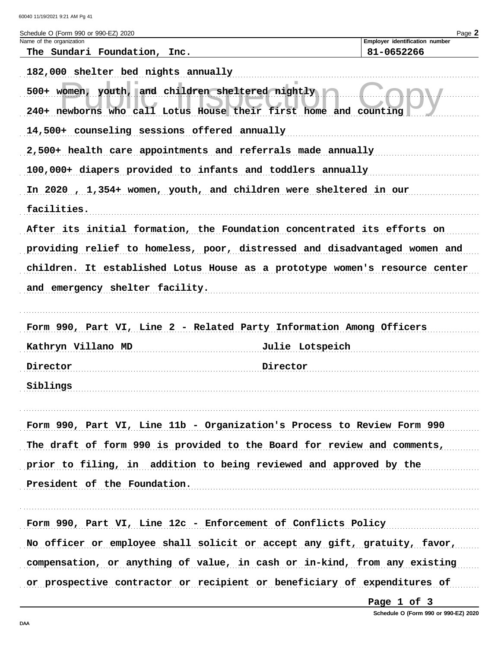| Schedule O (Form 990 or 990-EZ) 2020                                                                                                                         | Page 2                                       |
|--------------------------------------------------------------------------------------------------------------------------------------------------------------|----------------------------------------------|
| Name of the organization<br>The Sundari Foundation, Inc.                                                                                                     | Employer identification number<br>81-0652266 |
| 182,000 shelter bed nights annually<br>500+ women, youth, and children sheltered nightly<br>240+ newborns who call Lotus House their first home and counting |                                              |
| 14,500+ counseling sessions offered annually                                                                                                                 |                                              |
| 2,500+ health care appointments and referrals made annually                                                                                                  |                                              |
| 100,000+ diapers provided to infants and toddlers annually                                                                                                   |                                              |
| In 2020, 1,354+ women, youth, and children were sheltered in our                                                                                             |                                              |
| facilities.                                                                                                                                                  |                                              |
| After its initial formation, the Foundation concentrated its efforts on                                                                                      |                                              |
| providing relief to homeless, poor, distressed and disadvantaged women and                                                                                   |                                              |
| children. It established Lotus House as a prototype women's resource center                                                                                  |                                              |
| and emergency shelter facility.                                                                                                                              |                                              |
| Form 990, Part VI, Line 2 - Related Party Information Among Officers<br>Kathryn Villano MD<br>Julie Lotspeich                                                |                                              |
| Director<br>Director                                                                                                                                         |                                              |
| Siblings                                                                                                                                                     |                                              |
| Form 990, Part VI, Line 11b - Organization's Process to Review Form 990                                                                                      |                                              |
| The draft of form 990 is provided to the Board for review and comments,                                                                                      |                                              |
| prior to filing, in addition to being reviewed and approved by the                                                                                           |                                              |
| President of the Foundation.                                                                                                                                 |                                              |
| Form 990, Part VI, Line 12c - Enforcement of Conflicts Policy                                                                                                |                                              |
| No officer or employee shall solicit or accept any gift, gratuity, favor,                                                                                    |                                              |
|                                                                                                                                                              |                                              |
| compensation, or anything of value, in cash or in-kind, from any existing                                                                                    |                                              |
| or prospective contractor or recipient or beneficiary of expenditures of                                                                                     |                                              |
|                                                                                                                                                              | Page 1 of 3                                  |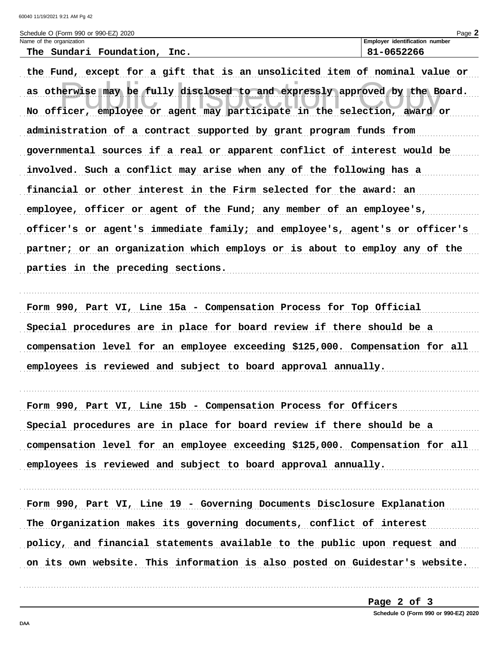| Schedule O (Form 990 or 990-EZ) 2020 |                                | $P$ aqe $\blacktriangle$ |
|--------------------------------------|--------------------------------|--------------------------|
| Name of the organization             | Employer identification number |                          |
| Sundari Foundation,<br>The<br>Inc.   | 81-0652266                     |                          |

the Fund, except for a gift that is an unsolicited item of nominal value or as otherwise may be fully disclosed to and expressly approved by the Board. No officer, employee or agent may participate in the selection, award or administration of a contract supported by grant program funds from governmental sources if a real or apparent conflict of interest would be involved. Such a conflict may arise when any of the following has a financial or other interest in the Firm selected for the award: an employee, officer or agent of the Fund; any member of an employee's, officer's or agent's immediate family; and employee's, agent's or officer's partner; or an organization which employs or is about to employ any of the parties in the preceding sections.

Form 990, Part VI, Line 15a - Compensation Process for Top Official Special procedures are in place for board review if there should be a compensation level for an employee exceeding \$125,000. Compensation for all employees is reviewed and subject to board approval annually.

Form 990, Part VI, Line 15b - Compensation Process for Officers Special procedures are in place for board review if there should be a compensation level for an employee exceeding \$125,000. Compensation for all employees is reviewed and subject to board approval annually.

Form 990, Part VI, Line 19 - Governing Documents Disclosure Explanation The Organization makes its governing documents, conflict of interest policy, and financial statements available to the public upon request and on its own website. This information is also posted on Guidestar's website.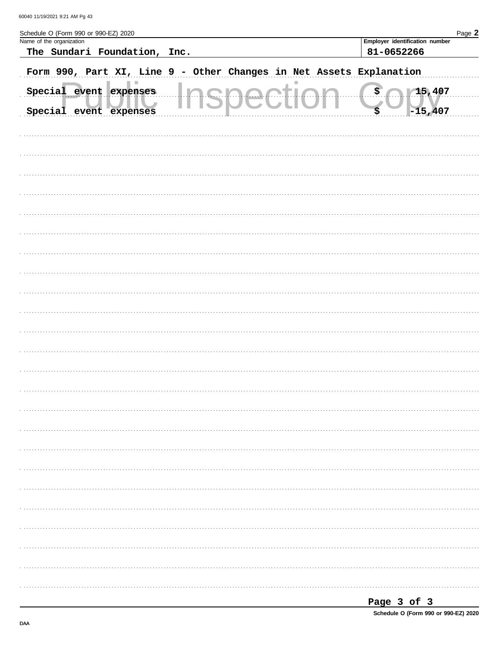| Schedule O (Form 990 or 990-EZ) 2020<br>Name of the organization<br>The Sundari Foundation, Inc. | Page 2<br>Employer identification number<br>81-0652266 |
|--------------------------------------------------------------------------------------------------|--------------------------------------------------------|
|                                                                                                  |                                                        |
| Form 990, Part XI, Line 9 - Other Changes in Net Assets Explanation                              |                                                        |
| Special event expenses                                                                           | $\cdot$ \$<br>15,407                                   |
| Special event expenses                                                                           | $\ddot{\mathbf{S}}$<br>$-15,407$                       |
|                                                                                                  |                                                        |
|                                                                                                  |                                                        |
|                                                                                                  |                                                        |
|                                                                                                  |                                                        |
|                                                                                                  |                                                        |
|                                                                                                  |                                                        |
|                                                                                                  |                                                        |
|                                                                                                  |                                                        |
|                                                                                                  |                                                        |
|                                                                                                  |                                                        |
|                                                                                                  |                                                        |
|                                                                                                  |                                                        |
|                                                                                                  |                                                        |
|                                                                                                  |                                                        |
|                                                                                                  |                                                        |
|                                                                                                  |                                                        |
|                                                                                                  |                                                        |
|                                                                                                  |                                                        |
|                                                                                                  |                                                        |
|                                                                                                  |                                                        |
|                                                                                                  |                                                        |
|                                                                                                  |                                                        |
|                                                                                                  |                                                        |
|                                                                                                  |                                                        |
|                                                                                                  |                                                        |
|                                                                                                  |                                                        |
|                                                                                                  |                                                        |
|                                                                                                  |                                                        |
|                                                                                                  |                                                        |
|                                                                                                  |                                                        |
|                                                                                                  | Page 3 of 3                                            |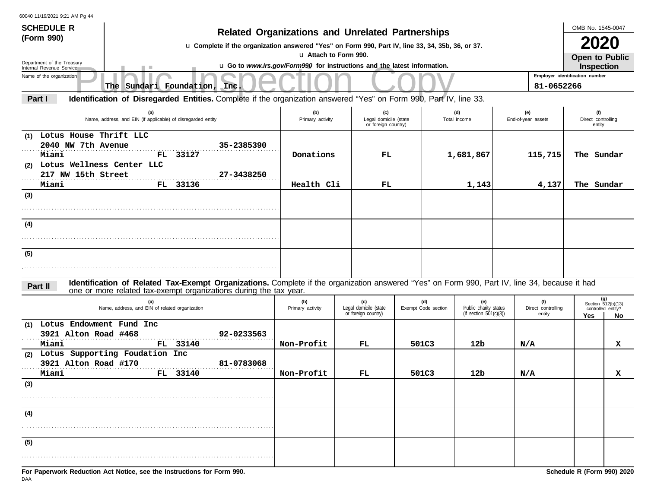| 000 <del>1</del> 0 11/13/2021 3.21 AMIL 9 <del>11</del><br><b>SCHEDULE R</b> |                                                                                                                                                                                                                    | <b>Related Organizations and Unrelated Partnerships</b>                                           |                                                     |                            |                                                        |     |                                     | OMB No. 1545-0047                   |                                                       |
|------------------------------------------------------------------------------|--------------------------------------------------------------------------------------------------------------------------------------------------------------------------------------------------------------------|---------------------------------------------------------------------------------------------------|-----------------------------------------------------|----------------------------|--------------------------------------------------------|-----|-------------------------------------|-------------------------------------|-------------------------------------------------------|
| (Form 990)                                                                   | u Complete if the organization answered "Yes" on Form 990, Part IV, line 33, 34, 35b, 36, or 37.                                                                                                                   |                                                                                                   |                                                     |                            |                                                        |     |                                     | <b>2020</b>                         |                                                       |
| Department of the Treasury<br>Internal Revenue Service                       | <b>Contract</b>                                                                                                                                                                                                    | u Attach to Form 990.<br>u Go to www.irs.gov/Form990 for instructions and the latest information. |                                                     |                            |                                                        |     |                                     | Open to Public<br><b>Inspection</b> |                                                       |
| Name of the organization                                                     |                                                                                                                                                                                                                    |                                                                                                   |                                                     |                            |                                                        |     |                                     | Employer identification number      |                                                       |
|                                                                              | The Sundari Foundation, Inc.                                                                                                                                                                                       |                                                                                                   |                                                     |                            |                                                        |     | 81-0652266                          |                                     |                                                       |
| Part I                                                                       | Identification of Disregarded Entities. Complete if the organization answered "Yes" on Form 990, Part IV, line 33.                                                                                                 |                                                                                                   |                                                     |                            |                                                        |     |                                     |                                     |                                                       |
|                                                                              | (a)<br>Name, address, and EIN (if applicable) of disregarded entity                                                                                                                                                | (b)<br>Primary activity                                                                           | (c)<br>Legal domicile (state<br>or foreign country) |                            | (d)<br>Total income                                    |     | (e)<br>End-of-year assets           | (f)<br>Direct controlling<br>entity |                                                       |
| Lotus House Thrift LLC<br>(1)<br>2040 NW 7th Avenue<br>Miami                 | 35-2385390<br>33127<br>FL                                                                                                                                                                                          | Donations                                                                                         | FL.                                                 |                            | 1,681,867                                              |     | 115,715                             | The Sundar                          |                                                       |
| Lotus Wellness Center LLC<br>(2)                                             |                                                                                                                                                                                                                    |                                                                                                   |                                                     |                            |                                                        |     |                                     |                                     |                                                       |
| 217 NW 15th Street<br>Miami                                                  | 27-3438250<br>FL 33136                                                                                                                                                                                             | Health Cli                                                                                        | FL.                                                 |                            | 1,143                                                  |     | 4,137                               | The Sundar                          |                                                       |
| (3)                                                                          |                                                                                                                                                                                                                    |                                                                                                   |                                                     |                            |                                                        |     |                                     |                                     |                                                       |
| (4)                                                                          |                                                                                                                                                                                                                    |                                                                                                   |                                                     |                            |                                                        |     |                                     |                                     |                                                       |
|                                                                              |                                                                                                                                                                                                                    |                                                                                                   |                                                     |                            |                                                        |     |                                     |                                     |                                                       |
| (5)                                                                          |                                                                                                                                                                                                                    |                                                                                                   |                                                     |                            |                                                        |     |                                     |                                     |                                                       |
|                                                                              |                                                                                                                                                                                                                    |                                                                                                   |                                                     |                            |                                                        |     |                                     |                                     |                                                       |
| Part II                                                                      | Identification of Related Tax-Exempt Organizations. Complete if the organization answered "Yes" on Form 990, Part IV, line 34, because it had<br>one or more related tax-exempt organizations during the tax year. |                                                                                                   |                                                     |                            |                                                        |     |                                     |                                     |                                                       |
|                                                                              | (a)<br>Name, address, and EIN of related organization                                                                                                                                                              | (b)<br>Primary activity                                                                           | (c)<br>Legal domicile (state<br>or foreign country) | (d)<br>Exempt Code section | (e)<br>Public charity status<br>(if section 501(c)(3)) |     | (f)<br>Direct controlling<br>entity | Yes                                 | (g)<br>Section 512(b)(13)<br>controlled entity?<br>No |
| Lotus Endowment Fund Inc<br>(1)<br>3921 Alton Road #468<br>Miami             | 92-0233563<br>FL 33140                                                                                                                                                                                             | Non-Profit                                                                                        | FL.                                                 | 501C3                      | 12 <sub>b</sub>                                        | N/A |                                     |                                     | x                                                     |
| (2)<br>3921 Alton Road #170<br>Miami                                         | Lotus Supporting Foudation Inc<br>81-0783068<br>FL 33140                                                                                                                                                           | Non-Profit                                                                                        | FL                                                  | 501C3                      | 12 <sub>b</sub>                                        | N/A |                                     |                                     | x                                                     |
| (3)                                                                          |                                                                                                                                                                                                                    |                                                                                                   |                                                     |                            |                                                        |     |                                     |                                     |                                                       |
|                                                                              |                                                                                                                                                                                                                    |                                                                                                   |                                                     |                            |                                                        |     |                                     |                                     |                                                       |
| (4)                                                                          |                                                                                                                                                                                                                    |                                                                                                   |                                                     |                            |                                                        |     |                                     |                                     |                                                       |
|                                                                              |                                                                                                                                                                                                                    |                                                                                                   |                                                     |                            |                                                        |     |                                     |                                     |                                                       |
| (5)                                                                          |                                                                                                                                                                                                                    |                                                                                                   |                                                     |                            |                                                        |     |                                     |                                     |                                                       |
|                                                                              |                                                                                                                                                                                                                    |                                                                                                   |                                                     |                            |                                                        |     |                                     |                                     |                                                       |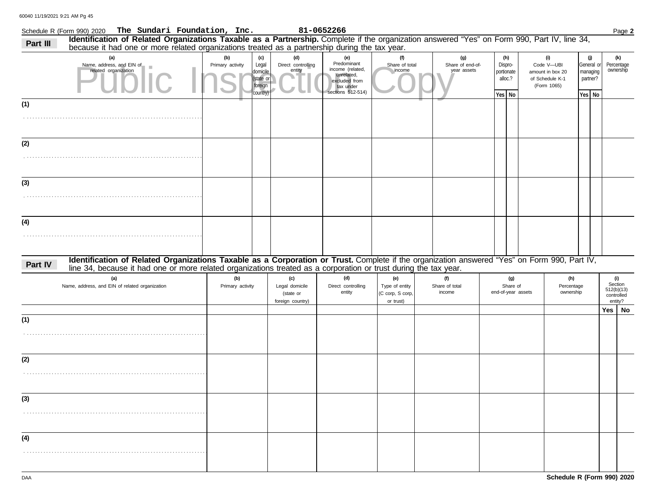|          | Schedule R (Form 990) 2020 The Sundari Foundation, Inc.                                                                                                                                                                                                          |                         |                                                              |                                                        | 81-0652266                                                                                              |                                                        |                                        |                                                   |                                                                         |                                                       | Page 2                                                |
|----------|------------------------------------------------------------------------------------------------------------------------------------------------------------------------------------------------------------------------------------------------------------------|-------------------------|--------------------------------------------------------------|--------------------------------------------------------|---------------------------------------------------------------------------------------------------------|--------------------------------------------------------|----------------------------------------|---------------------------------------------------|-------------------------------------------------------------------------|-------------------------------------------------------|-------------------------------------------------------|
| Part III | Identification of Related Organizations Taxable as a Partnership. Complete if the organization answered "Yes" on Form 990, Part IV, line 34,<br>because it had one or more related organizations treated as a partnership during the tax year.                   |                         |                                                              |                                                        |                                                                                                         |                                                        |                                        |                                                   |                                                                         |                                                       |                                                       |
|          | (a)<br>Name, address, and EIN of<br>related organization                                                                                                                                                                                                         | (b)<br>Primary activity | (c)<br>Legal<br>domicile<br>(state or<br>foreign<br>country) | (d)<br>Direct controlling<br>entity                    | (e)<br>Predominant<br>income (related,<br>unrelated,<br>excluded from<br>tax under<br>sections 512-514) | (f)<br>Share of total<br>lincome                       | (g)<br>Share of end-of-<br>year assets | (h)<br>Dispro-<br>portionate<br>alloc.?<br>Yes No | (i)<br>Code V-UBI<br>amount in box 20<br>of Schedule K-1<br>(Form 1065) | (j)<br>General or<br>managing<br>partner?<br>Yes   No | (k)<br>Percentage<br>ownership                        |
| (1)      |                                                                                                                                                                                                                                                                  |                         |                                                              |                                                        |                                                                                                         |                                                        |                                        |                                                   |                                                                         |                                                       |                                                       |
| (2)      |                                                                                                                                                                                                                                                                  |                         |                                                              |                                                        |                                                                                                         |                                                        |                                        |                                                   |                                                                         |                                                       |                                                       |
| (3)      |                                                                                                                                                                                                                                                                  |                         |                                                              |                                                        |                                                                                                         |                                                        |                                        |                                                   |                                                                         |                                                       |                                                       |
| (4)      |                                                                                                                                                                                                                                                                  |                         |                                                              |                                                        |                                                                                                         |                                                        |                                        |                                                   |                                                                         |                                                       |                                                       |
| Part IV  | Identification of Related Organizations Taxable as a Corporation or Trust. Complete if the organization answered "Yes" on Form 990, Part IV,<br>line 34, because it had one or more related organizations treated as a corporation or trust during the tax year. |                         |                                                              |                                                        |                                                                                                         |                                                        |                                        |                                                   |                                                                         |                                                       |                                                       |
|          | (a)<br>Name, address, and EIN of related organization                                                                                                                                                                                                            | (b)<br>Primary activity |                                                              | (c)<br>Legal domicile<br>(state or<br>foreign country) | (d)<br>Direct controlling<br>entity                                                                     | (e)<br>Type of entity<br>(C corp, S corp,<br>or trust) | (f)<br>Share of total<br>income        | (g)<br>Share of<br>end-of-year assets             | (h)<br>Percentage<br>ownership                                          |                                                       | (i)<br>Section<br>512(b)(13)<br>controlled<br>entity? |
| (1)      |                                                                                                                                                                                                                                                                  |                         |                                                              |                                                        |                                                                                                         |                                                        |                                        |                                                   |                                                                         |                                                       | Yes<br>  No                                           |
| (2)      |                                                                                                                                                                                                                                                                  |                         |                                                              |                                                        |                                                                                                         |                                                        |                                        |                                                   |                                                                         |                                                       |                                                       |
| (3)      |                                                                                                                                                                                                                                                                  |                         |                                                              |                                                        |                                                                                                         |                                                        |                                        |                                                   |                                                                         |                                                       |                                                       |
| (4)      |                                                                                                                                                                                                                                                                  |                         |                                                              |                                                        |                                                                                                         |                                                        |                                        |                                                   |                                                                         |                                                       |                                                       |
|          |                                                                                                                                                                                                                                                                  |                         |                                                              |                                                        |                                                                                                         |                                                        |                                        |                                                   |                                                                         |                                                       |                                                       |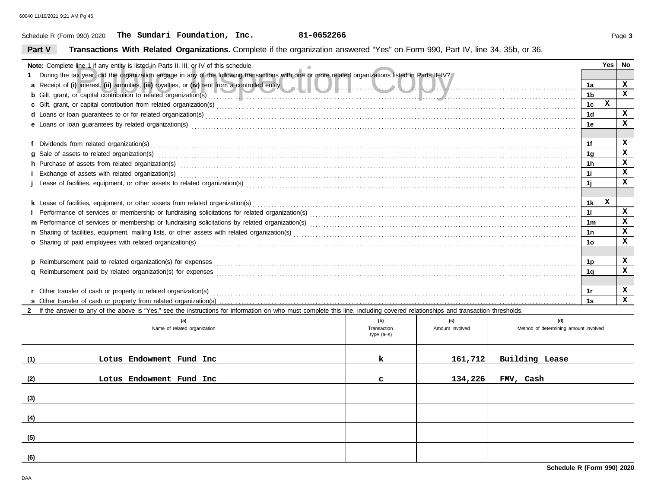## Schedule R (Form 990) 2020 Page **3 The Sundari Foundation, Inc. 81-0652266**

| Transactions With Related Organizations. Complete if the organization answered "Yes" on Form 990, Part IV, line 34, 35b, or 36.<br>Part V                                                                                      |                |             |              |
|--------------------------------------------------------------------------------------------------------------------------------------------------------------------------------------------------------------------------------|----------------|-------------|--------------|
| Note: Complete line 1 if any entity is listed in Parts II, III, or IV of this schedule.                                                                                                                                        |                |             | Yes No       |
| 1 During the tax year, did the organization engage in any of the following transactions with one or more related organizations listed in Parts II-IV?                                                                          |                |             |              |
| a Receipt of (i) interest, (ii) annuities, (iii) royalties, or (iv) rent from a controlled entity enter the controlled entity of the controlled entity of the controlled entity of the controlled entity of the controlled ent | 1a             |             | $\mathbf{x}$ |
| b Gift, grant, or capital contribution to related organization(s) expression contribution to related organization(s)                                                                                                           | 1 <sub>b</sub> |             | $\mathbf{x}$ |
|                                                                                                                                                                                                                                | 1c             | $\mathbf x$ |              |
| d Loans or loan guarantees to or for related organization(s) encourance contained and contained and contained and contained and contained and contained and contained and contained and contained and contained and contained  | 1 <sub>d</sub> |             | $\mathbf{x}$ |
|                                                                                                                                                                                                                                | 1e             |             | X            |
|                                                                                                                                                                                                                                |                |             |              |
| f Dividends from related organization(s) with an example and contact the control of the control of the contact of the control of the control of the control of the control of the control of the control of the control of the | 1f             |             | x            |
|                                                                                                                                                                                                                                | 1g             |             | $\mathbf{x}$ |
| h Purchase of assets from related organization(s) encourance contains and contains a container and container and container and container and container and container and container and container and container and container a | 1 <sub>h</sub> |             | $\mathbf{x}$ |
|                                                                                                                                                                                                                                | 11             |             | $\mathbf{x}$ |
|                                                                                                                                                                                                                                | 1j             |             | $\mathbf{x}$ |
|                                                                                                                                                                                                                                |                |             |              |
| <b>k</b> Lease of facilities, equipment, or other assets from related organization(s)                                                                                                                                          | 1k             | x           |              |
|                                                                                                                                                                                                                                | 11             |             | $\mathbf{x}$ |
|                                                                                                                                                                                                                                | 1 <sub>m</sub> |             | $\mathbf{x}$ |
|                                                                                                                                                                                                                                | 1n             |             | x            |
|                                                                                                                                                                                                                                | 1o             |             | $\mathbf{x}$ |
|                                                                                                                                                                                                                                |                |             |              |
|                                                                                                                                                                                                                                | 1p             |             | x            |
|                                                                                                                                                                                                                                | 1a             |             | $\mathbf{x}$ |
|                                                                                                                                                                                                                                |                |             |              |
|                                                                                                                                                                                                                                | 1r             |             | x            |
|                                                                                                                                                                                                                                | 1s             |             | $\mathbf{x}$ |
| 2. If the converte ony of the chain in "Vea" are the instructions for information on who must complete this line, including coursed relationships and transaction thresholds                                                   |                |             |              |

2 If the answer to any of the above is "Yes," see the instructions for information on who must complete this line, including covered relationships and transaction thresholds.

|     | (a)<br>Name of related organization | (b)<br>Transaction<br>type (a-s) | (c)<br>Amount involved | (d)<br>Method of determining amount involved |
|-----|-------------------------------------|----------------------------------|------------------------|----------------------------------------------|
| (1) | Lotus Endowment Fund Inc            | k                                | 161, 712               | <b>Building Lease</b>                        |
| (2) | Lotus Endowment Fund Inc            | C                                | 134,226                | FMV, Cash                                    |
| (3) |                                     |                                  |                        |                                              |
| (4) |                                     |                                  |                        |                                              |
| (5) |                                     |                                  |                        |                                              |
| (6) |                                     |                                  |                        |                                              |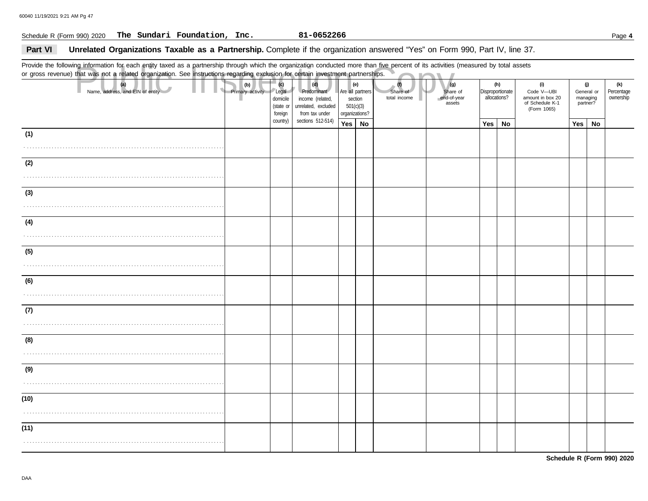#### Schedule R (Form 990) 2020 Page **4 The Sundari Foundation, Inc. 81-0652266**

# Part VI **Unrelated Organizations Taxable as a Partnership.** Complete if the organization answered "Yes" on Form 990, Part IV, line 37.

Provide the following information for each entity taxed as a partnership through which the organization conducted more than five percent of its activities (measured by total assets or gross revenue) that was not a related organization. See instructions regarding exclusion for certain investment partnerships.

| Provide the following information for each entity taxed as a partnership through which the organization conducted more than five percent of its activities (measured by total assets<br>or gross revenue) that was not a related organization. See instructions regarding exclusion for certain investment partnerships. |                         |                                                  |                                                                                 |                                                                   |    |                                   |                                                                  |                                         |           |                                                                         |         |                                           |                                |
|--------------------------------------------------------------------------------------------------------------------------------------------------------------------------------------------------------------------------------------------------------------------------------------------------------------------------|-------------------------|--------------------------------------------------|---------------------------------------------------------------------------------|-------------------------------------------------------------------|----|-----------------------------------|------------------------------------------------------------------|-----------------------------------------|-----------|-------------------------------------------------------------------------|---------|-------------------------------------------|--------------------------------|
| (a)<br>Name, address, and EIN of entity                                                                                                                                                                                                                                                                                  | (b)<br>Primary activity | (c)<br>Legal<br>domicile<br>(state or<br>foreign | (d)<br>Predominant<br>income (related,<br>unrelated, excluded<br>from tax under | (e)<br>Are all partners<br>section<br>501(c)(3)<br>organizations? |    | ( f )<br>Share of<br>total income | $\left( \mathbf{g} \right)$<br>Share of<br>end-of-year<br>assets | (h)<br>Disproportionate<br>allocations? |           | (i)<br>Code V-UBI<br>amount in box 20<br>of Schedule K-1<br>(Form 1065) |         | (j)<br>General or<br>managing<br>partner? | (k)<br>Percentage<br>ownership |
|                                                                                                                                                                                                                                                                                                                          |                         | country)                                         | sections 512-514)                                                               | <b>Yes</b>                                                        | No |                                   |                                                                  | Yes $ $                                 | <b>No</b> |                                                                         | Yes $ $ | No                                        |                                |
| (1)                                                                                                                                                                                                                                                                                                                      |                         |                                                  |                                                                                 |                                                                   |    |                                   |                                                                  |                                         |           |                                                                         |         |                                           |                                |
| (2)                                                                                                                                                                                                                                                                                                                      |                         |                                                  |                                                                                 |                                                                   |    |                                   |                                                                  |                                         |           |                                                                         |         |                                           |                                |
| (3)                                                                                                                                                                                                                                                                                                                      |                         |                                                  |                                                                                 |                                                                   |    |                                   |                                                                  |                                         |           |                                                                         |         |                                           |                                |
| (4)                                                                                                                                                                                                                                                                                                                      |                         |                                                  |                                                                                 |                                                                   |    |                                   |                                                                  |                                         |           |                                                                         |         |                                           |                                |
| (5)                                                                                                                                                                                                                                                                                                                      |                         |                                                  |                                                                                 |                                                                   |    |                                   |                                                                  |                                         |           |                                                                         |         |                                           |                                |
| (6)                                                                                                                                                                                                                                                                                                                      |                         |                                                  |                                                                                 |                                                                   |    |                                   |                                                                  |                                         |           |                                                                         |         |                                           |                                |
| (7)                                                                                                                                                                                                                                                                                                                      |                         |                                                  |                                                                                 |                                                                   |    |                                   |                                                                  |                                         |           |                                                                         |         |                                           |                                |
| (8)                                                                                                                                                                                                                                                                                                                      |                         |                                                  |                                                                                 |                                                                   |    |                                   |                                                                  |                                         |           |                                                                         |         |                                           |                                |
| (9)                                                                                                                                                                                                                                                                                                                      |                         |                                                  |                                                                                 |                                                                   |    |                                   |                                                                  |                                         |           |                                                                         |         |                                           |                                |
| (10)                                                                                                                                                                                                                                                                                                                     |                         |                                                  |                                                                                 |                                                                   |    |                                   |                                                                  |                                         |           |                                                                         |         |                                           |                                |
| (11)                                                                                                                                                                                                                                                                                                                     |                         |                                                  |                                                                                 |                                                                   |    |                                   |                                                                  |                                         |           |                                                                         |         |                                           |                                |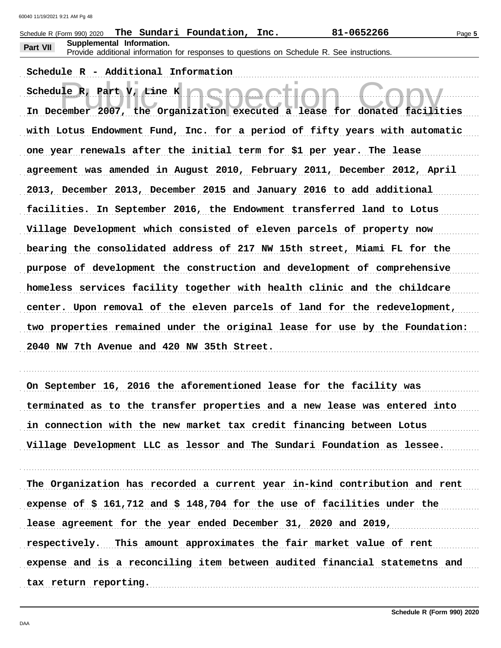|          | Schedule R (Form 990) 2020          |                           | The Sundari Foundation, Inc.               | 81-0652266                                                                                 | Page 5 |
|----------|-------------------------------------|---------------------------|--------------------------------------------|--------------------------------------------------------------------------------------------|--------|
| Part VII |                                     | Supplemental Information. |                                            | Provide additional information for responses to questions on Schedule R. See instructions. |        |
|          | Schedule R - Additional Information |                           |                                            |                                                                                            |        |
|          | Schedule R, Part V, Line K          |                           |                                            | In December 2007, the Organization executed a lease for donated facilities                 |        |
|          |                                     |                           |                                            | with Lotus Endowment Fund, Inc. for a period of fifty years with automatic                 |        |
|          |                                     |                           |                                            | one year renewals after the initial term for \$1 per year. The lease                       |        |
|          |                                     |                           |                                            | agreement was amended in August 2010, February 2011, December 2012, April                  |        |
|          |                                     |                           |                                            | 2013, December 2013, December 2015 and January 2016 to add additional                      |        |
|          |                                     |                           |                                            | facilities. In September 2016, the Endowment transferred land to Lotus                     |        |
|          |                                     |                           |                                            | Village Development which consisted of eleven parcels of property now                      |        |
|          |                                     |                           |                                            | bearing the consolidated address of 217 NW 15th street, Miami FL for the                   |        |
|          |                                     |                           |                                            | purpose of development the construction and development of comprehensive                   |        |
|          |                                     |                           |                                            | homeless services facility together with health clinic and the childcare                   |        |
|          |                                     |                           |                                            | center. Upon removal of the eleven parcels of land for the redevelopment,                  |        |
|          |                                     |                           |                                            | two properties remained under the original lease for use by the Foundation:                |        |
|          |                                     |                           | 2040 NW 7th Avenue and 420 NW 35th Street. |                                                                                            |        |
|          |                                     |                           |                                            |                                                                                            |        |

On September 16, 2016 the aforementioned lease for the facility was terminated as to the transfer properties and a new lease was entered into in connection with the new market tax credit financing between Lotus Village Development LLC as lessor and The Sundari Foundation as lessee.

The Organization has recorded a current year in-kind contribution and rent expense of \$ 161,712 and \$ 148,704 for the use of facilities under the lease agreement for the year ended December 31, 2020 and 2019, respectively. This amount approximates the fair market value of rent expense and is a reconciling item between audited financial statemetns and tax return reporting.